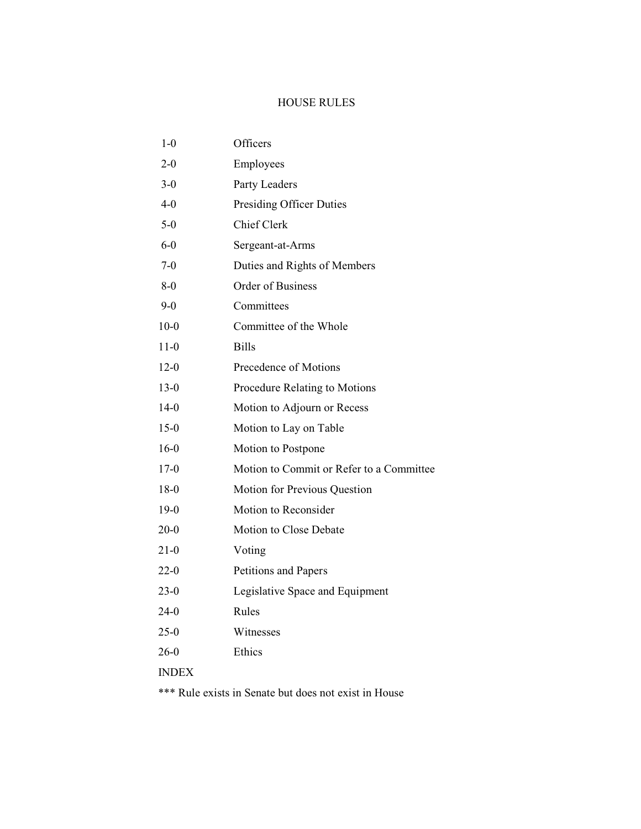| $1-0$        | Officers                                 |
|--------------|------------------------------------------|
| $2 - 0$      | Employees                                |
| $3-0$        | Party Leaders                            |
| $4 - 0$      | <b>Presiding Officer Duties</b>          |
| $5-0$        | Chief Clerk                              |
| $6-0$        | Sergeant-at-Arms                         |
| $7-0$        | Duties and Rights of Members             |
| 8-0          | Order of Business                        |
| 9-0          | Committees                               |
| $10-0$       | Committee of the Whole                   |
| $11-0$       | <b>Bills</b>                             |
| $12-0$       | Precedence of Motions                    |
| $13-0$       | Procedure Relating to Motions            |
| $14-0$       | Motion to Adjourn or Recess              |
| $15-0$       | Motion to Lay on Table                   |
| $16-0$       | Motion to Postpone                       |
| 17-0         | Motion to Commit or Refer to a Committee |
| $18-0$       | Motion for Previous Question             |
| $19-0$       | Motion to Reconsider                     |
| $20 - 0$     | Motion to Close Debate                   |
| 21-0         | Voting                                   |
| 22-0         | Petitions and Papers                     |
| $23-0$       | Legislative Space and Equipment          |
| 24-0         | Rules                                    |
| $25-0$       | Witnesses                                |
| $26-0$       | Ethics                                   |
| <b>INDEX</b> |                                          |
|              |                                          |

\*\*\* Rule exists in Senate but does not exist in House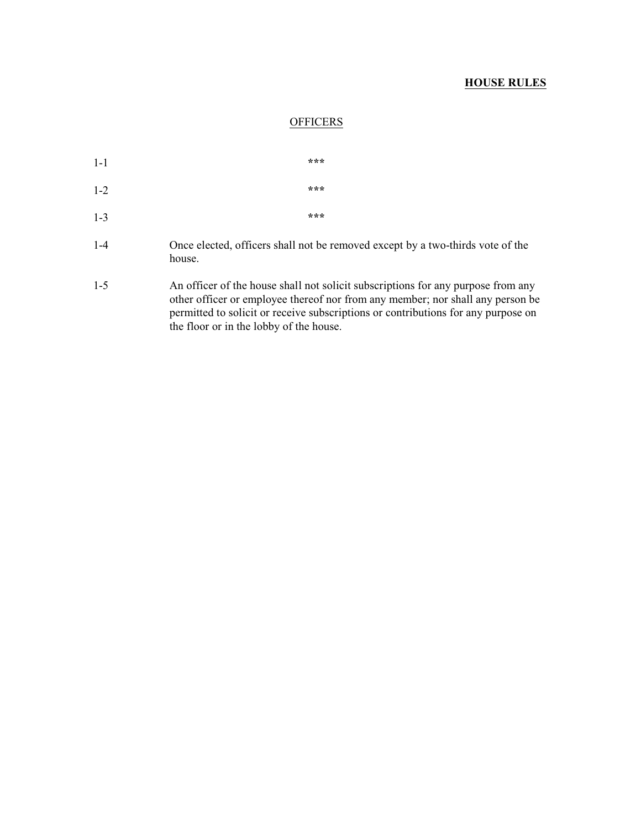### **OFFICERS**

| $1-1$   |  | *** |  |
|---------|--|-----|--|
| $1 - 2$ |  | *** |  |
| $1 - 3$ |  | *** |  |
| .       |  |     |  |

- 1-4 Once elected, officers shall not be removed except by a two-thirds vote of the house.
- 1-5 An officer of the house shall not solicit subscriptions for any purpose from any other officer or employee thereof nor from any member; nor shall any person be permitted to solicit or receive subscriptions or contributions for any purpose on the floor or in the lobby of the house.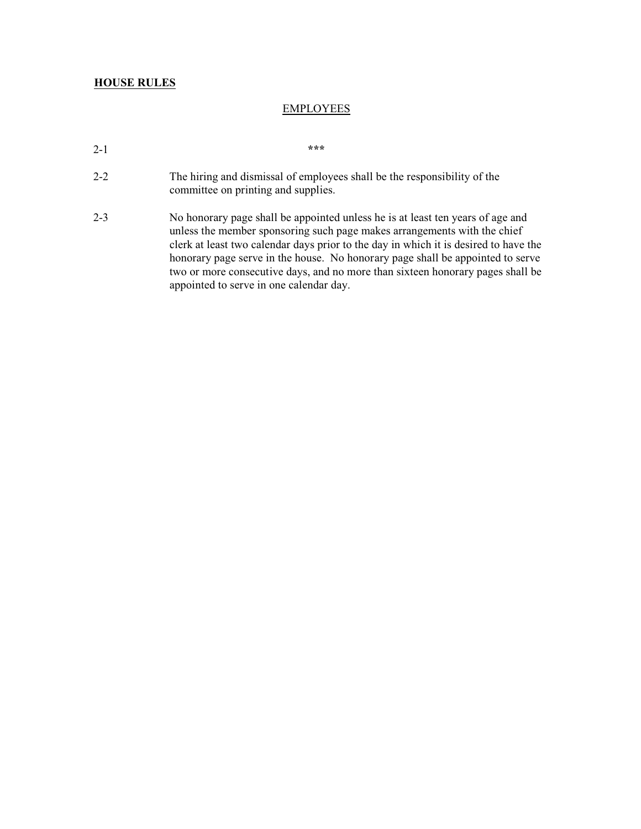### EMPLOYEES

- 2-1 **\*\*\***
- 2-2 The hiring and dismissal of employees shall be the responsibility of the committee on printing and supplies.
- 2-3 No honorary page shall be appointed unless he is at least ten years of age and unless the member sponsoring such page makes arrangements with the chief clerk at least two calendar days prior to the day in which it is desired to have the honorary page serve in the house. No honorary page shall be appointed to serve two or more consecutive days, and no more than sixteen honorary pages shall be appointed to serve in one calendar day.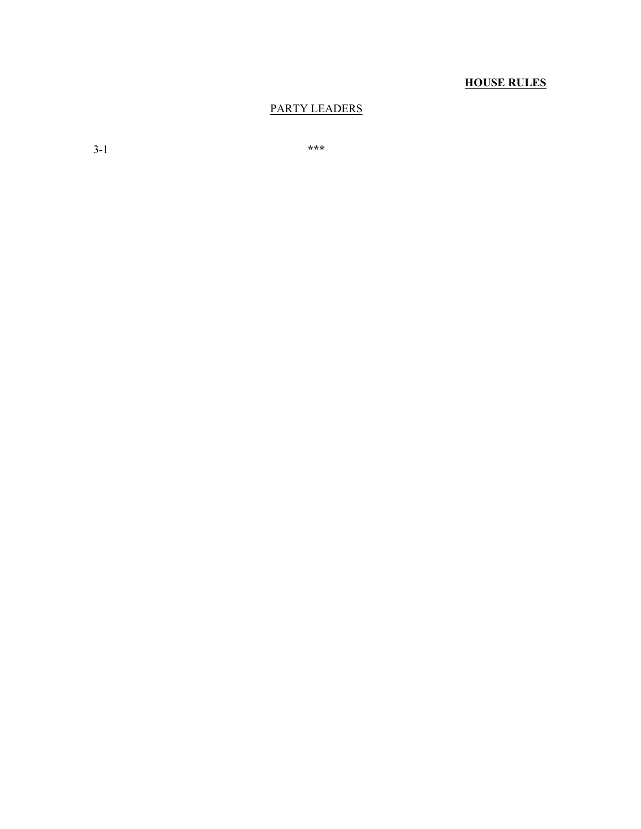### PARTY LEADERS

3-1 **\*\*\***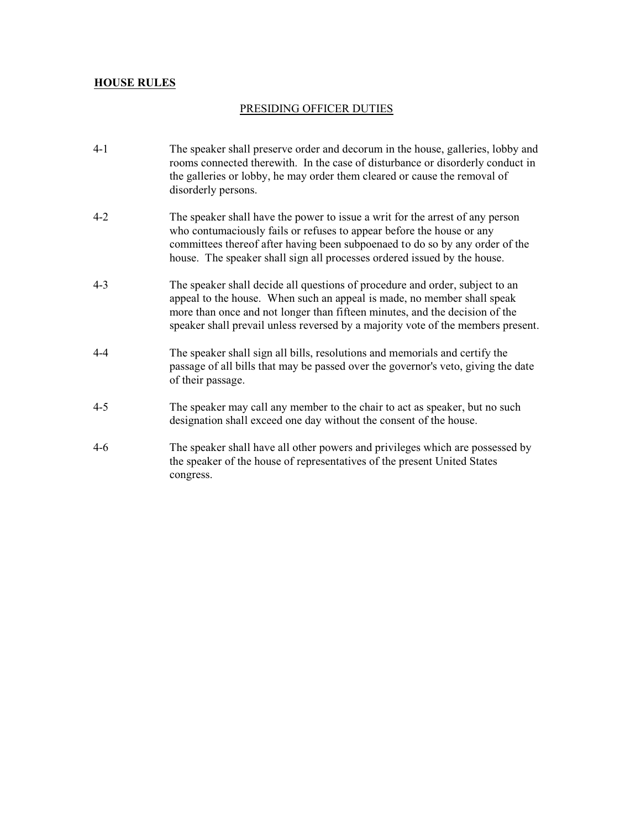### PRESIDING OFFICER DUTIES

- 4-1 The speaker shall preserve order and decorum in the house, galleries, lobby and rooms connected therewith. In the case of disturbance or disorderly conduct in the galleries or lobby, he may order them cleared or cause the removal of disorderly persons.
- 4-2 The speaker shall have the power to issue a writ for the arrest of any person who contumaciously fails or refuses to appear before the house or any committees thereof after having been subpoenaed to do so by any order of the house. The speaker shall sign all processes ordered issued by the house.
- 4-3 The speaker shall decide all questions of procedure and order, subject to an appeal to the house. When such an appeal is made, no member shall speak more than once and not longer than fifteen minutes, and the decision of the speaker shall prevail unless reversed by a majority vote of the members present.
- 4-4 The speaker shall sign all bills, resolutions and memorials and certify the passage of all bills that may be passed over the governor's veto, giving the date of their passage.
- 4-5 The speaker may call any member to the chair to act as speaker, but no such designation shall exceed one day without the consent of the house.
- 4-6 The speaker shall have all other powers and privileges which are possessed by the speaker of the house of representatives of the present United States congress.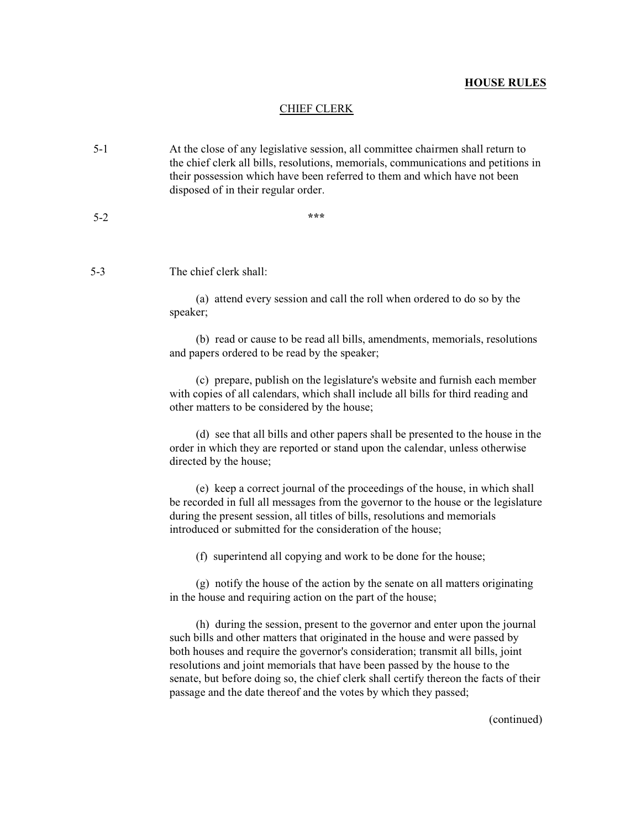#### CHIEF CLERK

- 5-1 At the close of any legislative session, all committee chairmen shall return to the chief clerk all bills, resolutions, memorials, communications and petitions in their possession which have been referred to them and which have not been disposed of in their regular order.
- 5-2 **\*\*\***

5-3 The chief clerk shall:

(a) attend every session and call the roll when ordered to do so by the speaker;

(b) read or cause to be read all bills, amendments, memorials, resolutions and papers ordered to be read by the speaker;

(c) prepare, publish on the legislature's website and furnish each member with copies of all calendars, which shall include all bills for third reading and other matters to be considered by the house;

(d) see that all bills and other papers shall be presented to the house in the order in which they are reported or stand upon the calendar, unless otherwise directed by the house;

(e) keep a correct journal of the proceedings of the house, in which shall be recorded in full all messages from the governor to the house or the legislature during the present session, all titles of bills, resolutions and memorials introduced or submitted for the consideration of the house;

(f) superintend all copying and work to be done for the house;

(g) notify the house of the action by the senate on all matters originating in the house and requiring action on the part of the house;

(h) during the session, present to the governor and enter upon the journal such bills and other matters that originated in the house and were passed by both houses and require the governor's consideration; transmit all bills, joint resolutions and joint memorials that have been passed by the house to the senate, but before doing so, the chief clerk shall certify thereon the facts of their passage and the date thereof and the votes by which they passed;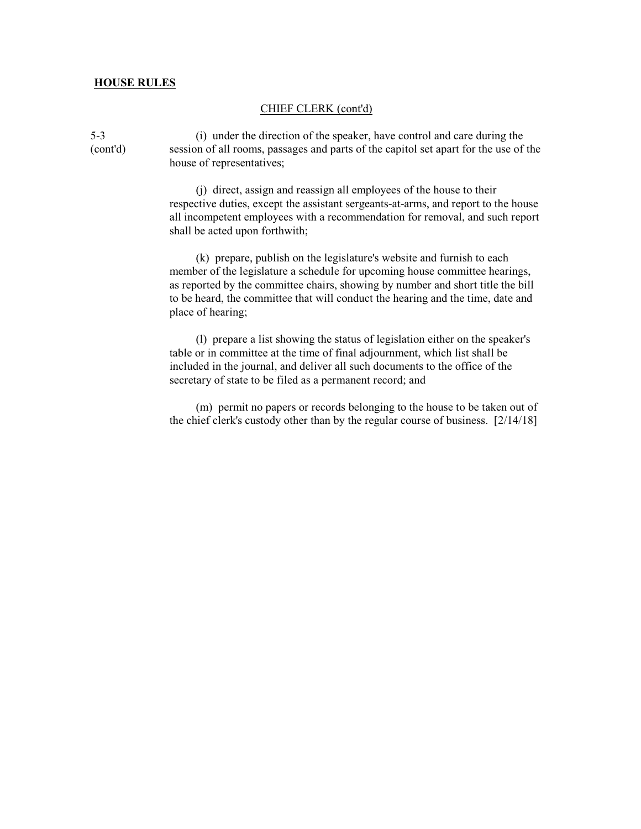#### CHIEF CLERK (cont'd)

5-3 (i) under the direction of the speaker, have control and care during the (cont'd) session of all rooms, passages and parts of the capitol set apart for the use of the house of representatives;

> (j) direct, assign and reassign all employees of the house to their respective duties, except the assistant sergeants-at-arms, and report to the house all incompetent employees with a recommendation for removal, and such report shall be acted upon forthwith;

(k) prepare, publish on the legislature's website and furnish to each member of the legislature a schedule for upcoming house committee hearings, as reported by the committee chairs, showing by number and short title the bill to be heard, the committee that will conduct the hearing and the time, date and place of hearing;

(l) prepare a list showing the status of legislation either on the speaker's table or in committee at the time of final adjournment, which list shall be included in the journal, and deliver all such documents to the office of the secretary of state to be filed as a permanent record; and

(m) permit no papers or records belonging to the house to be taken out of the chief clerk's custody other than by the regular course of business. [2/14/18]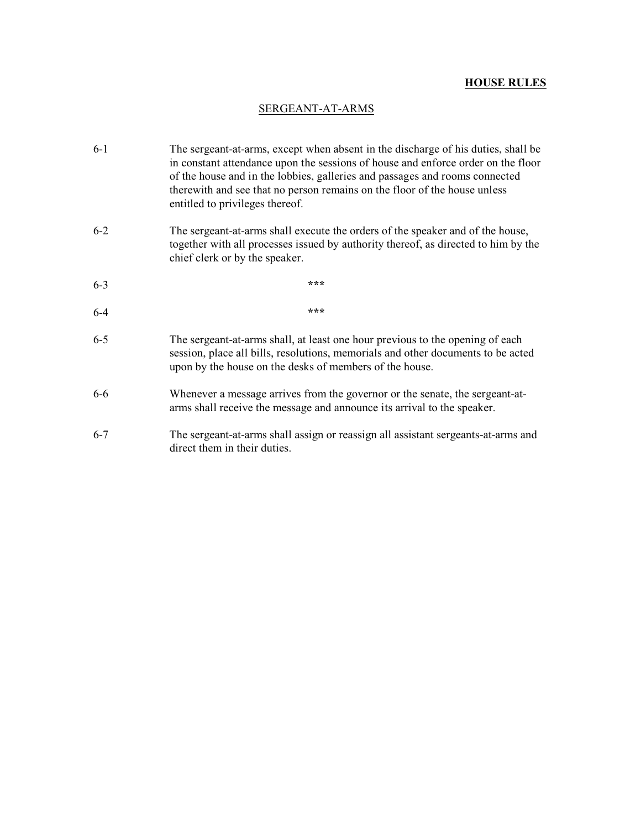### SERGEANT-AT-ARMS

- 6-1 The sergeant-at-arms, except when absent in the discharge of his duties, shall be in constant attendance upon the sessions of house and enforce order on the floor of the house and in the lobbies, galleries and passages and rooms connected therewith and see that no person remains on the floor of the house unless entitled to privileges thereof. 6-2 The sergeant-at-arms shall execute the orders of the speaker and of the house, together with all processes issued by authority thereof, as directed to him by the chief clerk or by the speaker. 6-3 **\*\*\*** 6-4 **\*\*\*** 6-5 The sergeant-at-arms shall, at least one hour previous to the opening of each session, place all bills, resolutions, memorials and other documents to be acted upon by the house on the desks of members of the house.
- 6-6 Whenever a message arrives from the governor or the senate, the sergeant-atarms shall receive the message and announce its arrival to the speaker.
- 6-7 The sergeant-at-arms shall assign or reassign all assistant sergeants-at-arms and direct them in their duties.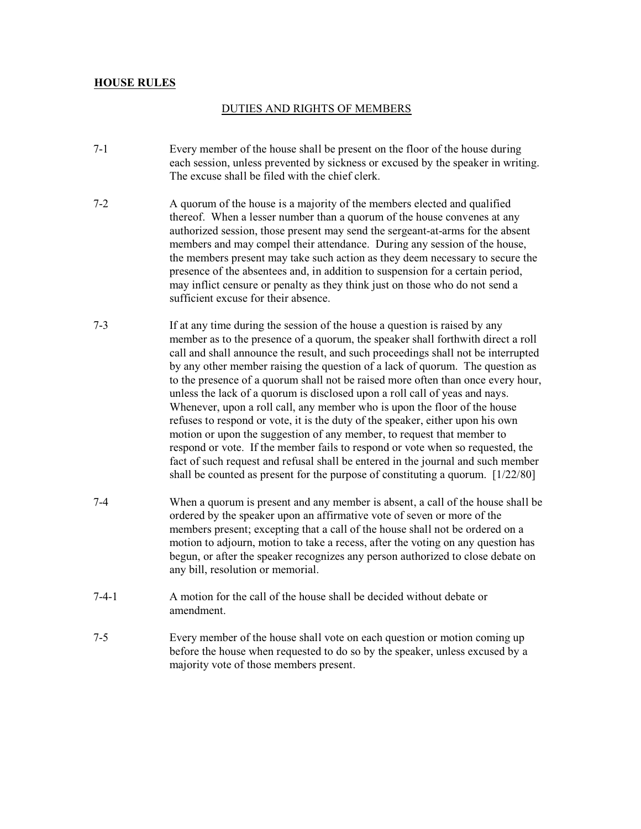### DUTIES AND RIGHTS OF MEMBERS

- 7-1 Every member of the house shall be present on the floor of the house during each session, unless prevented by sickness or excused by the speaker in writing. The excuse shall be filed with the chief clerk.
- 7-2 A quorum of the house is a majority of the members elected and qualified thereof. When a lesser number than a quorum of the house convenes at any authorized session, those present may send the sergeant-at-arms for the absent members and may compel their attendance. During any session of the house, the members present may take such action as they deem necessary to secure the presence of the absentees and, in addition to suspension for a certain period, may inflict censure or penalty as they think just on those who do not send a sufficient excuse for their absence.
- 7-3 If at any time during the session of the house a question is raised by any member as to the presence of a quorum, the speaker shall forthwith direct a roll call and shall announce the result, and such proceedings shall not be interrupted by any other member raising the question of a lack of quorum. The question as to the presence of a quorum shall not be raised more often than once every hour, unless the lack of a quorum is disclosed upon a roll call of yeas and nays. Whenever, upon a roll call, any member who is upon the floor of the house refuses to respond or vote, it is the duty of the speaker, either upon his own motion or upon the suggestion of any member, to request that member to respond or vote. If the member fails to respond or vote when so requested, the fact of such request and refusal shall be entered in the journal and such member shall be counted as present for the purpose of constituting a quorum. [1/22/80]
- 7-4 When a quorum is present and any member is absent, a call of the house shall be ordered by the speaker upon an affirmative vote of seven or more of the members present; excepting that a call of the house shall not be ordered on a motion to adjourn, motion to take a recess, after the voting on any question has begun, or after the speaker recognizes any person authorized to close debate on any bill, resolution or memorial.
- 7-4-1 A motion for the call of the house shall be decided without debate or amendment.
- 7-5 Every member of the house shall vote on each question or motion coming up before the house when requested to do so by the speaker, unless excused by a majority vote of those members present.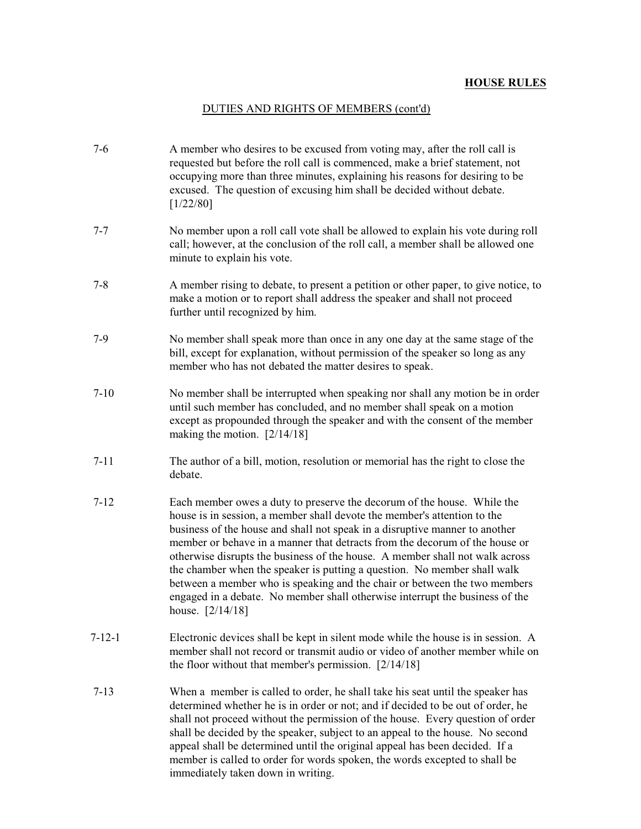## DUTIES AND RIGHTS OF MEMBERS (cont'd)

| $7-6$    | A member who desires to be excused from voting may, after the roll call is<br>requested but before the roll call is commenced, make a brief statement, not<br>occupying more than three minutes, explaining his reasons for desiring to be<br>excused. The question of excusing him shall be decided without debate.<br>[1/22/80]                                                                                                                                                                                                                                                                                                                              |
|----------|----------------------------------------------------------------------------------------------------------------------------------------------------------------------------------------------------------------------------------------------------------------------------------------------------------------------------------------------------------------------------------------------------------------------------------------------------------------------------------------------------------------------------------------------------------------------------------------------------------------------------------------------------------------|
| $7 - 7$  | No member upon a roll call vote shall be allowed to explain his vote during roll<br>call; however, at the conclusion of the roll call, a member shall be allowed one<br>minute to explain his vote.                                                                                                                                                                                                                                                                                                                                                                                                                                                            |
| $7 - 8$  | A member rising to debate, to present a petition or other paper, to give notice, to<br>make a motion or to report shall address the speaker and shall not proceed<br>further until recognized by him.                                                                                                                                                                                                                                                                                                                                                                                                                                                          |
| $7-9$    | No member shall speak more than once in any one day at the same stage of the<br>bill, except for explanation, without permission of the speaker so long as any<br>member who has not debated the matter desires to speak.                                                                                                                                                                                                                                                                                                                                                                                                                                      |
| $7-10$   | No member shall be interrupted when speaking nor shall any motion be in order<br>until such member has concluded, and no member shall speak on a motion<br>except as propounded through the speaker and with the consent of the member<br>making the motion. $[2/14/18]$                                                                                                                                                                                                                                                                                                                                                                                       |
| $7 - 11$ | The author of a bill, motion, resolution or memorial has the right to close the<br>debate.                                                                                                                                                                                                                                                                                                                                                                                                                                                                                                                                                                     |
| $7 - 12$ | Each member owes a duty to preserve the decorum of the house. While the<br>house is in session, a member shall devote the member's attention to the<br>business of the house and shall not speak in a disruptive manner to another<br>member or behave in a manner that detracts from the decorum of the house or<br>otherwise disrupts the business of the house. A member shall not walk across<br>the chamber when the speaker is putting a question. No member shall walk<br>between a member who is speaking and the chair or between the two members<br>engaged in a debate. No member shall otherwise interrupt the business of the<br>house. [2/14/18] |
| 7-12-1   | Electronic devices shall be kept in silent mode while the house is in session. A<br>member shall not record or transmit audio or video of another member while on<br>the floor without that member's permission. $[2/14/18]$                                                                                                                                                                                                                                                                                                                                                                                                                                   |
| $7-13$   | When a member is called to order, he shall take his seat until the speaker has<br>determined whether he is in order or not; and if decided to be out of order, he<br>shall not proceed without the permission of the house. Every question of order<br>shall be decided by the speaker, subject to an appeal to the house. No second<br>appeal shall be determined until the original appeal has been decided. If a<br>member is called to order for words spoken, the words excepted to shall be<br>immediately taken down in writing.                                                                                                                        |
|          |                                                                                                                                                                                                                                                                                                                                                                                                                                                                                                                                                                                                                                                                |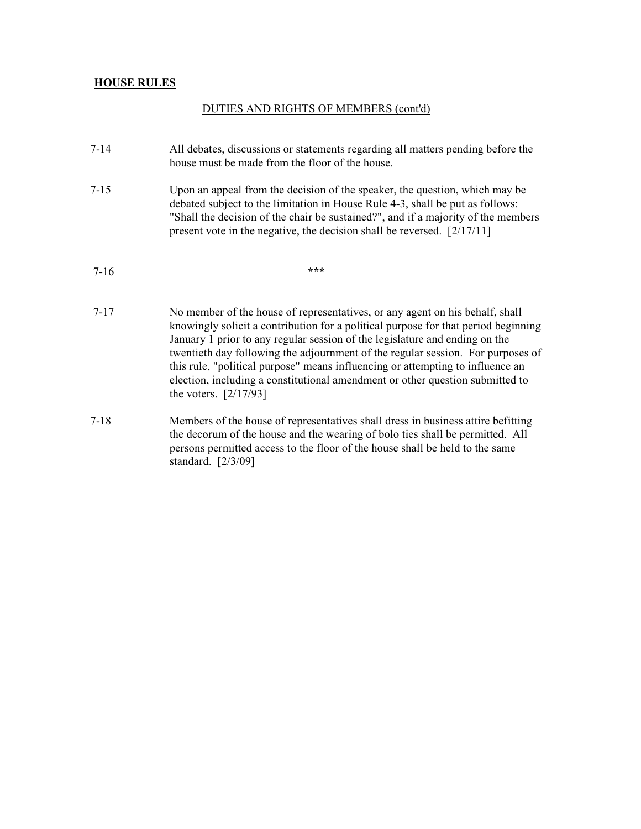## DUTIES AND RIGHTS OF MEMBERS (cont'd)

- 7-14 All debates, discussions or statements regarding all matters pending before the house must be made from the floor of the house.
- 7-15 Upon an appeal from the decision of the speaker, the question, which may be debated subject to the limitation in House Rule 4-3, shall be put as follows: "Shall the decision of the chair be sustained?", and if a majority of the members present vote in the negative, the decision shall be reversed. [2/17/11]

- 7-17 No member of the house of representatives, or any agent on his behalf, shall knowingly solicit a contribution for a political purpose for that period beginning January 1 prior to any regular session of the legislature and ending on the twentieth day following the adjournment of the regular session. For purposes of this rule, "political purpose" means influencing or attempting to influence an election, including a constitutional amendment or other question submitted to the voters. [2/17/93]
- 7-18 Members of the house of representatives shall dress in business attire befitting the decorum of the house and the wearing of bolo ties shall be permitted. All persons permitted access to the floor of the house shall be held to the same standard. [2/3/09]

 <sup>7-16</sup> **\*\*\***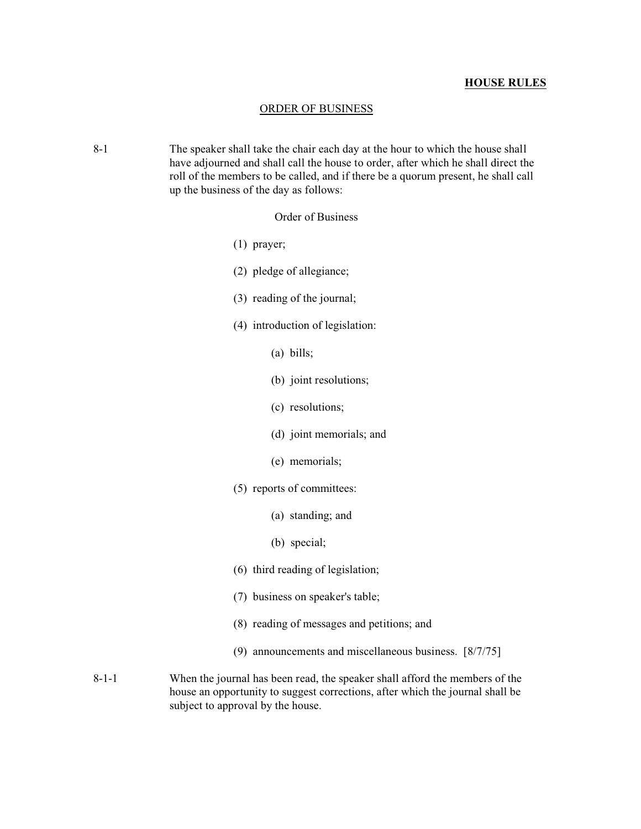### ORDER OF BUSINESS

 8-1 The speaker shall take the chair each day at the hour to which the house shall have adjourned and shall call the house to order, after which he shall direct the roll of the members to be called, and if there be a quorum present, he shall call up the business of the day as follows:

Order of Business

- (1) prayer;
- (2) pledge of allegiance;
- (3) reading of the journal;
- (4) introduction of legislation:
	- (a) bills;
	- (b) joint resolutions;
	- (c) resolutions;
	- (d) joint memorials; and
	- (e) memorials;
- (5) reports of committees:
	- (a) standing; and
	- (b) special;
- (6) third reading of legislation;
- (7) business on speaker's table;
- (8) reading of messages and petitions; and
- (9) announcements and miscellaneous business. [8/7/75]
- 8-1-1 When the journal has been read, the speaker shall afford the members of the house an opportunity to suggest corrections, after which the journal shall be subject to approval by the house.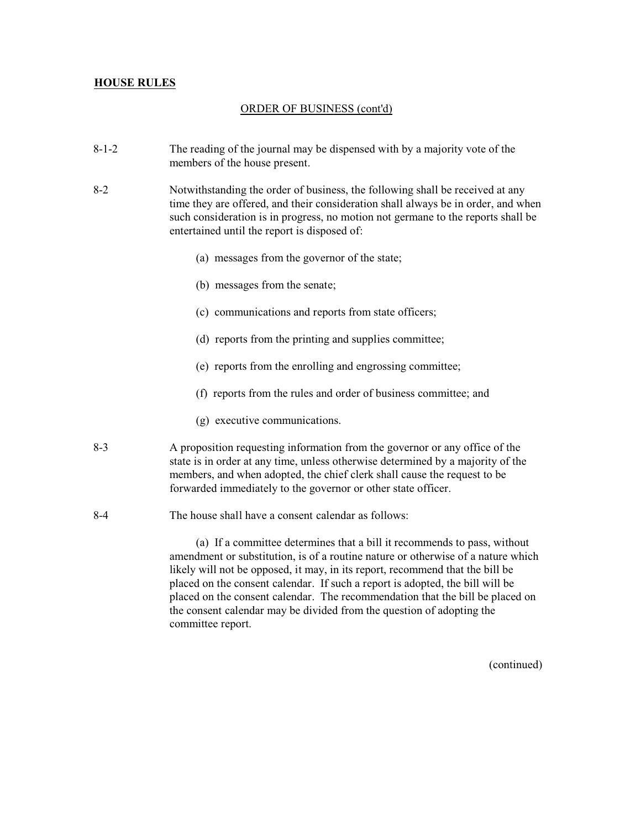### ORDER OF BUSINESS (cont'd)

- 8-1-2 The reading of the journal may be dispensed with by a majority vote of the members of the house present.
- 8-2 Notwithstanding the order of business, the following shall be received at any time they are offered, and their consideration shall always be in order, and when such consideration is in progress, no motion not germane to the reports shall be entertained until the report is disposed of:
	- (a) messages from the governor of the state;
	- (b) messages from the senate;
	- (c) communications and reports from state officers;
	- (d) reports from the printing and supplies committee;
	- (e) reports from the enrolling and engrossing committee;
	- (f) reports from the rules and order of business committee; and
	- (g) executive communications.
- 8-3 A proposition requesting information from the governor or any office of the state is in order at any time, unless otherwise determined by a majority of the members, and when adopted, the chief clerk shall cause the request to be forwarded immediately to the governor or other state officer.
- 8-4 The house shall have a consent calendar as follows:

(a) If a committee determines that a bill it recommends to pass, without amendment or substitution, is of a routine nature or otherwise of a nature which likely will not be opposed, it may, in its report, recommend that the bill be placed on the consent calendar. If such a report is adopted, the bill will be placed on the consent calendar. The recommendation that the bill be placed on the consent calendar may be divided from the question of adopting the committee report.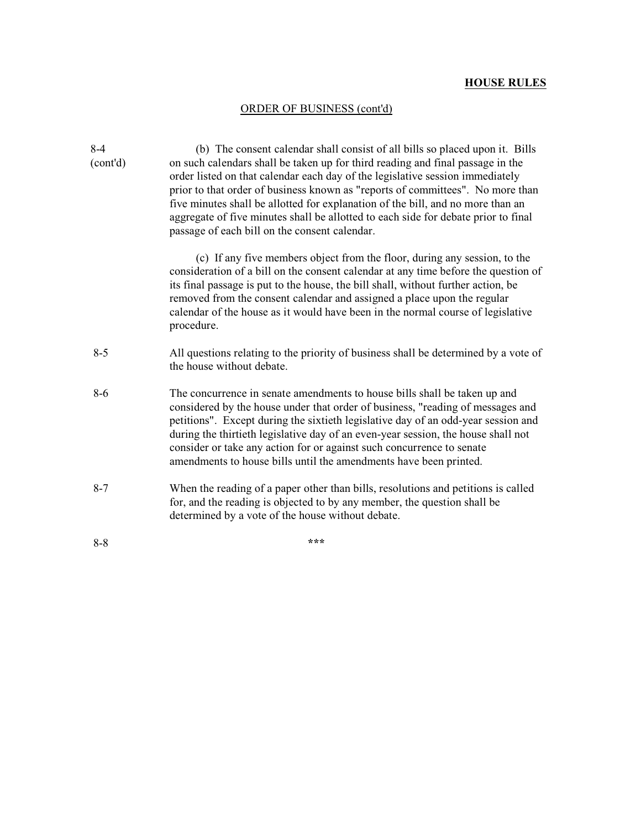### ORDER OF BUSINESS (cont'd)

| $8-4$    | (b) The consent calendar shall consist of all bills so placed upon it. Bills                                                                                                                                                                                                                                                                                                                                                                                                        |
|----------|-------------------------------------------------------------------------------------------------------------------------------------------------------------------------------------------------------------------------------------------------------------------------------------------------------------------------------------------------------------------------------------------------------------------------------------------------------------------------------------|
| (cont'd) | on such calendars shall be taken up for third reading and final passage in the<br>order listed on that calendar each day of the legislative session immediately<br>prior to that order of business known as "reports of committees". No more than                                                                                                                                                                                                                                   |
|          | five minutes shall be allotted for explanation of the bill, and no more than an<br>aggregate of five minutes shall be allotted to each side for debate prior to final<br>passage of each bill on the consent calendar.                                                                                                                                                                                                                                                              |
|          | (c) If any five members object from the floor, during any session, to the<br>consideration of a bill on the consent calendar at any time before the question of<br>its final passage is put to the house, the bill shall, without further action, be<br>removed from the consent calendar and assigned a place upon the regular<br>calendar of the house as it would have been in the normal course of legislative<br>procedure.                                                    |
| $8 - 5$  | All questions relating to the priority of business shall be determined by a vote of<br>the house without debate.                                                                                                                                                                                                                                                                                                                                                                    |
| $8-6$    | The concurrence in senate amendments to house bills shall be taken up and<br>considered by the house under that order of business, "reading of messages and<br>petitions". Except during the sixtieth legislative day of an odd-year session and<br>during the thirtieth legislative day of an even-year session, the house shall not<br>consider or take any action for or against such concurrence to senate<br>amendments to house bills until the amendments have been printed. |
| $8 - 7$  | When the reading of a paper other than bills, resolutions and petitions is called<br>for, and the reading is objected to by any member, the question shall be<br>determined by a vote of the house without debate.                                                                                                                                                                                                                                                                  |
| $8 - 8$  | ***                                                                                                                                                                                                                                                                                                                                                                                                                                                                                 |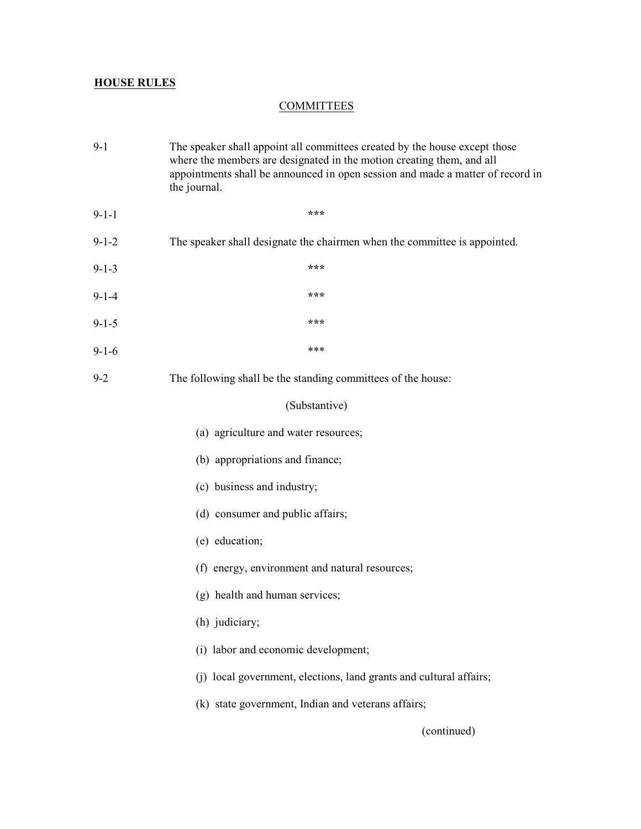## **COMMITTEES**

| $9-1$       | The speaker shall appoint all committees created by the house except those<br>where the members are designated in the motion creating them, and all<br>appointments shall be announced in open session and made a matter of record in<br>the journal. |
|-------------|-------------------------------------------------------------------------------------------------------------------------------------------------------------------------------------------------------------------------------------------------------|
| $9 - 1 - 1$ | ***                                                                                                                                                                                                                                                   |
| $9 - 1 - 2$ | The speaker shall designate the chairmen when the committee is appointed.                                                                                                                                                                             |
| $9 - 1 - 3$ | ***                                                                                                                                                                                                                                                   |
| $9 - 1 - 4$ | ***                                                                                                                                                                                                                                                   |
| $9 - 1 - 5$ | ***                                                                                                                                                                                                                                                   |
| $9-1-6$     | ***                                                                                                                                                                                                                                                   |
| $9 - 2$     | The following shall be the standing committees of the house:                                                                                                                                                                                          |
|             | (Substantive)                                                                                                                                                                                                                                         |
|             | (a) agriculture and water resources;                                                                                                                                                                                                                  |
|             | (b) appropriations and finance;                                                                                                                                                                                                                       |
|             | (c) business and industry;                                                                                                                                                                                                                            |
|             | (d) consumer and public affairs;                                                                                                                                                                                                                      |
|             | (e) education;                                                                                                                                                                                                                                        |
|             | (f) energy, environment and natural resources;                                                                                                                                                                                                        |
|             | (g) health and human services;                                                                                                                                                                                                                        |
|             | (h) judiciary;                                                                                                                                                                                                                                        |
|             | (i) labor and economic development;                                                                                                                                                                                                                   |
|             | (j) local government, elections, land grants and cultural affairs;                                                                                                                                                                                    |
|             | (k) state government, Indian and veterans affairs;                                                                                                                                                                                                    |
|             | (continued)                                                                                                                                                                                                                                           |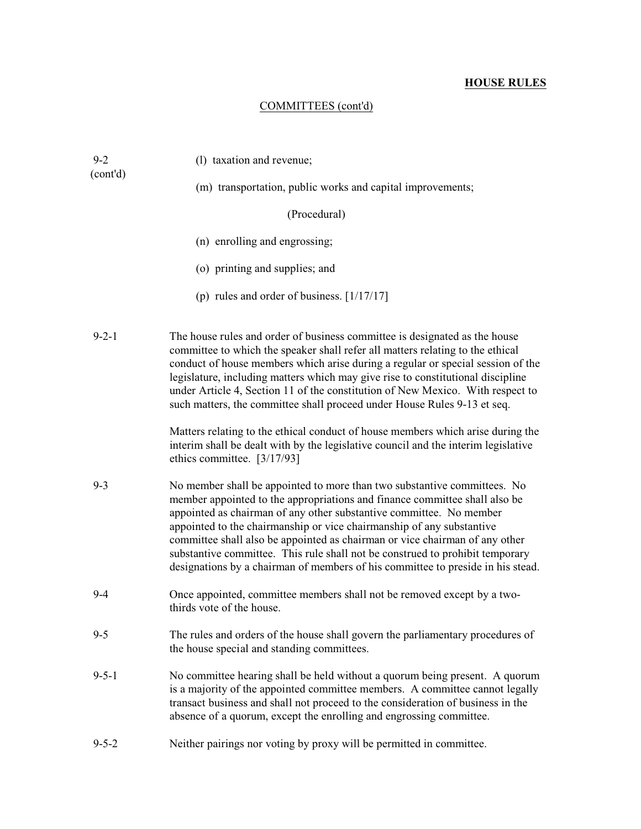## COMMITTEES (cont'd)

| $9 - 2$<br>(cont'd) | (1) taxation and revenue;                                                                                                                                                                                                                                                                                                                                                                                                                                                                                                                                 |
|---------------------|-----------------------------------------------------------------------------------------------------------------------------------------------------------------------------------------------------------------------------------------------------------------------------------------------------------------------------------------------------------------------------------------------------------------------------------------------------------------------------------------------------------------------------------------------------------|
|                     | (m) transportation, public works and capital improvements;                                                                                                                                                                                                                                                                                                                                                                                                                                                                                                |
|                     | (Procedural)                                                                                                                                                                                                                                                                                                                                                                                                                                                                                                                                              |
|                     | (n) enrolling and engrossing;                                                                                                                                                                                                                                                                                                                                                                                                                                                                                                                             |
|                     | (o) printing and supplies; and                                                                                                                                                                                                                                                                                                                                                                                                                                                                                                                            |
|                     | (p) rules and order of business. $[1/17/17]$                                                                                                                                                                                                                                                                                                                                                                                                                                                                                                              |
| $9 - 2 - 1$         | The house rules and order of business committee is designated as the house<br>committee to which the speaker shall refer all matters relating to the ethical<br>conduct of house members which arise during a regular or special session of the<br>legislature, including matters which may give rise to constitutional discipline<br>under Article 4, Section 11 of the constitution of New Mexico. With respect to<br>such matters, the committee shall proceed under House Rules 9-13 et seq.                                                          |
|                     | Matters relating to the ethical conduct of house members which arise during the<br>interim shall be dealt with by the legislative council and the interim legislative<br>ethics committee. [3/17/93]                                                                                                                                                                                                                                                                                                                                                      |
| $9 - 3$             | No member shall be appointed to more than two substantive committees. No<br>member appointed to the appropriations and finance committee shall also be<br>appointed as chairman of any other substantive committee. No member<br>appointed to the chairmanship or vice chairmanship of any substantive<br>committee shall also be appointed as chairman or vice chairman of any other<br>substantive committee. This rule shall not be construed to prohibit temporary<br>designations by a chairman of members of his committee to preside in his stead. |
| $9-4$               | Once appointed, committee members shall not be removed except by a two-<br>thirds vote of the house.                                                                                                                                                                                                                                                                                                                                                                                                                                                      |
| $9 - 5$             | The rules and orders of the house shall govern the parliamentary procedures of<br>the house special and standing committees.                                                                                                                                                                                                                                                                                                                                                                                                                              |
| $9 - 5 - 1$         | No committee hearing shall be held without a quorum being present. A quorum<br>is a majority of the appointed committee members. A committee cannot legally<br>transact business and shall not proceed to the consideration of business in the<br>absence of a quorum, except the enrolling and engrossing committee.                                                                                                                                                                                                                                     |
| $9 - 5 - 2$         | Neither pairings nor voting by proxy will be permitted in committee.                                                                                                                                                                                                                                                                                                                                                                                                                                                                                      |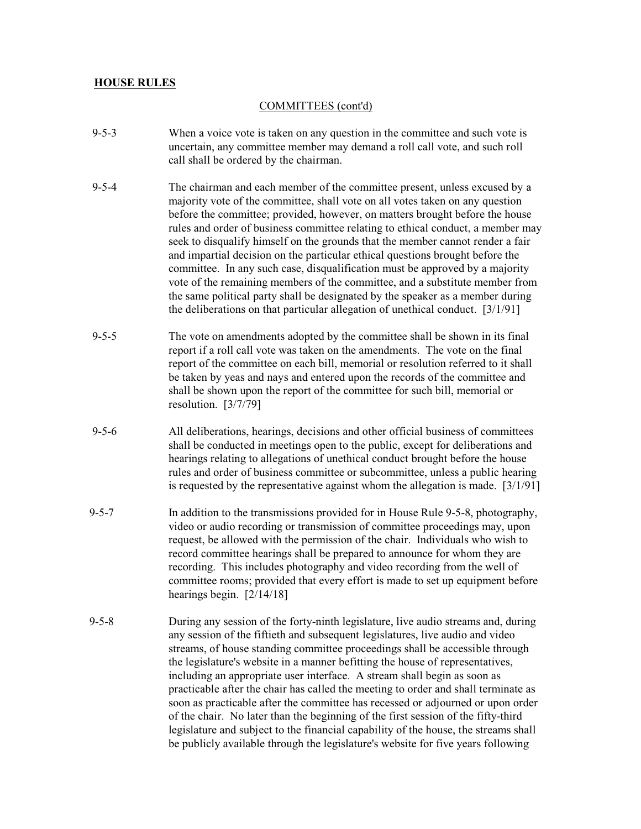### COMMITTEES (cont'd)

- 9-5-3 When a voice vote is taken on any question in the committee and such vote is uncertain, any committee member may demand a roll call vote, and such roll call shall be ordered by the chairman.
- 9-5-4 The chairman and each member of the committee present, unless excused by a majority vote of the committee, shall vote on all votes taken on any question before the committee; provided, however, on matters brought before the house rules and order of business committee relating to ethical conduct, a member may seek to disqualify himself on the grounds that the member cannot render a fair and impartial decision on the particular ethical questions brought before the committee. In any such case, disqualification must be approved by a majority vote of the remaining members of the committee, and a substitute member from the same political party shall be designated by the speaker as a member during the deliberations on that particular allegation of unethical conduct. [3/1/91]
- 9-5-5 The vote on amendments adopted by the committee shall be shown in its final report if a roll call vote was taken on the amendments. The vote on the final report of the committee on each bill, memorial or resolution referred to it shall be taken by yeas and nays and entered upon the records of the committee and shall be shown upon the report of the committee for such bill, memorial or resolution. [3/7/79]
- 9-5-6 All deliberations, hearings, decisions and other official business of committees shall be conducted in meetings open to the public, except for deliberations and hearings relating to allegations of unethical conduct brought before the house rules and order of business committee or subcommittee, unless a public hearing is requested by the representative against whom the allegation is made.  $[3/1/91]$
- 9-5-7 In addition to the transmissions provided for in House Rule 9-5-8, photography, video or audio recording or transmission of committee proceedings may, upon request, be allowed with the permission of the chair. Individuals who wish to record committee hearings shall be prepared to announce for whom they are recording. This includes photography and video recording from the well of committee rooms; provided that every effort is made to set up equipment before hearings begin. [2/14/18]
- 9-5-8 During any session of the forty-ninth legislature, live audio streams and, during any session of the fiftieth and subsequent legislatures, live audio and video streams, of house standing committee proceedings shall be accessible through the legislature's website in a manner befitting the house of representatives, including an appropriate user interface. A stream shall begin as soon as practicable after the chair has called the meeting to order and shall terminate as soon as practicable after the committee has recessed or adjourned or upon order of the chair. No later than the beginning of the first session of the fifty-third legislature and subject to the financial capability of the house, the streams shall be publicly available through the legislature's website for five years following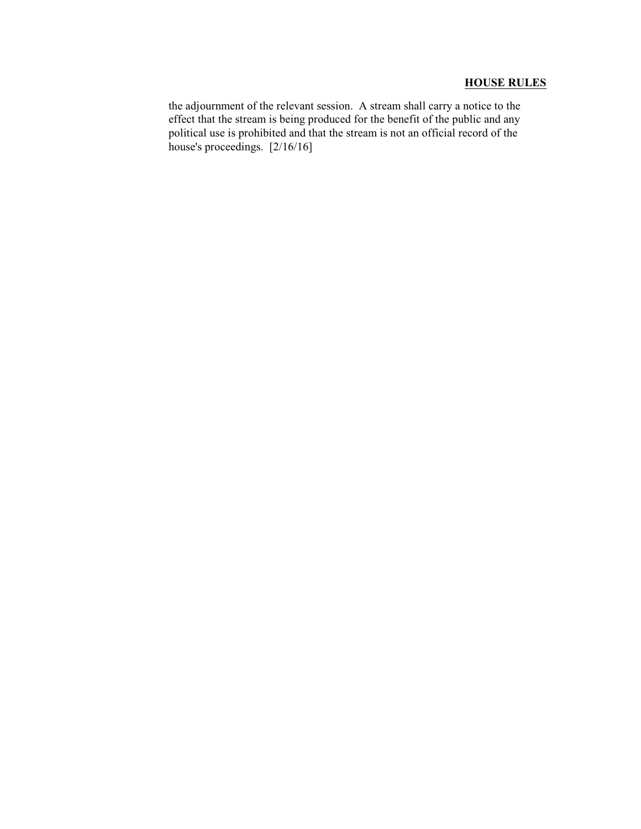the adjournment of the relevant session. A stream shall carry a notice to the effect that the stream is being produced for the benefit of the public and any political use is prohibited and that the stream is not an official record of the house's proceedings. [2/16/16]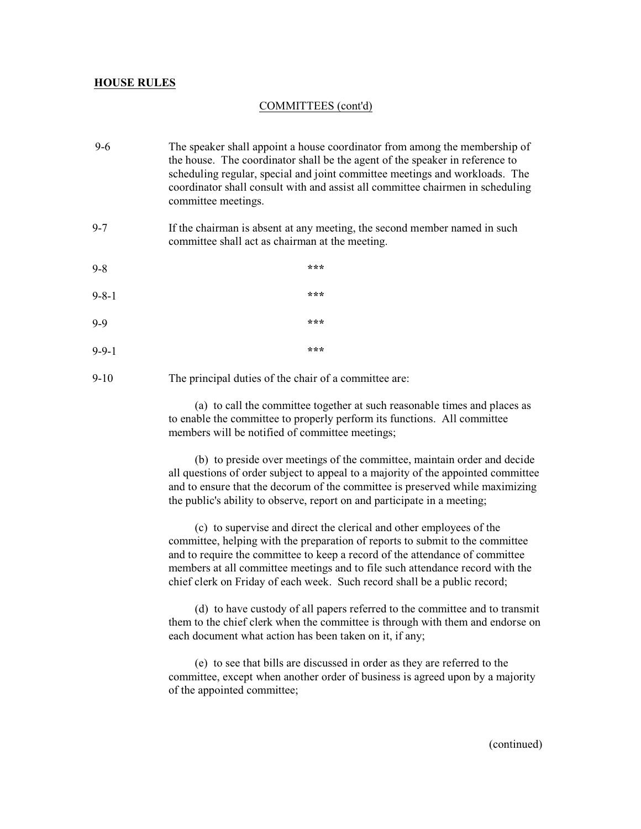### COMMITTEES (cont'd)

 9-6 The speaker shall appoint a house coordinator from among the membership of the house. The coordinator shall be the agent of the speaker in reference to scheduling regular, special and joint committee meetings and workloads. The coordinator shall consult with and assist all committee chairmen in scheduling committee meetings. 9-7 If the chairman is absent at any meeting, the second member named in such committee shall act as chairman at the meeting. 9-8 **\*\*\***

 9-8-1 **\*\*\*** 9-9 **\*\*\*** 9-9-1 **\*\*\***

9-10 The principal duties of the chair of a committee are:

(a) to call the committee together at such reasonable times and places as to enable the committee to properly perform its functions. All committee members will be notified of committee meetings;

(b) to preside over meetings of the committee, maintain order and decide all questions of order subject to appeal to a majority of the appointed committee and to ensure that the decorum of the committee is preserved while maximizing the public's ability to observe, report on and participate in a meeting;

(c) to supervise and direct the clerical and other employees of the committee, helping with the preparation of reports to submit to the committee and to require the committee to keep a record of the attendance of committee members at all committee meetings and to file such attendance record with the chief clerk on Friday of each week. Such record shall be a public record;

(d) to have custody of all papers referred to the committee and to transmit them to the chief clerk when the committee is through with them and endorse on each document what action has been taken on it, if any;

(e) to see that bills are discussed in order as they are referred to the committee, except when another order of business is agreed upon by a majority of the appointed committee;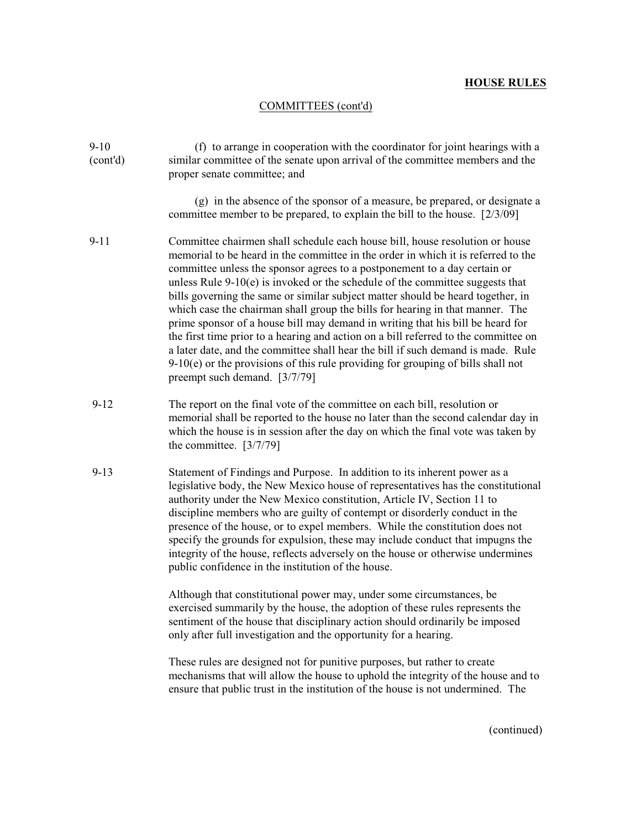### COMMITTEES (cont'd)

9-10 (f) to arrange in cooperation with the coordinator for joint hearings with a (cont'd) similar committee of the senate upon arrival of the committee members and the proper senate committee; and (g) in the absence of the sponsor of a measure, be prepared, or designate a committee member to be prepared, to explain the bill to the house. [2/3/09] 9-11 Committee chairmen shall schedule each house bill, house resolution or house memorial to be heard in the committee in the order in which it is referred to the committee unless the sponsor agrees to a postponement to a day certain or unless Rule 9-10(e) is invoked or the schedule of the committee suggests that bills governing the same or similar subject matter should be heard together, in which case the chairman shall group the bills for hearing in that manner. The prime sponsor of a house bill may demand in writing that his bill be heard for the first time prior to a hearing and action on a bill referred to the committee on a later date, and the committee shall hear the bill if such demand is made. Rule 9-10(e) or the provisions of this rule providing for grouping of bills shall not preempt such demand. [3/7/79] 9-12 The report on the final vote of the committee on each bill, resolution or memorial shall be reported to the house no later than the second calendar day in which the house is in session after the day on which the final vote was taken by the committee. [3/7/79] 9-13 Statement of Findings and Purpose. In addition to its inherent power as a legislative body, the New Mexico house of representatives has the constitutional authority under the New Mexico constitution, Article IV, Section 11 to discipline members who are guilty of contempt or disorderly conduct in the presence of the house, or to expel members. While the constitution does not specify the grounds for expulsion, these may include conduct that impugns the integrity of the house, reflects adversely on the house or otherwise undermines public confidence in the institution of the house. Although that constitutional power may, under some circumstances, be exercised summarily by the house, the adoption of these rules represents the sentiment of the house that disciplinary action should ordinarily be imposed only after full investigation and the opportunity for a hearing. These rules are designed not for punitive purposes, but rather to create mechanisms that will allow the house to uphold the integrity of the house and to

ensure that public trust in the institution of the house is not undermined. The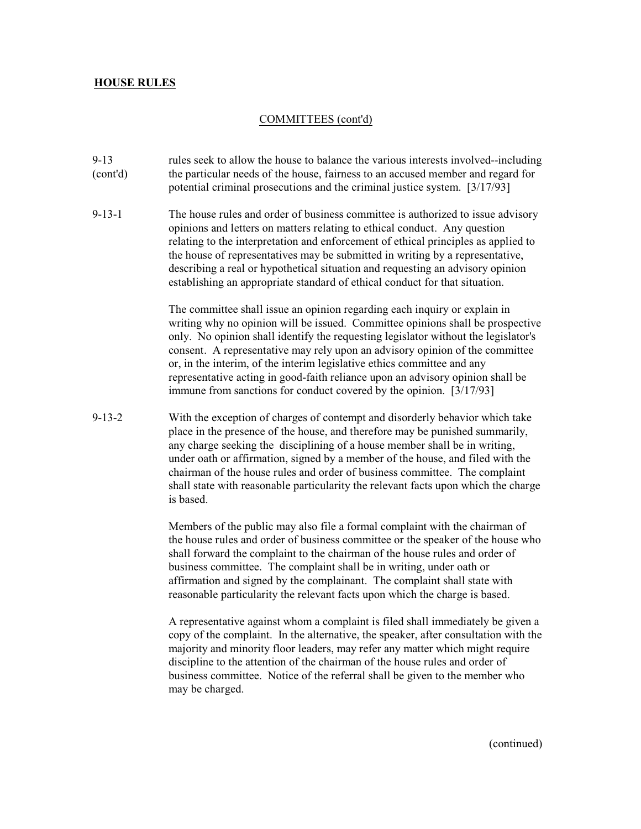#### COMMITTEES (cont'd)

- 9-13 rules seek to allow the house to balance the various interests involved--including (cont'd) the particular needs of the house, fairness to an accused member and regard for potential criminal prosecutions and the criminal justice system. [3/17/93]
- 9-13-1 The house rules and order of business committee is authorized to issue advisory opinions and letters on matters relating to ethical conduct. Any question relating to the interpretation and enforcement of ethical principles as applied to the house of representatives may be submitted in writing by a representative, describing a real or hypothetical situation and requesting an advisory opinion establishing an appropriate standard of ethical conduct for that situation.

The committee shall issue an opinion regarding each inquiry or explain in writing why no opinion will be issued. Committee opinions shall be prospective only. No opinion shall identify the requesting legislator without the legislator's consent. A representative may rely upon an advisory opinion of the committee or, in the interim, of the interim legislative ethics committee and any representative acting in good-faith reliance upon an advisory opinion shall be immune from sanctions for conduct covered by the opinion. [3/17/93]

 9-13-2 With the exception of charges of contempt and disorderly behavior which take place in the presence of the house, and therefore may be punished summarily, any charge seeking the disciplining of a house member shall be in writing, under oath or affirmation, signed by a member of the house, and filed with the chairman of the house rules and order of business committee. The complaint shall state with reasonable particularity the relevant facts upon which the charge is based.

> Members of the public may also file a formal complaint with the chairman of the house rules and order of business committee or the speaker of the house who shall forward the complaint to the chairman of the house rules and order of business committee. The complaint shall be in writing, under oath or affirmation and signed by the complainant. The complaint shall state with reasonable particularity the relevant facts upon which the charge is based.

> A representative against whom a complaint is filed shall immediately be given a copy of the complaint. In the alternative, the speaker, after consultation with the majority and minority floor leaders, may refer any matter which might require discipline to the attention of the chairman of the house rules and order of business committee. Notice of the referral shall be given to the member who may be charged.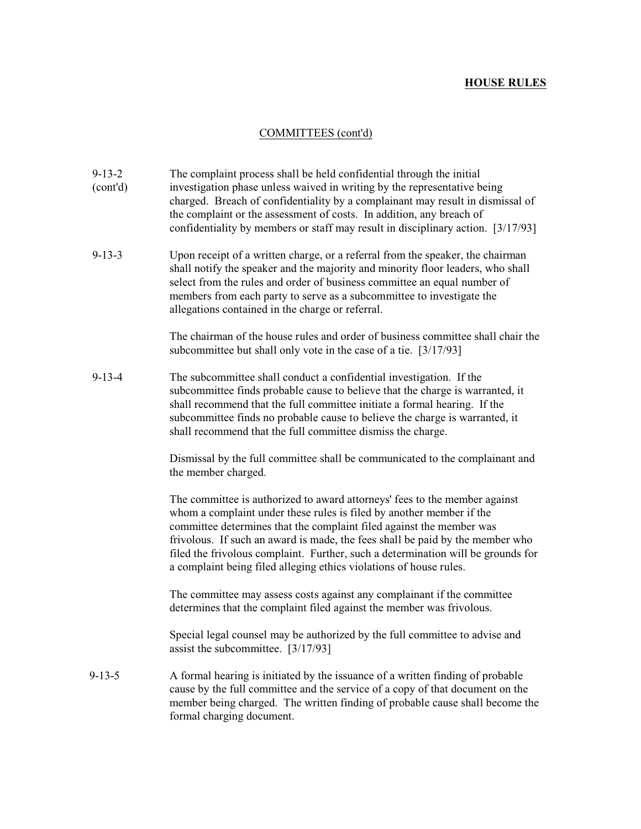## COMMITTEES (cont'd)

| $9 - 13 - 2$<br>(cont'd) | The complaint process shall be held confidential through the initial<br>investigation phase unless waived in writing by the representative being<br>charged. Breach of confidentiality by a complainant may result in dismissal of<br>the complaint or the assessment of costs. In addition, any breach of<br>confidentiality by members or staff may result in disciplinary action. [3/17/93]                                                                        |
|--------------------------|-----------------------------------------------------------------------------------------------------------------------------------------------------------------------------------------------------------------------------------------------------------------------------------------------------------------------------------------------------------------------------------------------------------------------------------------------------------------------|
| $9 - 13 - 3$             | Upon receipt of a written charge, or a referral from the speaker, the chairman<br>shall notify the speaker and the majority and minority floor leaders, who shall<br>select from the rules and order of business committee an equal number of<br>members from each party to serve as a subcommittee to investigate the<br>allegations contained in the charge or referral.                                                                                            |
|                          | The chairman of the house rules and order of business committee shall chair the<br>subcommittee but shall only vote in the case of a tie. [3/17/93]                                                                                                                                                                                                                                                                                                                   |
| $9 - 13 - 4$             | The subcommittee shall conduct a confidential investigation. If the<br>subcommittee finds probable cause to believe that the charge is warranted, it<br>shall recommend that the full committee initiate a formal hearing. If the<br>subcommittee finds no probable cause to believe the charge is warranted, it<br>shall recommend that the full committee dismiss the charge.                                                                                       |
|                          | Dismissal by the full committee shall be communicated to the complainant and<br>the member charged.                                                                                                                                                                                                                                                                                                                                                                   |
|                          | The committee is authorized to award attorneys' fees to the member against<br>whom a complaint under these rules is filed by another member if the<br>committee determines that the complaint filed against the member was<br>frivolous. If such an award is made, the fees shall be paid by the member who<br>filed the frivolous complaint. Further, such a determination will be grounds for<br>a complaint being filed alleging ethics violations of house rules. |
|                          | The committee may assess costs against any complainant if the committee<br>determines that the complaint filed against the member was frivolous.                                                                                                                                                                                                                                                                                                                      |
|                          | Special legal counsel may be authorized by the full committee to advise and<br>assist the subcommittee. [3/17/93]                                                                                                                                                                                                                                                                                                                                                     |
| $9 - 13 - 5$             | A formal hearing is initiated by the issuance of a written finding of probable<br>cause by the full committee and the service of a copy of that document on the<br>member being charged. The written finding of probable cause shall become the<br>formal charging document.                                                                                                                                                                                          |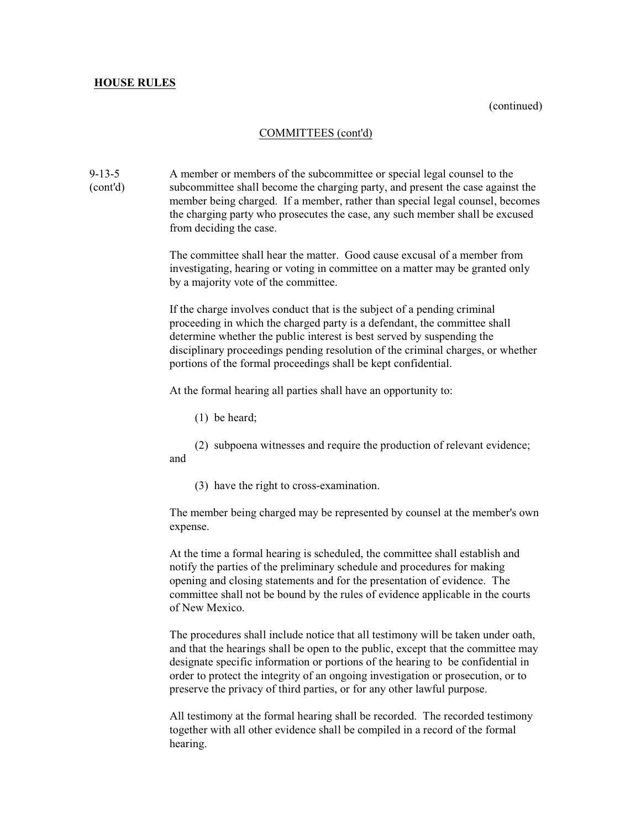(continued)

### COMMITTEES (cont'd)

9-13-5 A member or members of the subcommittee or special legal counsel to the (cont'd) subcommittee shall become the charging party, and present the case against the member being charged. If a member, rather than special legal counsel, becomes the charging party who prosecutes the case, any such member shall be excused from deciding the case.

> The committee shall hear the matter. Good cause excusal of a member from investigating, hearing or voting in committee on a matter may be granted only by a majority vote of the committee.

If the charge involves conduct that is the subject of a pending criminal proceeding in which the charged party is a defendant, the committee shall determine whether the public interest is best served by suspending the disciplinary proceedings pending resolution of the criminal charges, or whether portions of the formal proceedings shall be kept confidential.

At the formal hearing all parties shall have an opportunity to:

(1) be heard;

(2) subpoena witnesses and require the production of relevant evidence; and

(3) have the right to cross-examination.

The member being charged may be represented by counsel at the member's own expense.

At the time a formal hearing is scheduled, the committee shall establish and notify the parties of the preliminary schedule and procedures for making opening and closing statements and for the presentation of evidence. The committee shall not be bound by the rules of evidence applicable in the courts of New Mexico.

The procedures shall include notice that all testimony will be taken under oath, and that the hearings shall be open to the public, except that the committee may designate specific information or portions of the hearing to be confidential in order to protect the integrity of an ongoing investigation or prosecution, or to preserve the privacy of third parties, or for any other lawful purpose.

All testimony at the formal hearing shall be recorded. The recorded testimony together with all other evidence shall be compiled in a record of the formal hearing.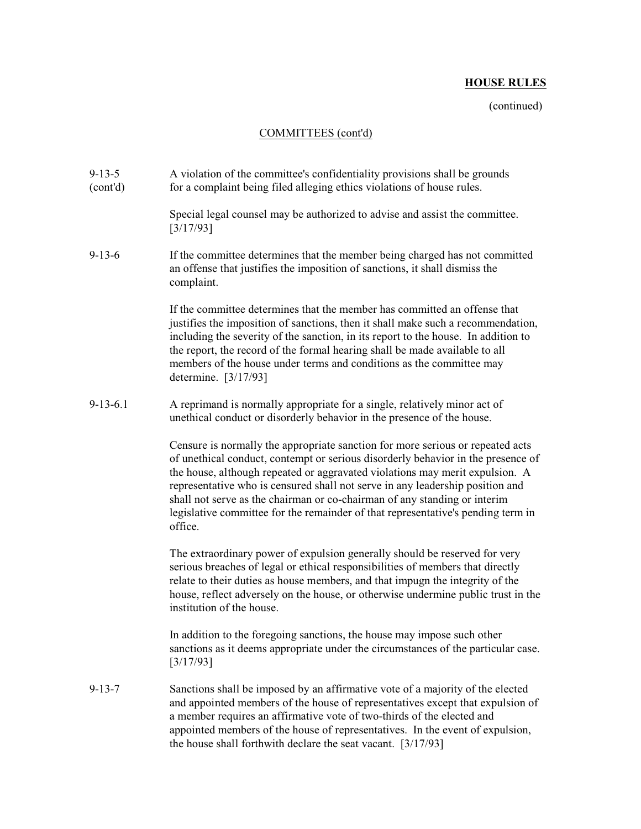(continued)

## COMMITTEES (cont'd)

| $9 - 13 - 5$<br>(cont'd) | A violation of the committee's confidentiality provisions shall be grounds<br>for a complaint being filed alleging ethics violations of house rules.                                                                                                                                                                                                                                                                                                                                                            |
|--------------------------|-----------------------------------------------------------------------------------------------------------------------------------------------------------------------------------------------------------------------------------------------------------------------------------------------------------------------------------------------------------------------------------------------------------------------------------------------------------------------------------------------------------------|
|                          | Special legal counsel may be authorized to advise and assist the committee.<br>[3/17/93]                                                                                                                                                                                                                                                                                                                                                                                                                        |
| $9 - 13 - 6$             | If the committee determines that the member being charged has not committed<br>an offense that justifies the imposition of sanctions, it shall dismiss the<br>complaint.                                                                                                                                                                                                                                                                                                                                        |
|                          | If the committee determines that the member has committed an offense that<br>justifies the imposition of sanctions, then it shall make such a recommendation,<br>including the severity of the sanction, in its report to the house. In addition to<br>the report, the record of the formal hearing shall be made available to all<br>members of the house under terms and conditions as the committee may<br>determine. [3/17/93]                                                                              |
| $9-13-6.1$               | A reprimand is normally appropriate for a single, relatively minor act of<br>unethical conduct or disorderly behavior in the presence of the house.                                                                                                                                                                                                                                                                                                                                                             |
|                          | Censure is normally the appropriate sanction for more serious or repeated acts<br>of unethical conduct, contempt or serious disorderly behavior in the presence of<br>the house, although repeated or aggravated violations may merit expulsion. A<br>representative who is censured shall not serve in any leadership position and<br>shall not serve as the chairman or co-chairman of any standing or interim<br>legislative committee for the remainder of that representative's pending term in<br>office. |
|                          | The extraordinary power of expulsion generally should be reserved for very<br>serious breaches of legal or ethical responsibilities of members that directly<br>relate to their duties as house members, and that impugn the integrity of the<br>house, reflect adversely on the house, or otherwise undermine public trust in the<br>institution of the house.                                                                                                                                                 |
|                          | In addition to the foregoing sanctions, the house may impose such other<br>sanctions as it deems appropriate under the circumstances of the particular case.<br>[3/17/93]                                                                                                                                                                                                                                                                                                                                       |
| $9 - 13 - 7$             | Sanctions shall be imposed by an affirmative vote of a majority of the elected<br>and appointed members of the house of representatives except that expulsion of<br>a member requires an affirmative vote of two-thirds of the elected and<br>appointed members of the house of representatives. In the event of expulsion,<br>the house shall forthwith declare the seat vacant. $[3/17/93]$                                                                                                                   |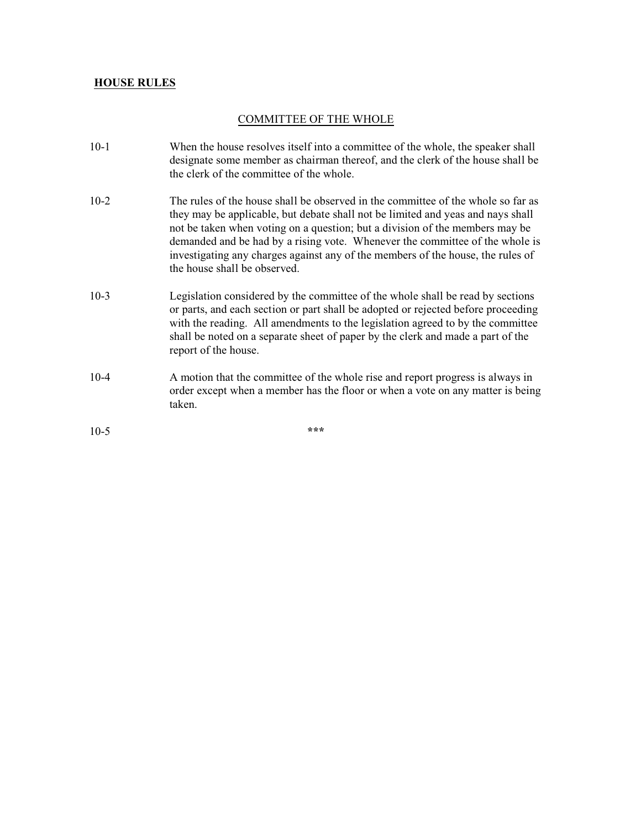### COMMITTEE OF THE WHOLE

- 10-1 When the house resolves itself into a committee of the whole, the speaker shall designate some member as chairman thereof, and the clerk of the house shall be the clerk of the committee of the whole.
- 10-2 The rules of the house shall be observed in the committee of the whole so far as they may be applicable, but debate shall not be limited and yeas and nays shall not be taken when voting on a question; but a division of the members may be demanded and be had by a rising vote. Whenever the committee of the whole is investigating any charges against any of the members of the house, the rules of the house shall be observed.
- 10-3 Legislation considered by the committee of the whole shall be read by sections or parts, and each section or part shall be adopted or rejected before proceeding with the reading. All amendments to the legislation agreed to by the committee shall be noted on a separate sheet of paper by the clerk and made a part of the report of the house.
- 10-4 A motion that the committee of the whole rise and report progress is always in order except when a member has the floor or when a vote on any matter is being taken.

10-5 **\*\*\***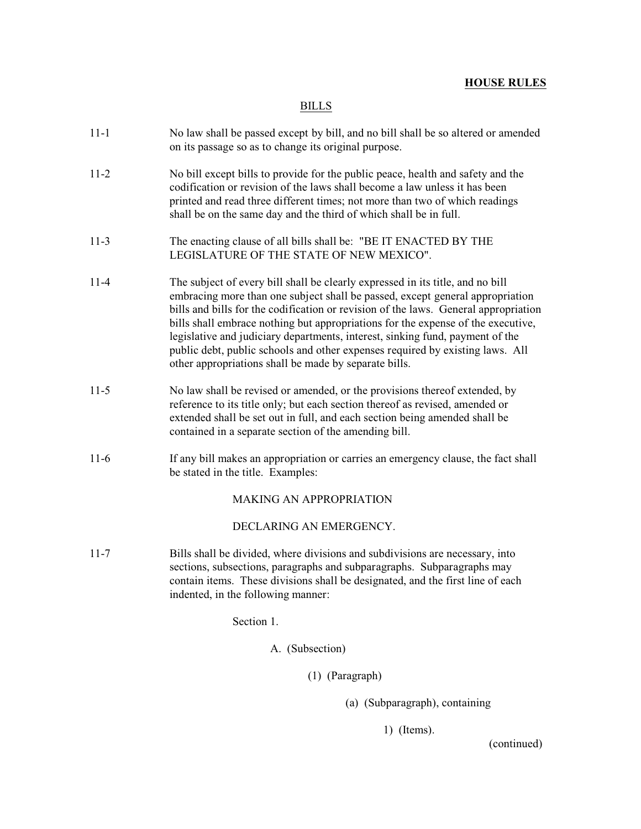BILLS

- 11-1 No law shall be passed except by bill, and no bill shall be so altered or amended on its passage so as to change its original purpose.
- 11-2 No bill except bills to provide for the public peace, health and safety and the codification or revision of the laws shall become a law unless it has been printed and read three different times; not more than two of which readings shall be on the same day and the third of which shall be in full.
- 11-3 The enacting clause of all bills shall be: "BE IT ENACTED BY THE LEGISLATURE OF THE STATE OF NEW MEXICO".
- 11-4 The subject of every bill shall be clearly expressed in its title, and no bill embracing more than one subject shall be passed, except general appropriation bills and bills for the codification or revision of the laws. General appropriation bills shall embrace nothing but appropriations for the expense of the executive, legislative and judiciary departments, interest, sinking fund, payment of the public debt, public schools and other expenses required by existing laws. All other appropriations shall be made by separate bills.
- 11-5 No law shall be revised or amended, or the provisions thereof extended, by reference to its title only; but each section thereof as revised, amended or extended shall be set out in full, and each section being amended shall be contained in a separate section of the amending bill.
- 11-6 If any bill makes an appropriation or carries an emergency clause, the fact shall be stated in the title. Examples:

### MAKING AN APPROPRIATION

DECLARING AN EMERGENCY.

11-7 Bills shall be divided, where divisions and subdivisions are necessary, into sections, subsections, paragraphs and subparagraphs. Subparagraphs may contain items. These divisions shall be designated, and the first line of each indented, in the following manner:

Section 1.

A. (Subsection)

(1) (Paragraph)

(a) (Subparagraph), containing

1) (Items).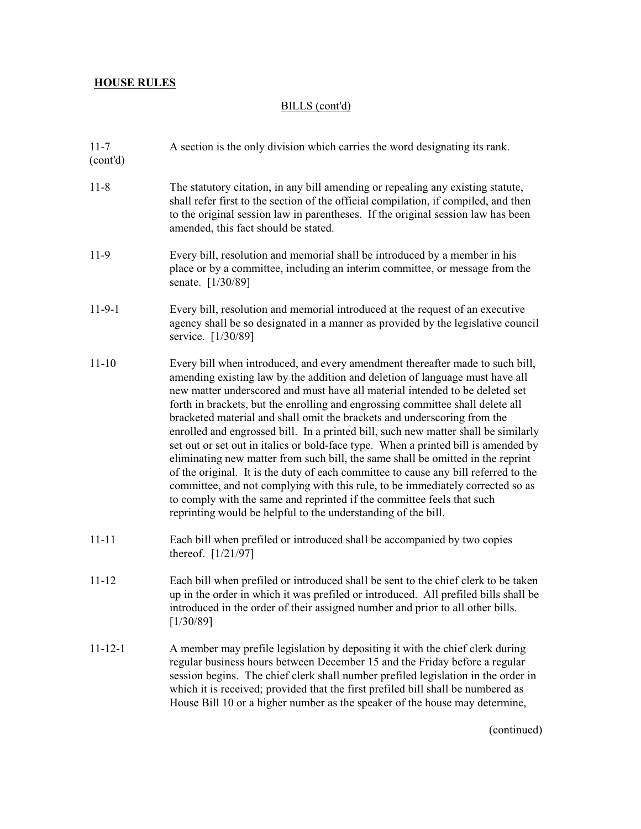# BILLS (cont'd)

| $11 - 7$<br>(cont'd) | A section is the only division which carries the word designating its rank.                                                                                                                                                                                                                                                                                                                                                                                                                                                                                                                                                                                                                                                                                                                                                                                                                                                                                                                    |
|----------------------|------------------------------------------------------------------------------------------------------------------------------------------------------------------------------------------------------------------------------------------------------------------------------------------------------------------------------------------------------------------------------------------------------------------------------------------------------------------------------------------------------------------------------------------------------------------------------------------------------------------------------------------------------------------------------------------------------------------------------------------------------------------------------------------------------------------------------------------------------------------------------------------------------------------------------------------------------------------------------------------------|
| $11 - 8$             | The statutory citation, in any bill amending or repealing any existing statute,<br>shall refer first to the section of the official compilation, if compiled, and then<br>to the original session law in parentheses. If the original session law has been<br>amended, this fact should be stated.                                                                                                                                                                                                                                                                                                                                                                                                                                                                                                                                                                                                                                                                                             |
| 11-9                 | Every bill, resolution and memorial shall be introduced by a member in his<br>place or by a committee, including an interim committee, or message from the<br>senate. [1/30/89]                                                                                                                                                                                                                                                                                                                                                                                                                                                                                                                                                                                                                                                                                                                                                                                                                |
| $11-9-1$             | Every bill, resolution and memorial introduced at the request of an executive<br>agency shall be so designated in a manner as provided by the legislative council<br>service. [1/30/89]                                                                                                                                                                                                                                                                                                                                                                                                                                                                                                                                                                                                                                                                                                                                                                                                        |
| $11 - 10$            | Every bill when introduced, and every amendment thereafter made to such bill,<br>amending existing law by the addition and deletion of language must have all<br>new matter underscored and must have all material intended to be deleted set<br>forth in brackets, but the enrolling and engrossing committee shall delete all<br>bracketed material and shall omit the brackets and underscoring from the<br>enrolled and engrossed bill. In a printed bill, such new matter shall be similarly<br>set out or set out in italics or bold-face type. When a printed bill is amended by<br>eliminating new matter from such bill, the same shall be omitted in the reprint<br>of the original. It is the duty of each committee to cause any bill referred to the<br>committee, and not complying with this rule, to be immediately corrected so as<br>to comply with the same and reprinted if the committee feels that such<br>reprinting would be helpful to the understanding of the bill. |
| $11 - 11$            | Each bill when prefiled or introduced shall be accompanied by two copies<br>thereof. [1/21/97]                                                                                                                                                                                                                                                                                                                                                                                                                                                                                                                                                                                                                                                                                                                                                                                                                                                                                                 |
| $11 - 12$            | Each bill when prefiled or introduced shall be sent to the chief clerk to be taken<br>up in the order in which it was prefiled or introduced. All prefiled bills shall be<br>introduced in the order of their assigned number and prior to all other bills.<br>[1/30/89]                                                                                                                                                                                                                                                                                                                                                                                                                                                                                                                                                                                                                                                                                                                       |
| $11 - 12 - 1$        | A member may prefile legislation by depositing it with the chief clerk during<br>regular business hours between December 15 and the Friday before a regular<br>session begins. The chief clerk shall number prefiled legislation in the order in<br>which it is received; provided that the first prefiled bill shall be numbered as<br>House Bill 10 or a higher number as the speaker of the house may determine,                                                                                                                                                                                                                                                                                                                                                                                                                                                                                                                                                                            |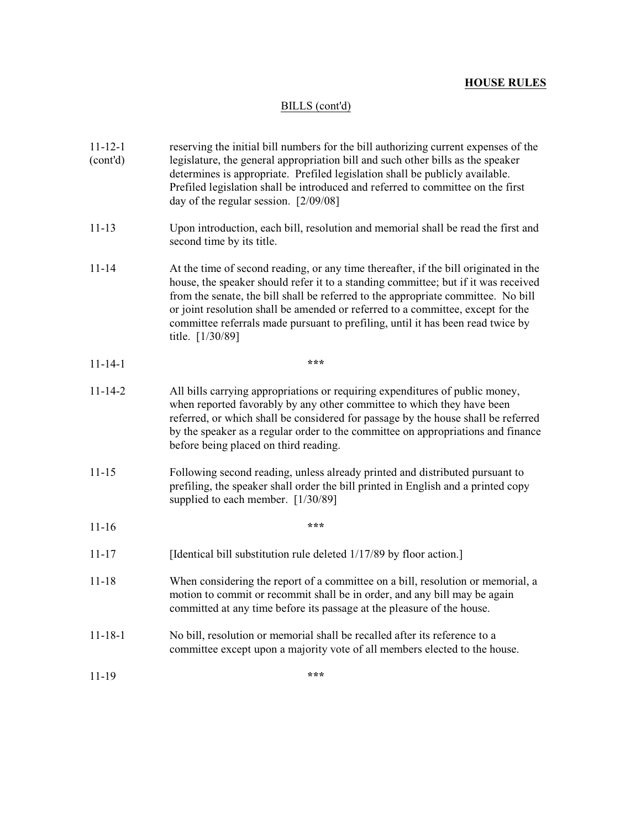# BILLS (cont'd)

| $11 - 12 - 1$<br>(cont'd) | reserving the initial bill numbers for the bill authorizing current expenses of the<br>legislature, the general appropriation bill and such other bills as the speaker<br>determines is appropriate. Prefiled legislation shall be publicly available.<br>Prefiled legislation shall be introduced and referred to committee on the first<br>day of the regular session. [2/09/08]                                                                        |
|---------------------------|-----------------------------------------------------------------------------------------------------------------------------------------------------------------------------------------------------------------------------------------------------------------------------------------------------------------------------------------------------------------------------------------------------------------------------------------------------------|
| $11 - 13$                 | Upon introduction, each bill, resolution and memorial shall be read the first and<br>second time by its title.                                                                                                                                                                                                                                                                                                                                            |
| $11 - 14$                 | At the time of second reading, or any time thereafter, if the bill originated in the<br>house, the speaker should refer it to a standing committee; but if it was received<br>from the senate, the bill shall be referred to the appropriate committee. No bill<br>or joint resolution shall be amended or referred to a committee, except for the<br>committee referrals made pursuant to prefiling, until it has been read twice by<br>title. [1/30/89] |
| $11 - 14 - 1$             | ***                                                                                                                                                                                                                                                                                                                                                                                                                                                       |
| $11 - 14 - 2$             | All bills carrying appropriations or requiring expenditures of public money,<br>when reported favorably by any other committee to which they have been<br>referred, or which shall be considered for passage by the house shall be referred<br>by the speaker as a regular order to the committee on appropriations and finance<br>before being placed on third reading.                                                                                  |
| $11 - 15$                 | Following second reading, unless already printed and distributed pursuant to<br>prefiling, the speaker shall order the bill printed in English and a printed copy<br>supplied to each member. [1/30/89]                                                                                                                                                                                                                                                   |
| $11 - 16$                 | ***                                                                                                                                                                                                                                                                                                                                                                                                                                                       |
| $11 - 17$                 | [Identical bill substitution rule deleted 1/17/89 by floor action.]                                                                                                                                                                                                                                                                                                                                                                                       |
| $11 - 18$                 | When considering the report of a committee on a bill, resolution or memorial, a<br>motion to commit or recommit shall be in order, and any bill may be again<br>committed at any time before its passage at the pleasure of the house.                                                                                                                                                                                                                    |
| $11 - 18 - 1$             | No bill, resolution or memorial shall be recalled after its reference to a<br>committee except upon a majority vote of all members elected to the house.                                                                                                                                                                                                                                                                                                  |
| 11-19                     | ***                                                                                                                                                                                                                                                                                                                                                                                                                                                       |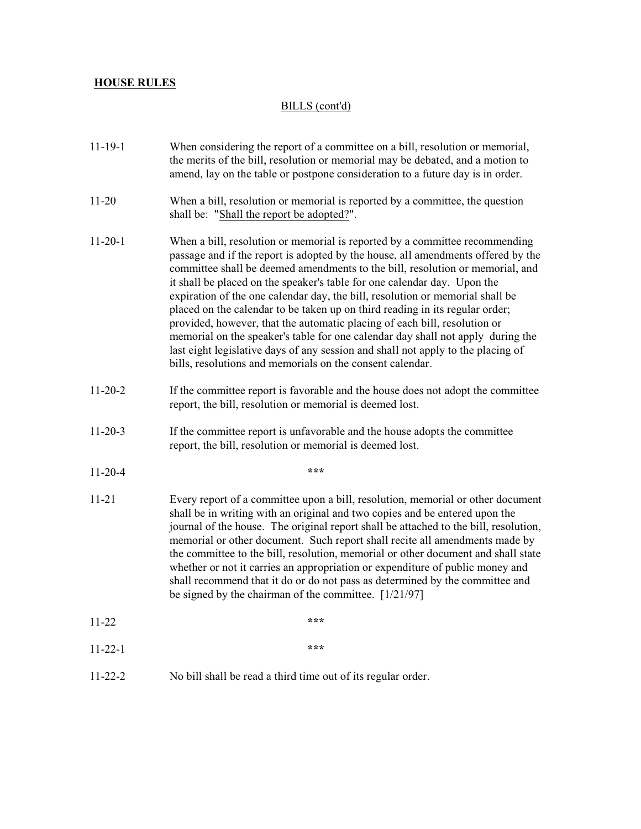# BILLS (cont'd)

| $11 - 19 - 1$ | When considering the report of a committee on a bill, resolution or memorial,<br>the merits of the bill, resolution or memorial may be debated, and a motion to<br>amend, lay on the table or postpone consideration to a future day is in order.                                                                                                                                                                                                                                                                                                                                                                                                                                                                                                                                                              |
|---------------|----------------------------------------------------------------------------------------------------------------------------------------------------------------------------------------------------------------------------------------------------------------------------------------------------------------------------------------------------------------------------------------------------------------------------------------------------------------------------------------------------------------------------------------------------------------------------------------------------------------------------------------------------------------------------------------------------------------------------------------------------------------------------------------------------------------|
| $11 - 20$     | When a bill, resolution or memorial is reported by a committee, the question<br>shall be: "Shall the report be adopted?".                                                                                                                                                                                                                                                                                                                                                                                                                                                                                                                                                                                                                                                                                      |
| $11 - 20 - 1$ | When a bill, resolution or memorial is reported by a committee recommending<br>passage and if the report is adopted by the house, all amendments offered by the<br>committee shall be deemed amendments to the bill, resolution or memorial, and<br>it shall be placed on the speaker's table for one calendar day. Upon the<br>expiration of the one calendar day, the bill, resolution or memorial shall be<br>placed on the calendar to be taken up on third reading in its regular order;<br>provided, however, that the automatic placing of each bill, resolution or<br>memorial on the speaker's table for one calendar day shall not apply during the<br>last eight legislative days of any session and shall not apply to the placing of<br>bills, resolutions and memorials on the consent calendar. |
| $11-20-2$     | If the committee report is favorable and the house does not adopt the committee<br>report, the bill, resolution or memorial is deemed lost.                                                                                                                                                                                                                                                                                                                                                                                                                                                                                                                                                                                                                                                                    |
| $11 - 20 - 3$ | If the committee report is unfavorable and the house adopts the committee<br>report, the bill, resolution or memorial is deemed lost.                                                                                                                                                                                                                                                                                                                                                                                                                                                                                                                                                                                                                                                                          |
| $11-20-4$     | ***                                                                                                                                                                                                                                                                                                                                                                                                                                                                                                                                                                                                                                                                                                                                                                                                            |
| $11 - 21$     | Every report of a committee upon a bill, resolution, memorial or other document<br>shall be in writing with an original and two copies and be entered upon the<br>journal of the house. The original report shall be attached to the bill, resolution,<br>memorial or other document. Such report shall recite all amendments made by<br>the committee to the bill, resolution, memorial or other document and shall state<br>whether or not it carries an appropriation or expenditure of public money and<br>shall recommend that it do or do not pass as determined by the committee and<br>be signed by the chairman of the committee. $[1/21/97]$                                                                                                                                                         |
| $11 - 22$     | ***                                                                                                                                                                                                                                                                                                                                                                                                                                                                                                                                                                                                                                                                                                                                                                                                            |
| $11 - 22 - 1$ | ***                                                                                                                                                                                                                                                                                                                                                                                                                                                                                                                                                                                                                                                                                                                                                                                                            |
| $11 - 22 - 2$ | No bill shall be read a third time out of its regular order.                                                                                                                                                                                                                                                                                                                                                                                                                                                                                                                                                                                                                                                                                                                                                   |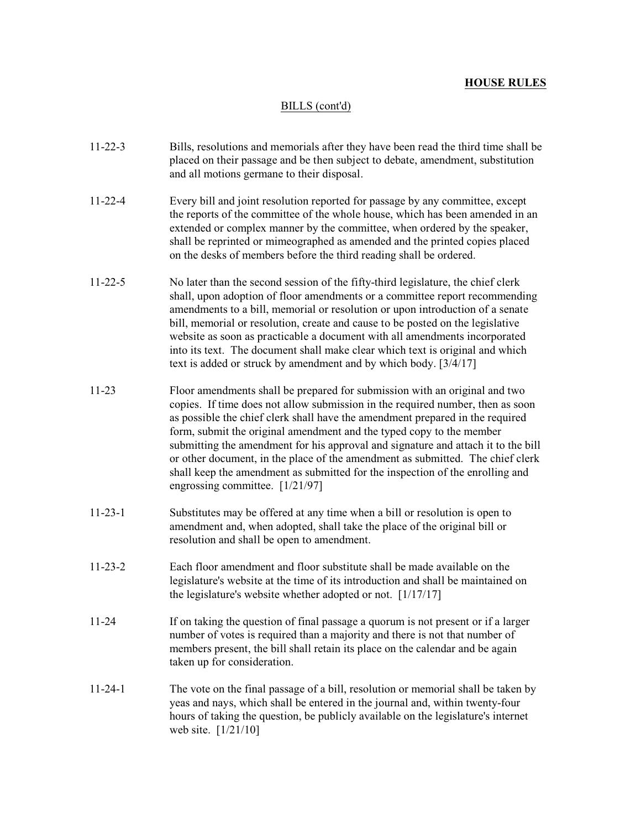### BILLS (cont'd)

- 11-22-3 Bills, resolutions and memorials after they have been read the third time shall be placed on their passage and be then subject to debate, amendment, substitution and all motions germane to their disposal.
- 11-22-4 Every bill and joint resolution reported for passage by any committee, except the reports of the committee of the whole house, which has been amended in an extended or complex manner by the committee, when ordered by the speaker, shall be reprinted or mimeographed as amended and the printed copies placed on the desks of members before the third reading shall be ordered.
- 11-22-5 No later than the second session of the fifty-third legislature, the chief clerk shall, upon adoption of floor amendments or a committee report recommending amendments to a bill, memorial or resolution or upon introduction of a senate bill, memorial or resolution, create and cause to be posted on the legislative website as soon as practicable a document with all amendments incorporated into its text. The document shall make clear which text is original and which text is added or struck by amendment and by which body. [3/4/17]
- 11-23 Floor amendments shall be prepared for submission with an original and two copies. If time does not allow submission in the required number, then as soon as possible the chief clerk shall have the amendment prepared in the required form, submit the original amendment and the typed copy to the member submitting the amendment for his approval and signature and attach it to the bill or other document, in the place of the amendment as submitted. The chief clerk shall keep the amendment as submitted for the inspection of the enrolling and engrossing committee. [1/21/97]
- 11-23-1 Substitutes may be offered at any time when a bill or resolution is open to amendment and, when adopted, shall take the place of the original bill or resolution and shall be open to amendment.
- 11-23-2 Each floor amendment and floor substitute shall be made available on the legislature's website at the time of its introduction and shall be maintained on the legislature's website whether adopted or not. [1/17/17]
- 11-24 If on taking the question of final passage a quorum is not present or if a larger number of votes is required than a majority and there is not that number of members present, the bill shall retain its place on the calendar and be again taken up for consideration.
- 11-24-1 The vote on the final passage of a bill, resolution or memorial shall be taken by yeas and nays, which shall be entered in the journal and, within twenty-four hours of taking the question, be publicly available on the legislature's internet web site. [1/21/10]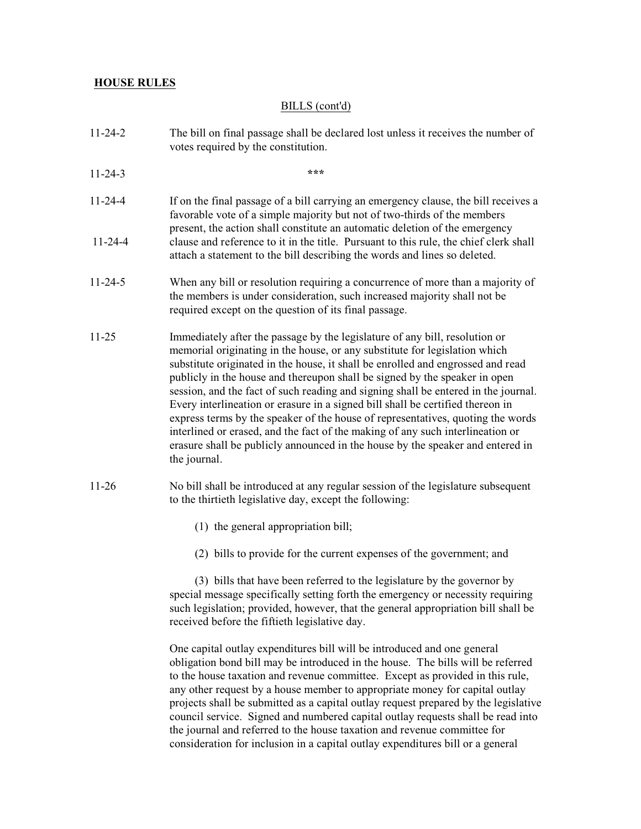### BILLS (cont'd)

- 11-24-2 The bill on final passage shall be declared lost unless it receives the number of votes required by the constitution.
- 11-24-3 **\*\*\***
- 11-24-4 If on the final passage of a bill carrying an emergency clause, the bill receives a favorable vote of a simple majority but not of two-thirds of the members present, the action shall constitute an automatic deletion of the emergency 11-24-4 clause and reference to it in the title. Pursuant to this rule, the chief clerk shall attach a statement to the bill describing the words and lines so deleted.
- 11-24-5 When any bill or resolution requiring a concurrence of more than a majority of the members is under consideration, such increased majority shall not be required except on the question of its final passage.
- 11-25 Immediately after the passage by the legislature of any bill, resolution or memorial originating in the house, or any substitute for legislation which substitute originated in the house, it shall be enrolled and engrossed and read publicly in the house and thereupon shall be signed by the speaker in open session, and the fact of such reading and signing shall be entered in the journal. Every interlineation or erasure in a signed bill shall be certified thereon in express terms by the speaker of the house of representatives, quoting the words interlined or erased, and the fact of the making of any such interlineation or erasure shall be publicly announced in the house by the speaker and entered in the journal.
- 11-26 No bill shall be introduced at any regular session of the legislature subsequent to the thirtieth legislative day, except the following:
	- (1) the general appropriation bill;
	- (2) bills to provide for the current expenses of the government; and

(3) bills that have been referred to the legislature by the governor by special message specifically setting forth the emergency or necessity requiring such legislation; provided, however, that the general appropriation bill shall be received before the fiftieth legislative day.

One capital outlay expenditures bill will be introduced and one general obligation bond bill may be introduced in the house. The bills will be referred to the house taxation and revenue committee. Except as provided in this rule, any other request by a house member to appropriate money for capital outlay projects shall be submitted as a capital outlay request prepared by the legislative council service. Signed and numbered capital outlay requests shall be read into the journal and referred to the house taxation and revenue committee for consideration for inclusion in a capital outlay expenditures bill or a general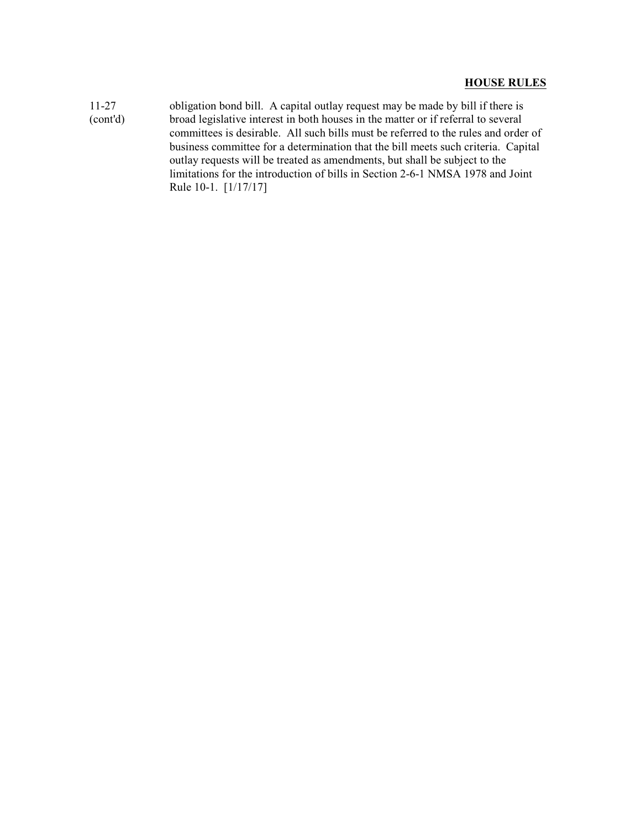11-27 obligation bond bill. A capital outlay request may be made by bill if there is (cont'd) broad legislative interest in both houses in the matter or if referral to several committees is desirable. All such bills must be referred to the rules and order of business committee for a determination that the bill meets such criteria. Capital outlay requests will be treated as amendments, but shall be subject to the limitations for the introduction of bills in Section 2-6-1 NMSA 1978 and Joint Rule 10-1. [1/17/17]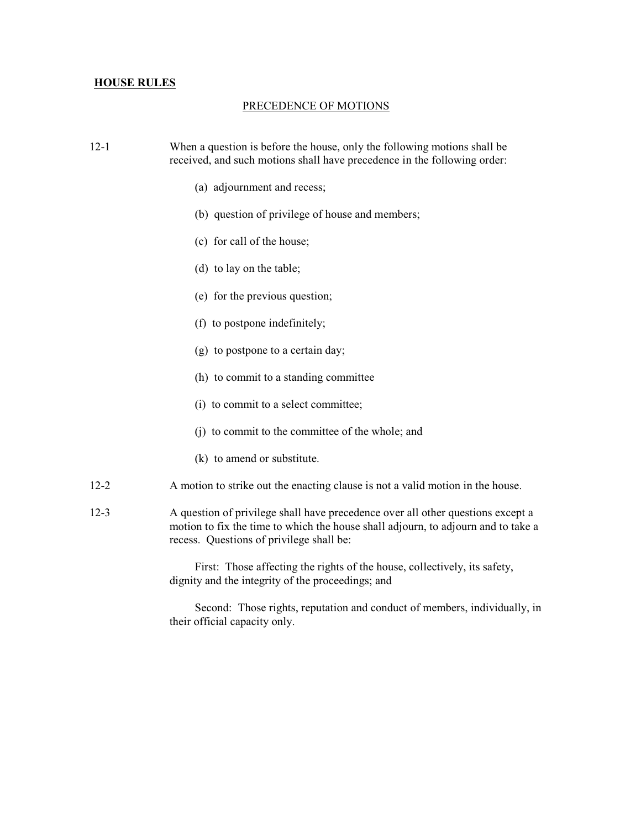#### PRECEDENCE OF MOTIONS

- 12-1 When a question is before the house, only the following motions shall be received, and such motions shall have precedence in the following order:
	- (a) adjournment and recess;
	- (b) question of privilege of house and members;
	- (c) for call of the house;
	- (d) to lay on the table;
	- (e) for the previous question;
	- (f) to postpone indefinitely;
	- (g) to postpone to a certain day;
	- (h) to commit to a standing committee
	- (i) to commit to a select committee;
	- (j) to commit to the committee of the whole; and
	- (k) to amend or substitute.
- 12-2 A motion to strike out the enacting clause is not a valid motion in the house.
- 12-3 A question of privilege shall have precedence over all other questions except a motion to fix the time to which the house shall adjourn, to adjourn and to take a recess. Questions of privilege shall be:

First: Those affecting the rights of the house, collectively, its safety, dignity and the integrity of the proceedings; and

Second: Those rights, reputation and conduct of members, individually, in their official capacity only.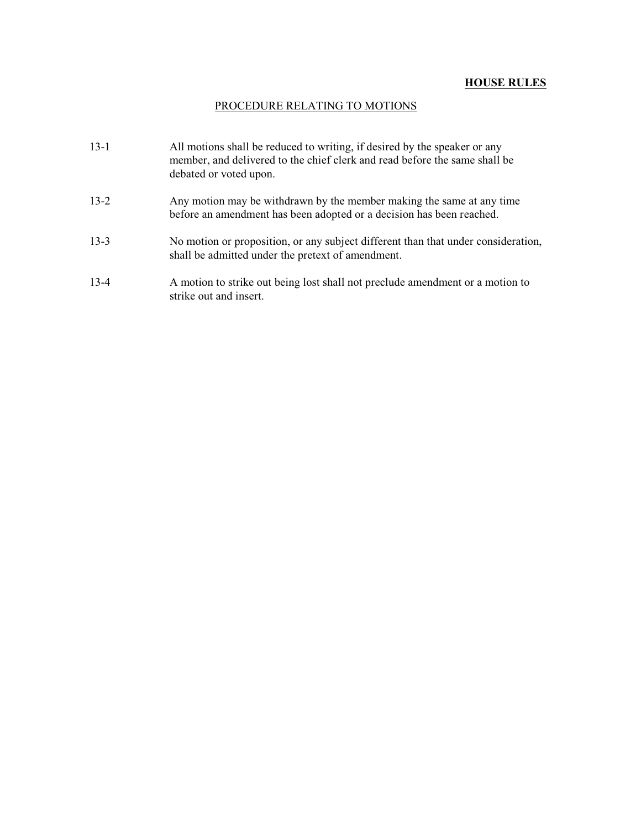## PROCEDURE RELATING TO MOTIONS

| $13-1$   | All motions shall be reduced to writing, if desired by the speaker or any<br>member, and delivered to the chief clerk and read before the same shall be<br>debated or voted upon. |
|----------|-----------------------------------------------------------------------------------------------------------------------------------------------------------------------------------|
| $13-2$   | Any motion may be withdrawn by the member making the same at any time<br>before an amendment has been adopted or a decision has been reached.                                     |
| $13 - 3$ | No motion or proposition, or any subject different than that under consideration,<br>shall be admitted under the pretext of amendment.                                            |
| $13 - 4$ | A motion to strike out being lost shall not preclude amendment or a motion to<br>strike out and insert.                                                                           |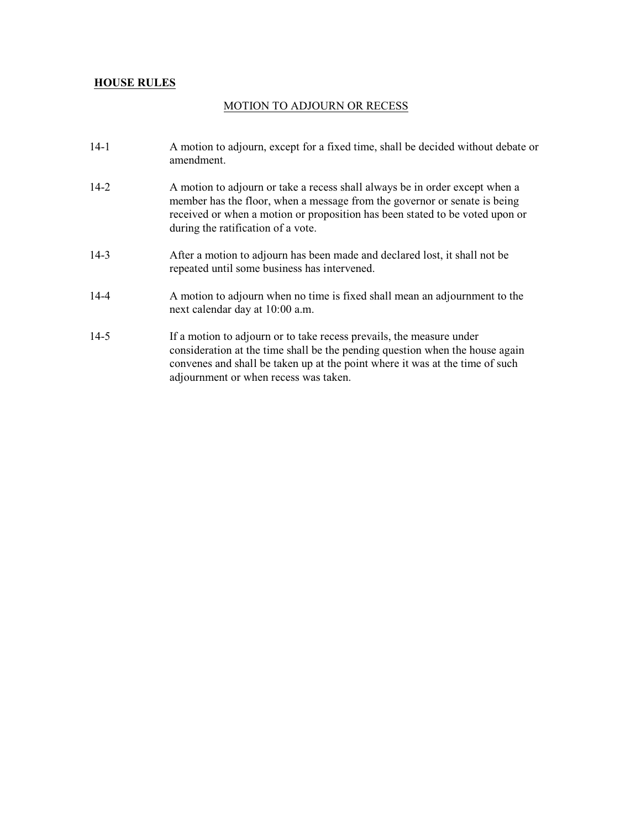### MOTION TO ADJOURN OR RECESS

- 14-1 A motion to adjourn, except for a fixed time, shall be decided without debate or amendment.
- 14-2 A motion to adjourn or take a recess shall always be in order except when a member has the floor, when a message from the governor or senate is being received or when a motion or proposition has been stated to be voted upon or during the ratification of a vote.
- 14-3 After a motion to adjourn has been made and declared lost, it shall not be repeated until some business has intervened.
- 14-4 A motion to adjourn when no time is fixed shall mean an adjournment to the next calendar day at 10:00 a.m.
- 14-5 If a motion to adjourn or to take recess prevails, the measure under consideration at the time shall be the pending question when the house again convenes and shall be taken up at the point where it was at the time of such adjournment or when recess was taken.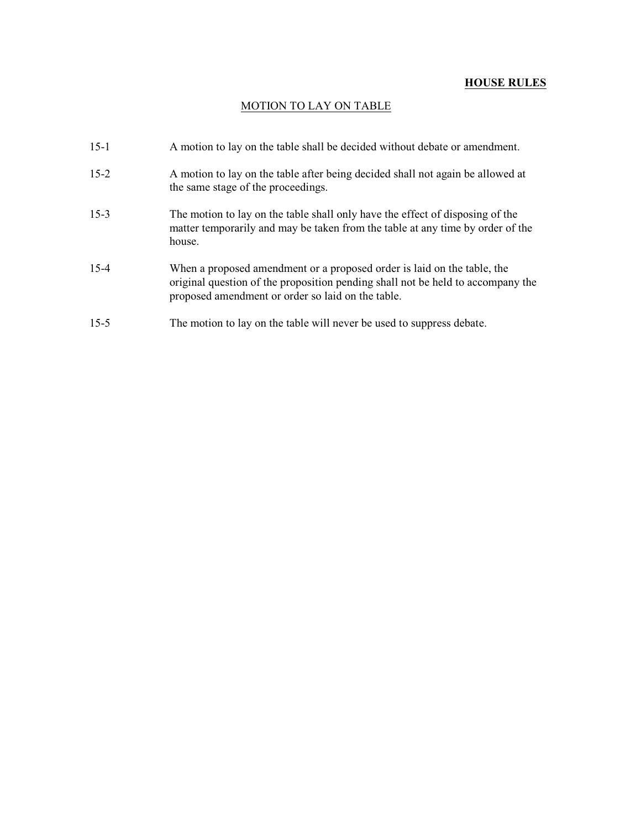## MOTION TO LAY ON TABLE

| $15-1$   | A motion to lay on the table shall be decided without debate or amendment.                                                                                                                                      |
|----------|-----------------------------------------------------------------------------------------------------------------------------------------------------------------------------------------------------------------|
| $15 - 2$ | A motion to lay on the table after being decided shall not again be allowed at<br>the same stage of the proceedings.                                                                                            |
| $15-3$   | The motion to lay on the table shall only have the effect of disposing of the<br>matter temporarily and may be taken from the table at any time by order of the<br>house.                                       |
| $15 - 4$ | When a proposed amendment or a proposed order is laid on the table, the<br>original question of the proposition pending shall not be held to accompany the<br>proposed amendment or order so laid on the table. |
| $15 - 5$ | The motion to lay on the table will never be used to suppress debate.                                                                                                                                           |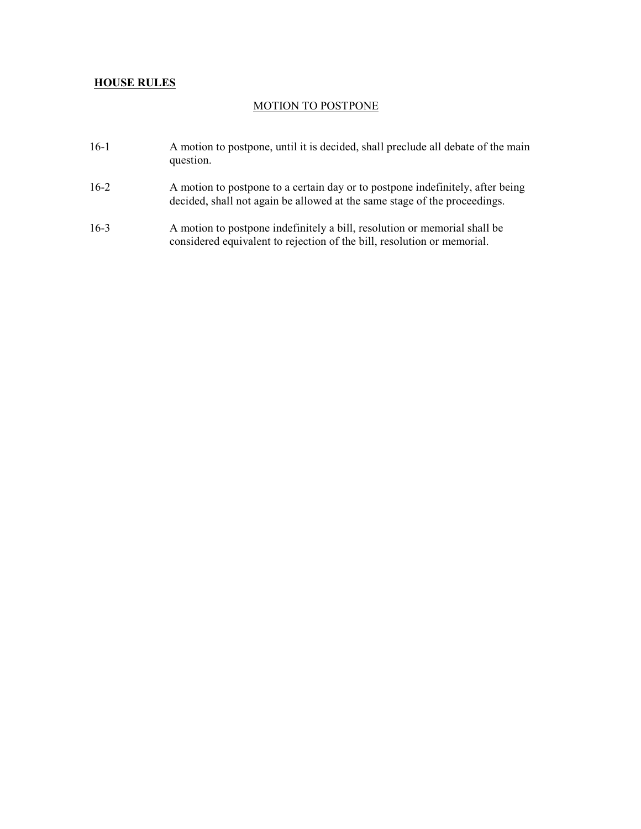### MOTION TO POSTPONE

- 16-1 A motion to postpone, until it is decided, shall preclude all debate of the main question.
- 16-2 A motion to postpone to a certain day or to postpone indefinitely, after being decided, shall not again be allowed at the same stage of the proceedings.
- 16-3 A motion to postpone indefinitely a bill, resolution or memorial shall be considered equivalent to rejection of the bill, resolution or memorial.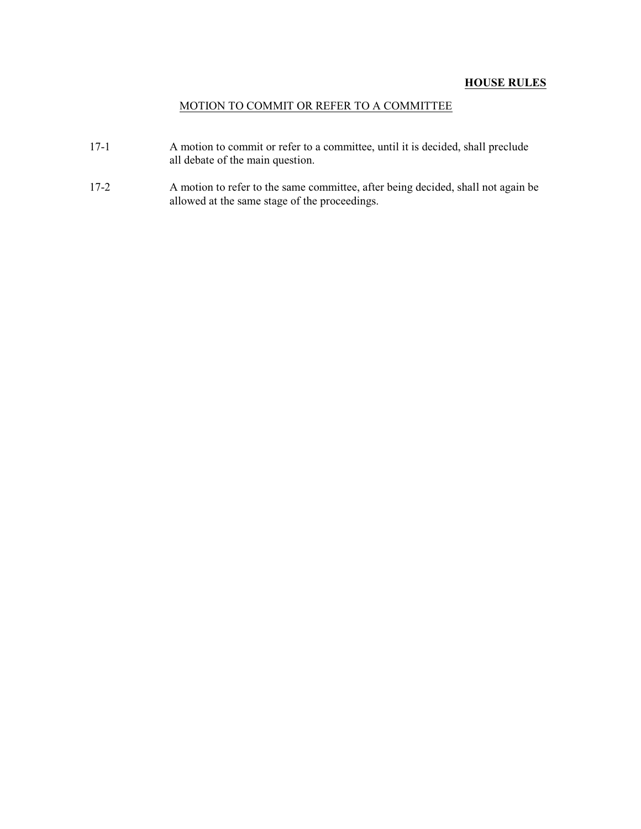## MOTION TO COMMIT OR REFER TO A COMMITTEE

- 17-1 A motion to commit or refer to a committee, until it is decided, shall preclude all debate of the main question.
- 17-2 A motion to refer to the same committee, after being decided, shall not again be allowed at the same stage of the proceedings.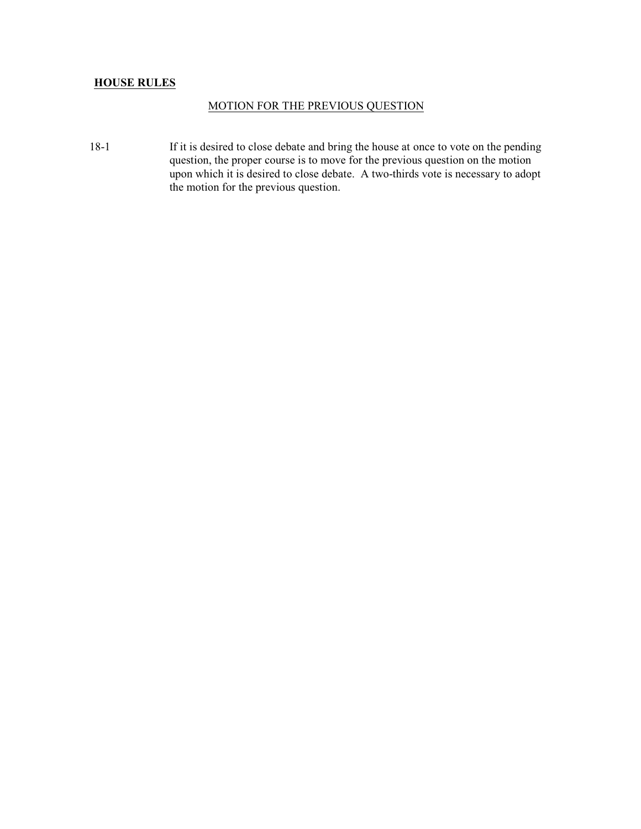### MOTION FOR THE PREVIOUS QUESTION

18-1 If it is desired to close debate and bring the house at once to vote on the pending question, the proper course is to move for the previous question on the motion upon which it is desired to close debate. A two-thirds vote is necessary to adopt the motion for the previous question.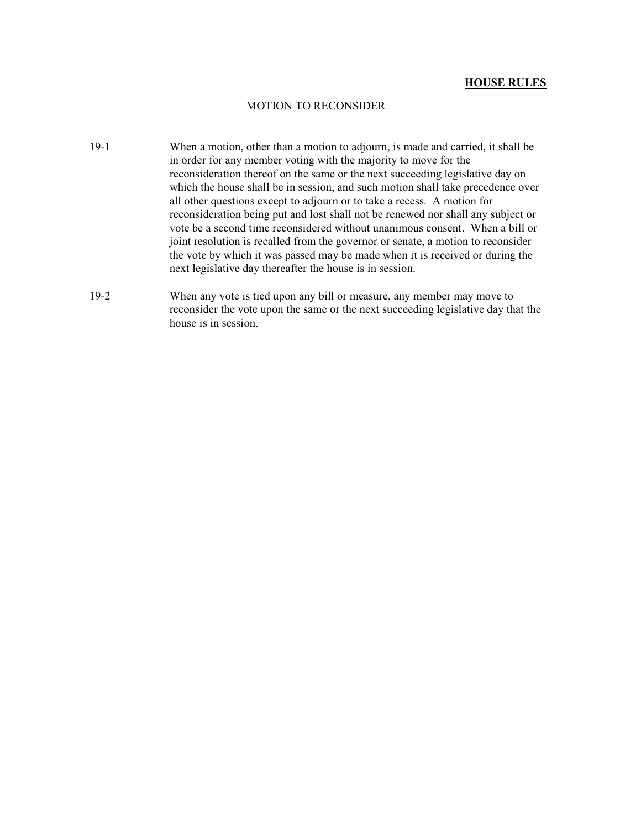### MOTION TO RECONSIDER

- 19-1 When a motion, other than a motion to adjourn, is made and carried, it shall be in order for any member voting with the majority to move for the reconsideration thereof on the same or the next succeeding legislative day on which the house shall be in session, and such motion shall take precedence over all other questions except to adjourn or to take a recess. A motion for reconsideration being put and lost shall not be renewed nor shall any subject or vote be a second time reconsidered without unanimous consent. When a bill or joint resolution is recalled from the governor or senate, a motion to reconsider the vote by which it was passed may be made when it is received or during the next legislative day thereafter the house is in session.
- 19-2 When any vote is tied upon any bill or measure, any member may move to reconsider the vote upon the same or the next succeeding legislative day that the house is in session.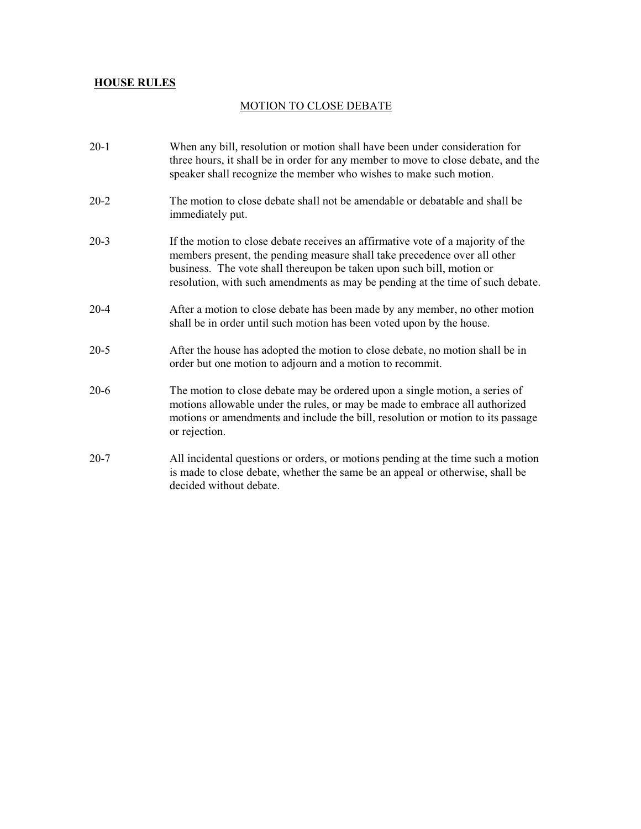## MOTION TO CLOSE DEBATE

| $20-1$   | When any bill, resolution or motion shall have been under consideration for<br>three hours, it shall be in order for any member to move to close debate, and the<br>speaker shall recognize the member who wishes to make such motion.                                                                                  |
|----------|-------------------------------------------------------------------------------------------------------------------------------------------------------------------------------------------------------------------------------------------------------------------------------------------------------------------------|
| $20 - 2$ | The motion to close debate shall not be amendable or debatable and shall be<br>immediately put.                                                                                                                                                                                                                         |
| $20 - 3$ | If the motion to close debate receives an affirmative vote of a majority of the<br>members present, the pending measure shall take precedence over all other<br>business. The vote shall thereupon be taken upon such bill, motion or<br>resolution, with such amendments as may be pending at the time of such debate. |
| $20 - 4$ | After a motion to close debate has been made by any member, no other motion<br>shall be in order until such motion has been voted upon by the house.                                                                                                                                                                    |
| $20 - 5$ | After the house has adopted the motion to close debate, no motion shall be in<br>order but one motion to adjourn and a motion to recommit.                                                                                                                                                                              |
| $20-6$   | The motion to close debate may be ordered upon a single motion, a series of<br>motions allowable under the rules, or may be made to embrace all authorized<br>motions or amendments and include the bill, resolution or motion to its passage<br>or rejection.                                                          |
| $20 - 7$ | All incidental questions or orders, or motions pending at the time such a motion<br>is made to close debate, whether the same be an appeal or otherwise, shall be<br>decided without debate.                                                                                                                            |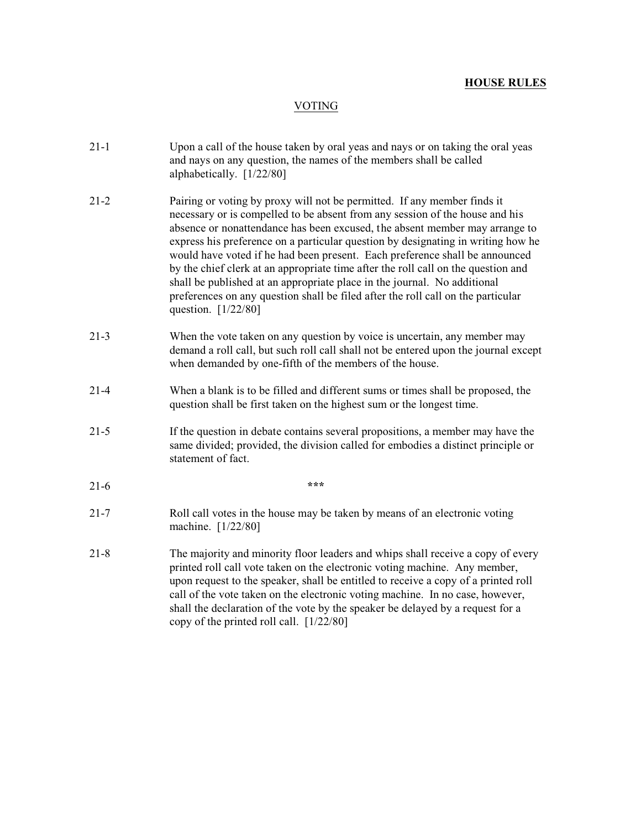## VOTING

| $21-1$   | Upon a call of the house taken by oral yeas and nays or on taking the oral yeas<br>and nays on any question, the names of the members shall be called<br>alphabetically. [1/22/80]                                                                                                                                                                                                                                                                                                                                                                                                                                                                                                     |
|----------|----------------------------------------------------------------------------------------------------------------------------------------------------------------------------------------------------------------------------------------------------------------------------------------------------------------------------------------------------------------------------------------------------------------------------------------------------------------------------------------------------------------------------------------------------------------------------------------------------------------------------------------------------------------------------------------|
| $21 - 2$ | Pairing or voting by proxy will not be permitted. If any member finds it<br>necessary or is compelled to be absent from any session of the house and his<br>absence or nonattendance has been excused, the absent member may arrange to<br>express his preference on a particular question by designating in writing how he<br>would have voted if he had been present. Each preference shall be announced<br>by the chief clerk at an appropriate time after the roll call on the question and<br>shall be published at an appropriate place in the journal. No additional<br>preferences on any question shall be filed after the roll call on the particular<br>question. [1/22/80] |
| $21-3$   | When the vote taken on any question by voice is uncertain, any member may<br>demand a roll call, but such roll call shall not be entered upon the journal except<br>when demanded by one-fifth of the members of the house.                                                                                                                                                                                                                                                                                                                                                                                                                                                            |
| $21 - 4$ | When a blank is to be filled and different sums or times shall be proposed, the<br>question shall be first taken on the highest sum or the longest time.                                                                                                                                                                                                                                                                                                                                                                                                                                                                                                                               |
| $21 - 5$ | If the question in debate contains several propositions, a member may have the<br>same divided; provided, the division called for embodies a distinct principle or<br>statement of fact.                                                                                                                                                                                                                                                                                                                                                                                                                                                                                               |
| $21-6$   | ***                                                                                                                                                                                                                                                                                                                                                                                                                                                                                                                                                                                                                                                                                    |
| $21 - 7$ | Roll call votes in the house may be taken by means of an electronic voting<br>machine. [1/22/80]                                                                                                                                                                                                                                                                                                                                                                                                                                                                                                                                                                                       |
| $21 - 8$ | The majority and minority floor leaders and whips shall receive a copy of every<br>printed roll call vote taken on the electronic voting machine. Any member,<br>upon request to the speaker, shall be entitled to receive a copy of a printed roll<br>call of the vote taken on the electronic voting machine. In no case, however,<br>shall the declaration of the vote by the speaker be delayed by a request for a<br>copy of the printed roll call. [1/22/80]                                                                                                                                                                                                                     |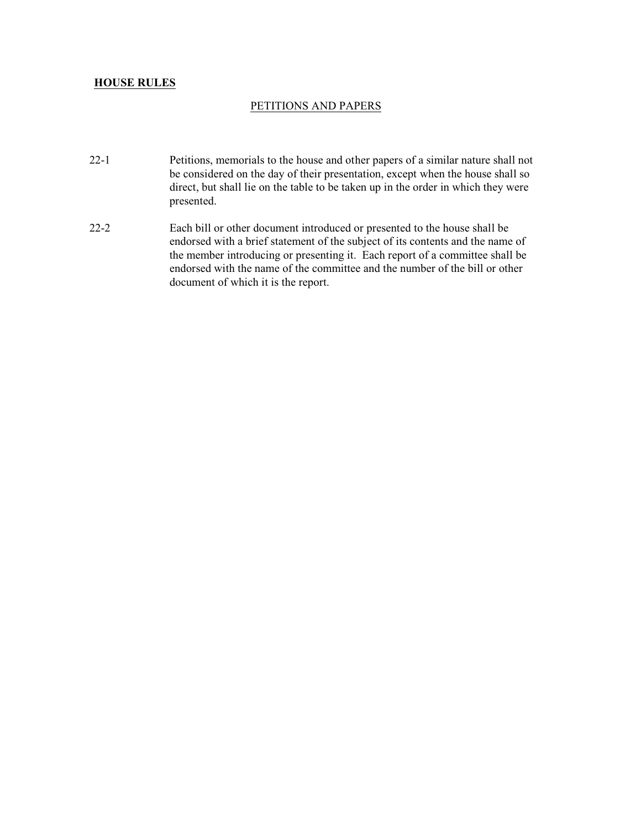### PETITIONS AND PAPERS

- 22-1 Petitions, memorials to the house and other papers of a similar nature shall not be considered on the day of their presentation, except when the house shall so direct, but shall lie on the table to be taken up in the order in which they were presented.
- 22-2 Each bill or other document introduced or presented to the house shall be endorsed with a brief statement of the subject of its contents and the name of the member introducing or presenting it. Each report of a committee shall be endorsed with the name of the committee and the number of the bill or other document of which it is the report.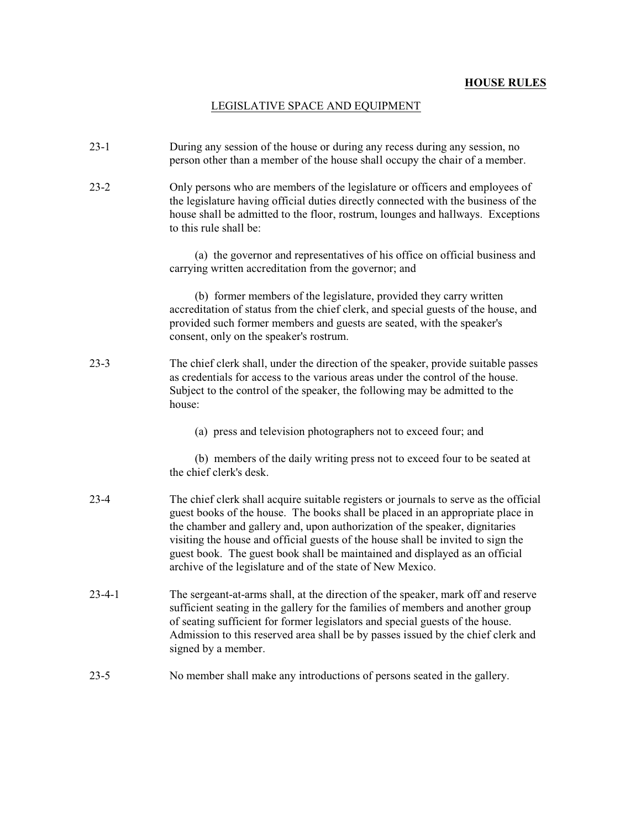## LEGISLATIVE SPACE AND EQUIPMENT

| $23-1$       | During any session of the house or during any recess during any session, no<br>person other than a member of the house shall occupy the chair of a member.                                                                                                                                                                                                                                                                                                                              |
|--------------|-----------------------------------------------------------------------------------------------------------------------------------------------------------------------------------------------------------------------------------------------------------------------------------------------------------------------------------------------------------------------------------------------------------------------------------------------------------------------------------------|
| $23 - 2$     | Only persons who are members of the legislature or officers and employees of<br>the legislature having official duties directly connected with the business of the<br>house shall be admitted to the floor, rostrum, lounges and hallways. Exceptions<br>to this rule shall be:                                                                                                                                                                                                         |
|              | (a) the governor and representatives of his office on official business and<br>carrying written accreditation from the governor; and                                                                                                                                                                                                                                                                                                                                                    |
|              | (b) former members of the legislature, provided they carry written<br>accreditation of status from the chief clerk, and special guests of the house, and<br>provided such former members and guests are seated, with the speaker's<br>consent, only on the speaker's rostrum.                                                                                                                                                                                                           |
| $23 - 3$     | The chief clerk shall, under the direction of the speaker, provide suitable passes<br>as credentials for access to the various areas under the control of the house.<br>Subject to the control of the speaker, the following may be admitted to the<br>house:                                                                                                                                                                                                                           |
|              | (a) press and television photographers not to exceed four; and                                                                                                                                                                                                                                                                                                                                                                                                                          |
|              | (b) members of the daily writing press not to exceed four to be seated at<br>the chief clerk's desk.                                                                                                                                                                                                                                                                                                                                                                                    |
| $23-4$       | The chief clerk shall acquire suitable registers or journals to serve as the official<br>guest books of the house. The books shall be placed in an appropriate place in<br>the chamber and gallery and, upon authorization of the speaker, dignitaries<br>visiting the house and official guests of the house shall be invited to sign the<br>guest book. The guest book shall be maintained and displayed as an official<br>archive of the legislature and of the state of New Mexico. |
| $23 - 4 - 1$ | The sergeant-at-arms shall, at the direction of the speaker, mark off and reserve<br>sufficient seating in the gallery for the families of members and another group<br>of seating sufficient for former legislators and special guests of the house.<br>Admission to this reserved area shall be by passes issued by the chief clerk and<br>signed by a member.                                                                                                                        |
| $23 - 5$     | No member shall make any introductions of persons seated in the gallery.                                                                                                                                                                                                                                                                                                                                                                                                                |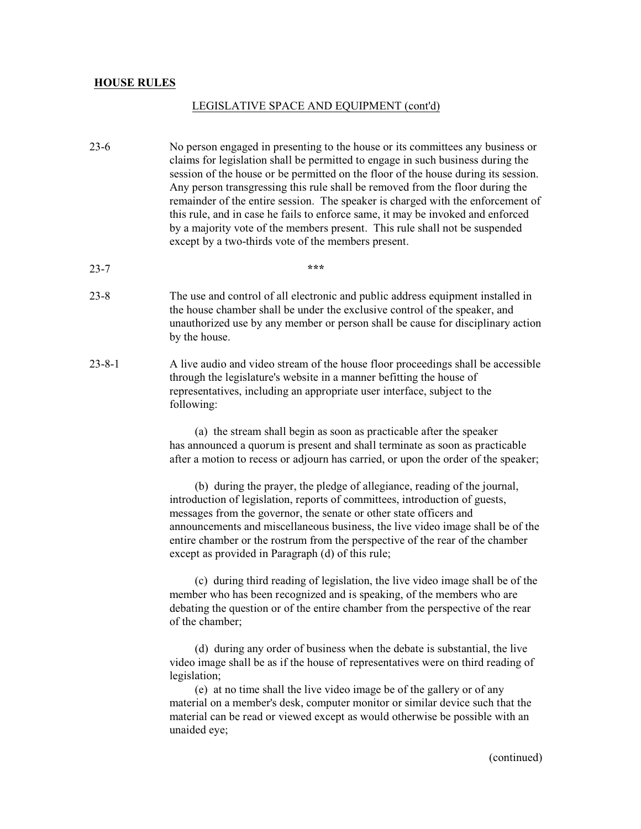#### LEGISLATIVE SPACE AND EQUIPMENT (cont'd)

- 23-6 No person engaged in presenting to the house or its committees any business or claims for legislation shall be permitted to engage in such business during the session of the house or be permitted on the floor of the house during its session. Any person transgressing this rule shall be removed from the floor during the remainder of the entire session. The speaker is charged with the enforcement of this rule, and in case he fails to enforce same, it may be invoked and enforced by a majority vote of the members present. This rule shall not be suspended except by a two-thirds vote of the members present.
- 23-7 **\*\*\***
- 23-8 The use and control of all electronic and public address equipment installed in the house chamber shall be under the exclusive control of the speaker, and unauthorized use by any member or person shall be cause for disciplinary action by the house.
- 23-8-1 A live audio and video stream of the house floor proceedings shall be accessible through the legislature's website in a manner befitting the house of representatives, including an appropriate user interface, subject to the following:

(a) the stream shall begin as soon as practicable after the speaker has announced a quorum is present and shall terminate as soon as practicable after a motion to recess or adjourn has carried, or upon the order of the speaker;

(b) during the prayer, the pledge of allegiance, reading of the journal, introduction of legislation, reports of committees, introduction of guests, messages from the governor, the senate or other state officers and announcements and miscellaneous business, the live video image shall be of the entire chamber or the rostrum from the perspective of the rear of the chamber except as provided in Paragraph (d) of this rule;

(c) during third reading of legislation, the live video image shall be of the member who has been recognized and is speaking, of the members who are debating the question or of the entire chamber from the perspective of the rear of the chamber;

(d) during any order of business when the debate is substantial, the live video image shall be as if the house of representatives were on third reading of legislation;

(e) at no time shall the live video image be of the gallery or of any material on a member's desk, computer monitor or similar device such that the material can be read or viewed except as would otherwise be possible with an unaided eye;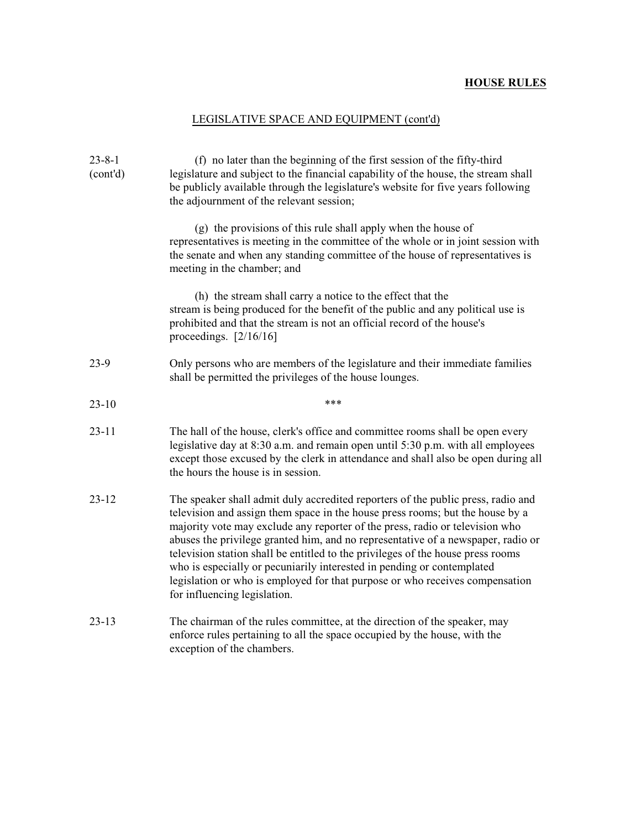# LEGISLATIVE SPACE AND EQUIPMENT (cont'd)

| $23 - 8 - 1$<br>(cont'd) | (f) no later than the beginning of the first session of the fifty-third<br>legislature and subject to the financial capability of the house, the stream shall<br>be publicly available through the legislature's website for five years following<br>the adjournment of the relevant session;                                                                                                                                                                                                                                                                                                                      |  |  |
|--------------------------|--------------------------------------------------------------------------------------------------------------------------------------------------------------------------------------------------------------------------------------------------------------------------------------------------------------------------------------------------------------------------------------------------------------------------------------------------------------------------------------------------------------------------------------------------------------------------------------------------------------------|--|--|
|                          | (g) the provisions of this rule shall apply when the house of<br>representatives is meeting in the committee of the whole or in joint session with<br>the senate and when any standing committee of the house of representatives is<br>meeting in the chamber; and                                                                                                                                                                                                                                                                                                                                                 |  |  |
|                          | (h) the stream shall carry a notice to the effect that the<br>stream is being produced for the benefit of the public and any political use is<br>prohibited and that the stream is not an official record of the house's<br>proceedings. $[2/16/16]$                                                                                                                                                                                                                                                                                                                                                               |  |  |
| $23-9$                   | Only persons who are members of the legislature and their immediate families<br>shall be permitted the privileges of the house lounges.                                                                                                                                                                                                                                                                                                                                                                                                                                                                            |  |  |
| $23-10$                  | ***                                                                                                                                                                                                                                                                                                                                                                                                                                                                                                                                                                                                                |  |  |
| 23-11                    | The hall of the house, clerk's office and committee rooms shall be open every<br>legislative day at 8:30 a.m. and remain open until 5:30 p.m. with all employees<br>except those excused by the clerk in attendance and shall also be open during all<br>the hours the house is in session.                                                                                                                                                                                                                                                                                                                        |  |  |
| $23 - 12$                | The speaker shall admit duly accredited reporters of the public press, radio and<br>television and assign them space in the house press rooms; but the house by a<br>majority vote may exclude any reporter of the press, radio or television who<br>abuses the privilege granted him, and no representative of a newspaper, radio or<br>television station shall be entitled to the privileges of the house press rooms<br>who is especially or pecuniarily interested in pending or contemplated<br>legislation or who is employed for that purpose or who receives compensation<br>for influencing legislation. |  |  |
| $23 - 13$                | The chairman of the rules committee, at the direction of the speaker, may<br>enforce rules pertaining to all the space occupied by the house, with the<br>exception of the chambers.                                                                                                                                                                                                                                                                                                                                                                                                                               |  |  |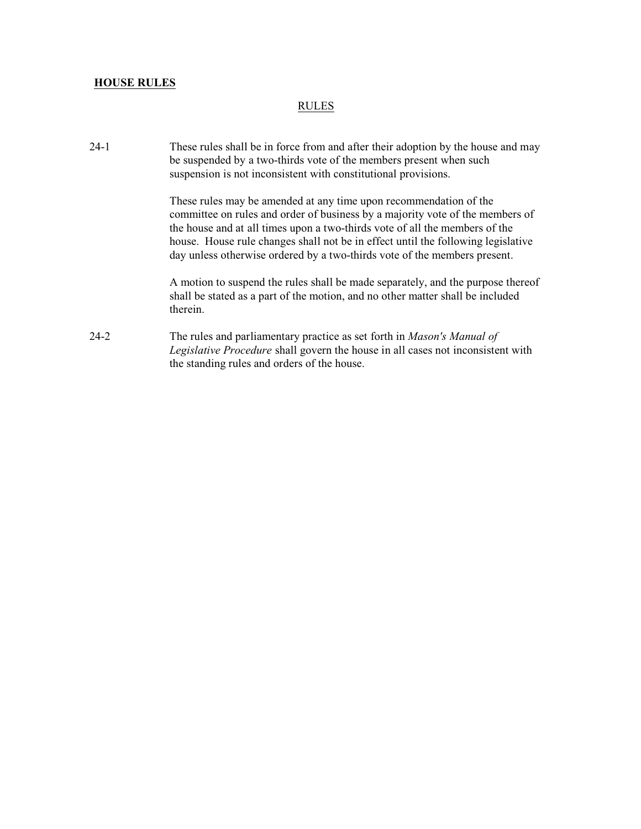### RULES

24-1 These rules shall be in force from and after their adoption by the house and may be suspended by a two-thirds vote of the members present when such suspension is not inconsistent with constitutional provisions.

> These rules may be amended at any time upon recommendation of the committee on rules and order of business by a majority vote of the members of the house and at all times upon a two-thirds vote of all the members of the house. House rule changes shall not be in effect until the following legislative day unless otherwise ordered by a two-thirds vote of the members present.

A motion to suspend the rules shall be made separately, and the purpose thereof shall be stated as a part of the motion, and no other matter shall be included therein.

24-2 The rules and parliamentary practice as set forth in *Mason's Manual of Legislative Procedure* shall govern the house in all cases not inconsistent with the standing rules and orders of the house.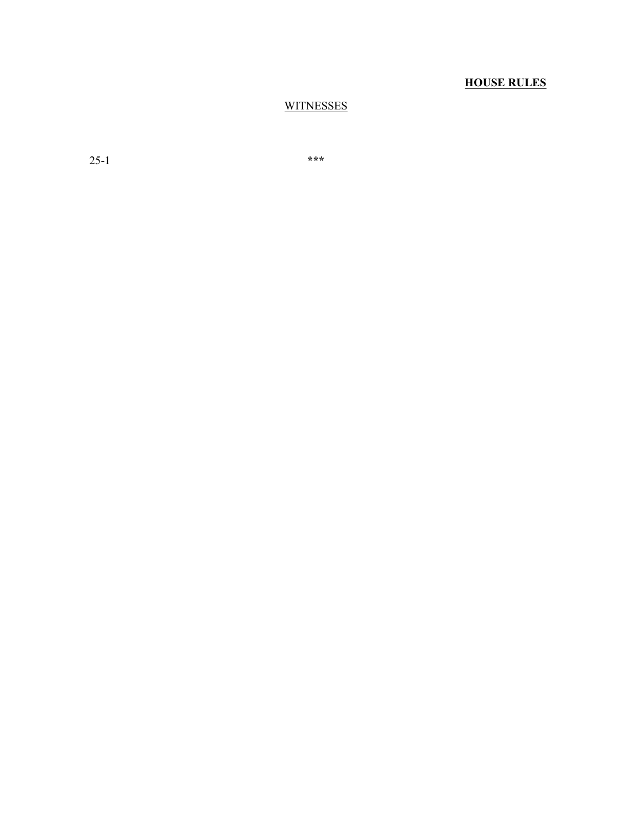## **WITNESSES**

25-1 **\*\*\***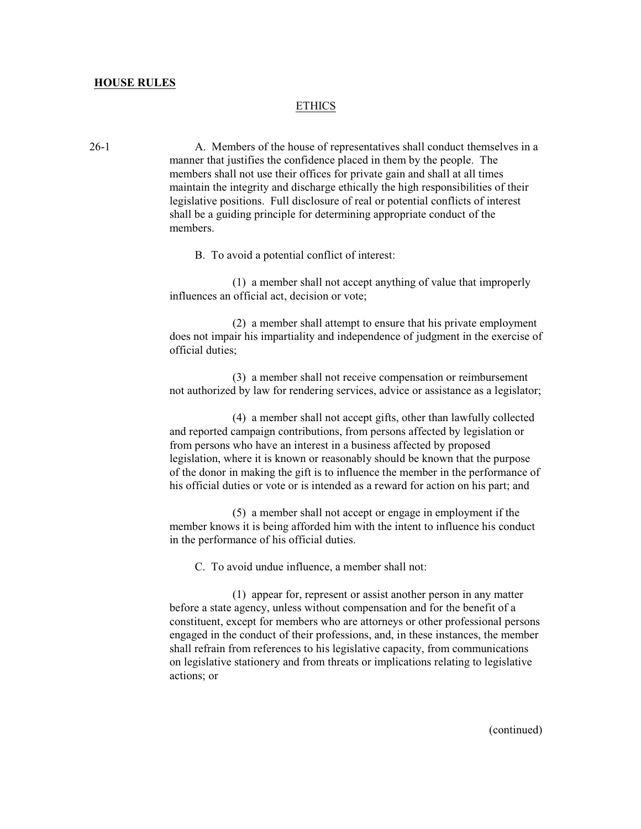### ETHICS

26-1 A. Members of the house of representatives shall conduct themselves in a manner that justifies the confidence placed in them by the people. The members shall not use their offices for private gain and shall at all times maintain the integrity and discharge ethically the high responsibilities of their legislative positions. Full disclosure of real or potential conflicts of interest shall be a guiding principle for determining appropriate conduct of the members.

B. To avoid a potential conflict of interest:

(1) a member shall not accept anything of value that improperly influences an official act, decision or vote;

(2) a member shall attempt to ensure that his private employment does not impair his impartiality and independence of judgment in the exercise of official duties;

(3) a member shall not receive compensation or reimbursement not authorized by law for rendering services, advice or assistance as a legislator;

(4) a member shall not accept gifts, other than lawfully collected and reported campaign contributions, from persons affected by legislation or from persons who have an interest in a business affected by proposed legislation, where it is known or reasonably should be known that the purpose of the donor in making the gift is to influence the member in the performance of his official duties or vote or is intended as a reward for action on his part; and

(5) a member shall not accept or engage in employment if the member knows it is being afforded him with the intent to influence his conduct in the performance of his official duties.

C. To avoid undue influence, a member shall not:

(1) appear for, represent or assist another person in any matter before a state agency, unless without compensation and for the benefit of a constituent, except for members who are attorneys or other professional persons engaged in the conduct of their professions, and, in these instances, the member shall refrain from references to his legislative capacity, from communications on legislative stationery and from threats or implications relating to legislative actions; or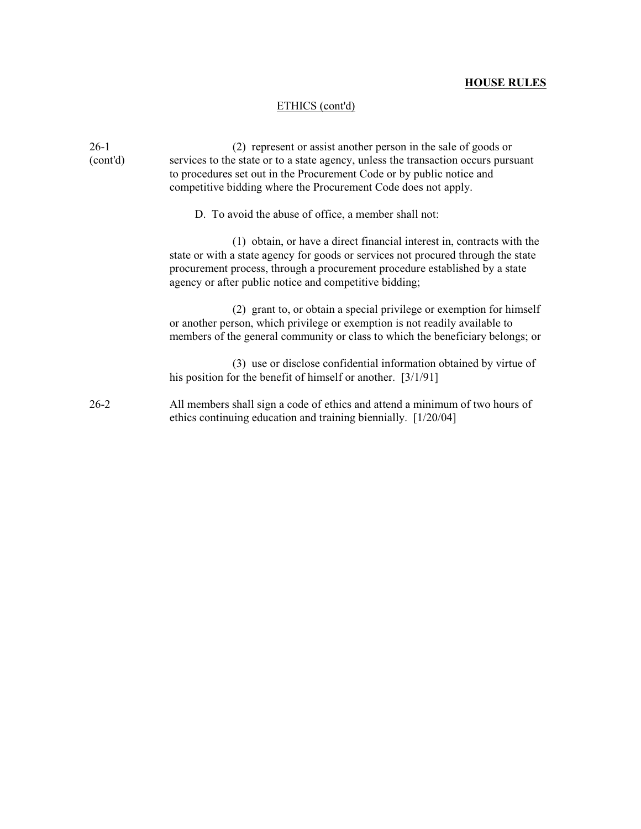## ETHICS (cont'd)

| $26-1$<br>(cont'd) | (2) represent or assist another person in the sale of goods or<br>services to the state or to a state agency, unless the transaction occurs pursuant<br>to procedures set out in the Procurement Code or by public notice and<br>competitive bidding where the Procurement Code does not apply.      |
|--------------------|------------------------------------------------------------------------------------------------------------------------------------------------------------------------------------------------------------------------------------------------------------------------------------------------------|
|                    | D. To avoid the abuse of office, a member shall not:                                                                                                                                                                                                                                                 |
|                    | (1) obtain, or have a direct financial interest in, contracts with the<br>state or with a state agency for goods or services not procured through the state<br>procurement process, through a procurement procedure established by a state<br>agency or after public notice and competitive bidding; |
|                    | (2) grant to, or obtain a special privilege or exemption for himself<br>or another person, which privilege or exemption is not readily available to<br>members of the general community or class to which the beneficiary belongs; or                                                                |
|                    | (3) use or disclose confidential information obtained by virtue of<br>his position for the benefit of himself or another. $[3/1/91]$                                                                                                                                                                 |
| $26 - 2$           | All members shall sign a code of ethics and attend a minimum of two hours of<br>ethics continuing education and training biennially. [1/20/04]                                                                                                                                                       |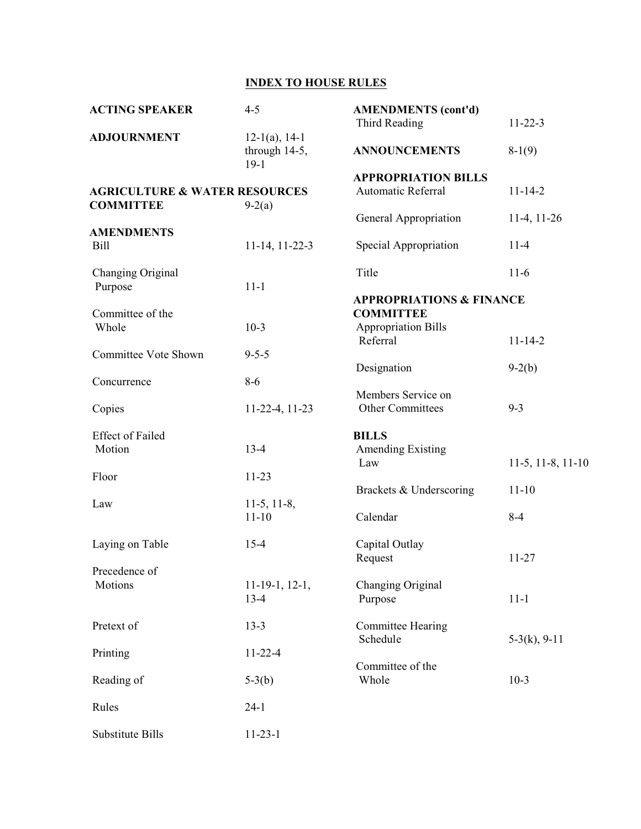# **INDEX TO HOUSE RULES**

| <b>ACTING SPEAKER</b>                                        | $4 - 5$                                     | <b>AMENDMENTS</b> (cont'd)<br><b>Third Reading</b>         | $11 - 22 - 3$        |
|--------------------------------------------------------------|---------------------------------------------|------------------------------------------------------------|----------------------|
| <b>ADJOURNMENT</b>                                           | $12-1(a)$ , 14-1<br>through 14-5,<br>$19-1$ | <b>ANNOUNCEMENTS</b>                                       | $8-1(9)$             |
|                                                              |                                             | <b>APPROPRIATION BILLS</b>                                 |                      |
| <b>AGRICULTURE &amp; WATER RESOURCES</b><br><b>COMMITTEE</b> | $9-2(a)$                                    | Automatic Referral                                         | $11 - 14 - 2$        |
| <b>AMENDMENTS</b>                                            |                                             | General Appropriation                                      | $11-4, 11-26$        |
| <b>Bill</b>                                                  | 11-14, 11-22-3                              | Special Appropriation                                      | $11-4$               |
| Changing Original                                            |                                             | Title                                                      | $11-6$               |
| Purpose                                                      | $11 - 1$                                    | <b>APPROPRIATIONS &amp; FINANCE</b>                        |                      |
| Committee of the<br>Whole                                    | $10-3$                                      | <b>COMMITTEE</b><br><b>Appropriation Bills</b><br>Referral | $11 - 14 - 2$        |
| <b>Committee Vote Shown</b>                                  | $9 - 5 - 5$                                 |                                                            |                      |
| Concurrence                                                  | $8 - 6$                                     | Designation                                                | $9-2(b)$             |
| Copies                                                       | 11-22-4, 11-23                              | Members Service on<br>Other Committees                     | $9 - 3$              |
| <b>Effect of Failed</b><br>Motion                            | $13-4$                                      | <b>BILLS</b><br><b>Amending Existing</b><br>Law            |                      |
| Floor                                                        | $11 - 23$                                   |                                                            | $11-5, 11-8, 11-10$  |
| Law                                                          | $11-5, 11-8,$<br>$11 - 10$                  | Brackets & Underscoring<br>Calendar                        | $11 - 10$<br>$8 - 4$ |
|                                                              |                                             |                                                            |                      |
| Laying on Table                                              | $15 - 4$                                    | Capital Outlay<br>Request                                  | $11 - 27$            |
| Precedence of<br>Motions                                     | $11-19-1, 12-1,$<br>$13 - 4$                | Changing Original<br>Purpose                               | $11 - 1$             |
| Pretext of                                                   | $13 - 3$                                    | <b>Committee Hearing</b>                                   |                      |
| Printing                                                     | $11 - 22 - 4$                               | Schedule                                                   | $5-3(k)$ , 9-11      |
| Reading of                                                   | $5-3(b)$                                    | Committee of the<br>Whole                                  | $10-3$               |
| Rules                                                        | $24-1$                                      |                                                            |                      |
| Substitute Bills                                             | $11-23-1$                                   |                                                            |                      |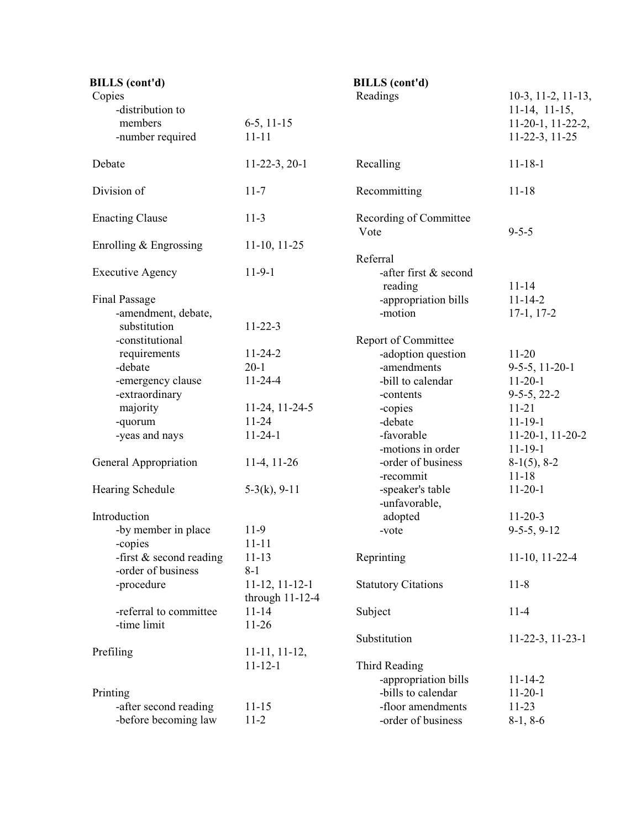| <b>BILLS</b> (cont'd)     |                   | <b>BILLS</b> (cont'd)            |                             |
|---------------------------|-------------------|----------------------------------|-----------------------------|
| Copies                    |                   | Readings                         | $10-3$ , $11-2$ , $11-13$ , |
| -distribution to          |                   |                                  | $11-14$ , $11-15$ ,         |
| members                   | $6-5$ , 11-15     |                                  | $11-20-1$ , $11-22-2$ ,     |
| -number required          | $11 - 11$         |                                  | 11-22-3, 11-25              |
| Debate                    | $11-22-3, 20-1$   | Recalling                        | $11 - 18 - 1$               |
| Division of               | $11 - 7$          | Recommitting                     | $11 - 18$                   |
| <b>Enacting Clause</b>    | $11-3$            | Recording of Committee<br>Vote   | $9 - 5 - 5$                 |
| Enrolling $&$ Engrossing  | $11-10$ , $11-25$ | Referral                         |                             |
| <b>Executive Agency</b>   | $11-9-1$          | -after first & second<br>reading | $11 - 14$                   |
| <b>Final Passage</b>      |                   | -appropriation bills             | $11 - 14 - 2$               |
| -amendment, debate,       |                   | -motion                          | $17-1, 17-2$                |
| substitution              | $11 - 22 - 3$     |                                  |                             |
| -constitutional           |                   | Report of Committee              |                             |
| requirements              | $11 - 24 - 2$     | -adoption question               | $11 - 20$                   |
| -debate                   | $20-1$            | -amendments                      | $9-5-5$ , 11-20-1           |
| -emergency clause         | $11 - 24 - 4$     | -bill to calendar                | $11 - 20 - 1$               |
| -extraordinary            |                   | -contents                        | $9-5-5, 22-2$               |
| majority                  | 11-24, 11-24-5    | -copies                          | $11 - 21$                   |
| -quorum                   | $11 - 24$         | -debate                          | $11 - 19 - 1$               |
| -yeas and nays            | $11 - 24 - 1$     | -favorable                       | $11-20-1$ , $11-20-2$       |
|                           |                   | -motions in order                | $11 - 19 - 1$               |
| General Appropriation     | $11-4, 11-26$     | -order of business               | $8-1(5)$ , $8-2$            |
|                           |                   | -recommit                        | $11 - 18$                   |
| Hearing Schedule          | $5-3(k)$ , 9-11   | -speaker's table                 | $11 - 20 - 1$               |
|                           |                   | -unfavorable,                    |                             |
| Introduction              |                   | adopted                          | $11 - 20 - 3$               |
| -by member in place       | $11-9$            | -vote                            | $9-5-5, 9-12$               |
| -copies                   | $11 - 11$         |                                  |                             |
| -first $&$ second reading | $11 - 13$         | Reprinting                       | $11-10$ , $11-22-4$         |
| -order of business        | $8 - 1$           |                                  |                             |
| -procedure                | $11-12, 11-12-1$  | <b>Statutory Citations</b>       | $11 - 8$                    |
|                           | through $11-12-4$ |                                  |                             |
| -referral to committee    | $11 - 14$         | Subject                          | $11-4$                      |
| -time limit               | $11-26$           |                                  |                             |
|                           |                   | Substitution                     | $11-22-3$ , $11-23-1$       |
| Prefiling                 | $11-11, 11-12,$   |                                  |                             |
|                           | $11 - 12 - 1$     | Third Reading                    |                             |
|                           |                   | -appropriation bills             | $11 - 14 - 2$               |
| Printing                  |                   | -bills to calendar               | $11 - 20 - 1$               |
| -after second reading     | $11 - 15$         | -floor amendments                | $11 - 23$                   |
| -before becoming law      | $11 - 2$          | -order of business               | $8-1, 8-6$                  |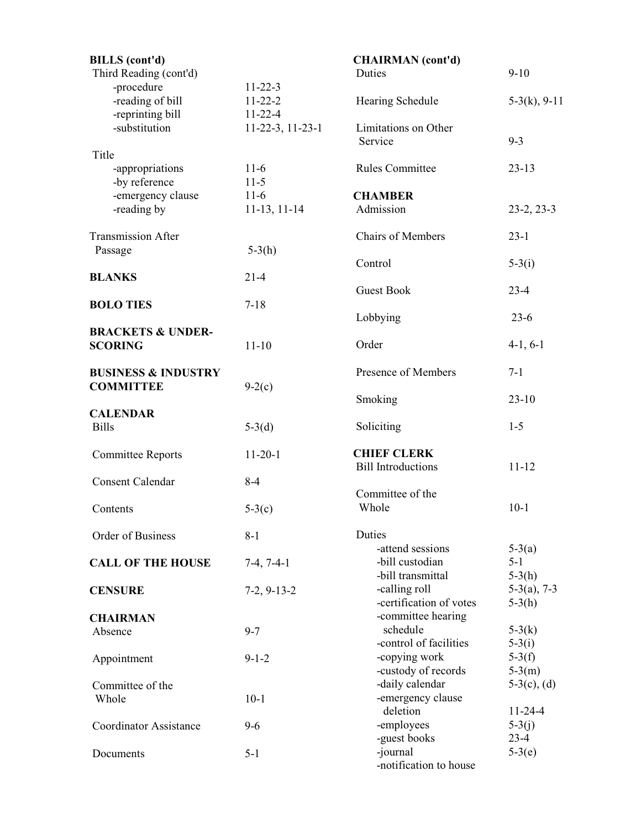| <b>BILLS</b> (cont'd)<br>Third Reading (cont'd)    |                                                 | <b>CHAIRMAN</b> (cont'd)<br>Duties                       | $9 - 10$                        |
|----------------------------------------------------|-------------------------------------------------|----------------------------------------------------------|---------------------------------|
| -procedure<br>-reading of bill<br>-reprinting bill | $11 - 22 - 3$<br>$11 - 22 - 2$<br>$11 - 22 - 4$ | Hearing Schedule                                         | $5-3(k)$ , 9-11                 |
| -substitution                                      | 11-22-3, 11-23-1                                | Limitations on Other<br>Service                          | $9 - 3$                         |
| Title                                              |                                                 |                                                          |                                 |
| -appropriations<br>-by reference                   | $11-6$<br>$11-5$                                | <b>Rules Committee</b>                                   | $23 - 13$                       |
| -emergency clause<br>-reading by                   | $11-6$<br>$11-13, 11-14$                        | <b>CHAMBER</b><br>Admission                              | $23-2, 23-3$                    |
| <b>Transmission After</b>                          |                                                 | <b>Chairs of Members</b>                                 | $23 - 1$                        |
| Passage                                            | $5-3(h)$                                        | Control                                                  | $5-3(i)$                        |
| <b>BLANKS</b>                                      | $21 - 4$                                        | <b>Guest Book</b>                                        | $23 - 4$                        |
| <b>BOLO TIES</b>                                   | $7 - 18$                                        | Lobbying                                                 | $23-6$                          |
| <b>BRACKETS &amp; UNDER-</b><br><b>SCORING</b>     | $11 - 10$                                       | Order                                                    | $4-1, 6-1$                      |
|                                                    |                                                 |                                                          |                                 |
| <b>BUSINESS &amp; INDUSTRY</b>                     |                                                 | Presence of Members                                      | $7 - 1$                         |
| <b>COMMITTEE</b>                                   | $9-2(c)$                                        | Smoking                                                  | $23 - 10$                       |
| <b>CALENDAR</b><br><b>Bills</b>                    | $5-3(d)$                                        | Soliciting                                               | $1 - 5$                         |
| <b>Committee Reports</b>                           | $11 - 20 - 1$                                   | <b>CHIEF CLERK</b><br><b>Bill Introductions</b>          | $11 - 12$                       |
| <b>Consent Calendar</b>                            | $8 - 4$                                         |                                                          |                                 |
| Contents                                           | $5-3(c)$                                        | Committee of the<br>Whole                                | $10-1$                          |
|                                                    |                                                 |                                                          |                                 |
| Order of Business                                  | $8 - 1$                                         | Duties                                                   |                                 |
| <b>CALL OF THE HOUSE</b>                           | $7-4, 7-4-1$                                    | -attend sessions<br>-bill custodian<br>-bill transmittal | $5-3(a)$<br>$5 - 1$<br>$5-3(h)$ |
| <b>CENSURE</b>                                     | $7-2, 9-13-2$                                   | -calling roll<br>-certification of votes                 | $5-3(a)$ , 7-3<br>$5-3(h)$      |
| <b>CHAIRMAN</b>                                    |                                                 | -committee hearing                                       |                                 |
| Absence                                            | $9 - 7$                                         | schedule                                                 | $5-3(k)$                        |
| Appointment                                        | $9 - 1 - 2$                                     | -control of facilities<br>-copying work                  | $5-3(i)$<br>$5-3(f)$            |
| Committee of the                                   |                                                 | -custody of records<br>-daily calendar                   | $5-3(m)$<br>$5-3(c)$ , (d)      |
| Whole                                              | $10-1$                                          | -emergency clause<br>deletion                            | $11 - 24 - 4$                   |
| <b>Coordinator Assistance</b>                      | $9 - 6$                                         | -employees<br>-guest books                               | $5-3(j)$<br>$23-4$              |
| Documents                                          | $5 - 1$                                         | -journal<br>-notification to house                       | $5-3(e)$                        |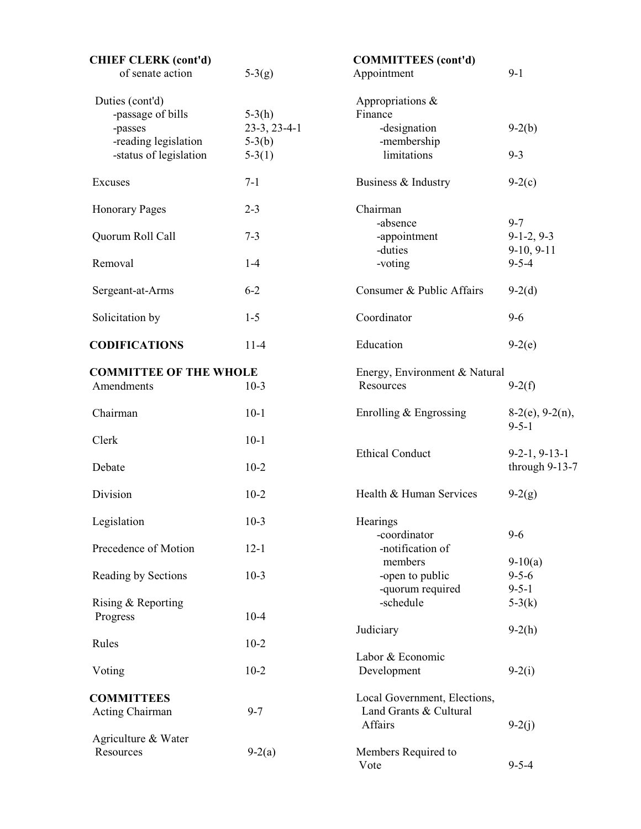| <b>CHIEF CLERK (cont'd)</b><br>of senate action | $5-3(g)$                   | <b>COMMITTEES</b> (cont'd)<br>Appointment                         | $9-1$                                   |
|-------------------------------------------------|----------------------------|-------------------------------------------------------------------|-----------------------------------------|
| Duties (cont'd)<br>-passage of bills            | $5-3(h)$                   | Appropriations &<br>Finance                                       |                                         |
| -passes<br>-reading legislation                 | $23-3, 23-4-1$<br>$5-3(b)$ | -designation<br>-membership                                       | $9-2(b)$                                |
| -status of legislation                          | $5-3(1)$                   | limitations                                                       | $9 - 3$                                 |
| Excuses                                         | $7 - 1$                    | Business & Industry                                               | $9-2(c)$                                |
| <b>Honorary Pages</b>                           | $2 - 3$                    | Chairman<br>-absence                                              | $9 - 7$                                 |
| Quorum Roll Call                                | $7 - 3$                    | -appointment<br>-duties                                           | $9-1-2, 9-3$<br>$9-10, 9-11$            |
| Removal                                         | $1 - 4$                    | -voting                                                           | $9 - 5 - 4$                             |
| Sergeant-at-Arms                                | $6 - 2$                    | Consumer & Public Affairs                                         | $9-2(d)$                                |
| Solicitation by                                 | $1 - 5$                    | Coordinator                                                       | $9 - 6$                                 |
| <b>CODIFICATIONS</b>                            | $11-4$                     | Education                                                         | $9-2(e)$                                |
| <b>COMMITTEE OF THE WHOLE</b><br>Amendments     | $10-3$                     | Energy, Environment & Natural<br>Resources                        | $9-2(f)$                                |
| Chairman                                        | $10-1$                     | Enrolling $&$ Engrossing                                          | $8-2(e)$ , 9-2(n),<br>$9 - 5 - 1$       |
| Clerk                                           | $10-1$                     | <b>Ethical Conduct</b>                                            | $9-2-1, 9-13-1$                         |
| Debate                                          | $10-2$                     |                                                                   | through 9-13-7                          |
| Division                                        | $10-2$                     | Health & Human Services                                           | $9-2(g)$                                |
| Legislation                                     | $10-3$                     | Hearings<br>-coordinator                                          | $9 - 6$                                 |
| Precedence of Motion                            | $12 - 1$                   | -notification of<br>members                                       |                                         |
| Reading by Sections                             | $10-3$                     | -open to public                                                   | $9-10(a)$<br>$9 - 5 - 6$<br>$9 - 5 - 1$ |
| Rising & Reporting<br>Progress                  | $10 - 4$                   | -quorum required<br>-schedule                                     | $5-3(k)$                                |
| Rules                                           | $10 - 2$                   | Judiciary                                                         | $9-2(h)$                                |
| Voting                                          | $10 - 2$                   | Labor & Economic<br>Development                                   | $9-2(i)$                                |
| <b>COMMITTEES</b><br>Acting Chairman            | $9 - 7$                    | Local Government, Elections,<br>Land Grants & Cultural<br>Affairs | $9-2(j)$                                |
| Agriculture & Water<br>Resources                | $9-2(a)$                   | Members Required to<br>Vote                                       | $9 - 5 - 4$                             |
|                                                 |                            |                                                                   |                                         |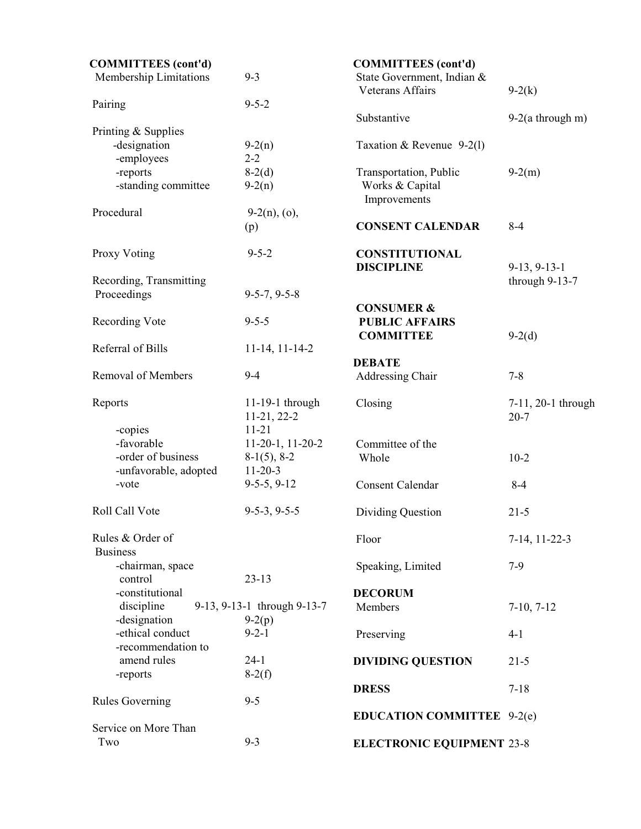| <b>COMMITTEES</b> (cont'd)       |                                    | <b>COMMITTEES</b> (cont'd)                                         |                                |
|----------------------------------|------------------------------------|--------------------------------------------------------------------|--------------------------------|
| Membership Limitations           | $9 - 3$                            | State Government, Indian &<br><b>Veterans Affairs</b>              | $9-2(k)$                       |
| Pairing                          | $9 - 5 - 2$                        |                                                                    |                                |
|                                  |                                    | Substantive                                                        | $9-2(a$ through m)             |
| Printing & Supplies              |                                    |                                                                    |                                |
| -designation                     | $9-2(n)$                           | Taxation & Revenue 9-2(1)                                          |                                |
| -employees                       | $2 - 2$                            |                                                                    |                                |
| -reports                         | $8-2(d)$                           | Transportation, Public                                             | $9-2(m)$                       |
| -standing committee              | $9-2(n)$                           | Works & Capital<br>Improvements                                    |                                |
| Procedural                       | $9-2(n)$ , (o),                    |                                                                    |                                |
|                                  | (p)                                | <b>CONSENT CALENDAR</b>                                            | $8 - 4$                        |
| Proxy Voting                     | $9 - 5 - 2$                        | <b>CONSTITUTIONAL</b>                                              |                                |
|                                  |                                    | <b>DISCIPLINE</b>                                                  | $9-13, 9-13-1$                 |
| Recording, Transmitting          |                                    |                                                                    | through 9-13-7                 |
| Proceedings                      | $9 - 5 - 7, 9 - 5 - 8$             |                                                                    |                                |
| Recording Vote                   | $9 - 5 - 5$                        | <b>CONSUMER &amp;</b><br><b>PUBLIC AFFAIRS</b><br><b>COMMITTEE</b> | $9-2(d)$                       |
| Referral of Bills                | $11-14, 11-14-2$                   |                                                                    |                                |
|                                  |                                    | <b>DEBATE</b>                                                      |                                |
| Removal of Members               | $9 - 4$                            | Addressing Chair                                                   | $7 - 8$                        |
| Reports                          | 11-19-1 through<br>$11-21, 22-2$   | Closing                                                            | 7-11, 20-1 through<br>$20 - 7$ |
| -copies<br>-favorable            | $11 - 21$<br>$11-20-1$ , $11-20-2$ | Committee of the                                                   |                                |
| -order of business               | $8-1(5)$ , $8-2$                   | Whole                                                              | $10-2$                         |
| -unfavorable, adopted            | $11 - 20 - 3$                      |                                                                    |                                |
| -vote                            | $9-5-5, 9-12$                      | <b>Consent Calendar</b>                                            | $8 - 4$                        |
|                                  |                                    |                                                                    |                                |
| Roll Call Vote                   | $9-5-3, 9-5-5$                     | Dividing Question                                                  | $21 - 5$                       |
| Rules & Order of                 |                                    | Floor                                                              | $7-14$ , $11-22-3$             |
| <b>Business</b>                  |                                    |                                                                    |                                |
| -chairman, space                 |                                    | Speaking, Limited                                                  | $7-9$                          |
| control                          | $23 - 13$                          |                                                                    |                                |
| -constitutional                  |                                    | <b>DECORUM</b>                                                     |                                |
| discipline                       | 9-13, 9-13-1 through 9-13-7        | Members                                                            | $7-10, 7-12$                   |
| -designation<br>-ethical conduct | $9-2(p)$<br>$9 - 2 - 1$            |                                                                    |                                |
| -recommendation to               |                                    | Preserving                                                         | $4 - 1$                        |
| amend rules                      | $24-1$                             |                                                                    |                                |
| -reports                         | $8-2(f)$                           | <b>DIVIDING QUESTION</b>                                           | $21 - 5$                       |
|                                  |                                    | <b>DRESS</b>                                                       | $7 - 18$                       |
| <b>Rules Governing</b>           | $9 - 5$                            |                                                                    |                                |
|                                  |                                    | <b>EDUCATION COMMITTEE</b> 9-2(e)                                  |                                |
| Service on More Than             |                                    |                                                                    |                                |
| Two                              | $9 - 3$                            | <b>ELECTRONIC EQUIPMENT 23-8</b>                                   |                                |
|                                  |                                    |                                                                    |                                |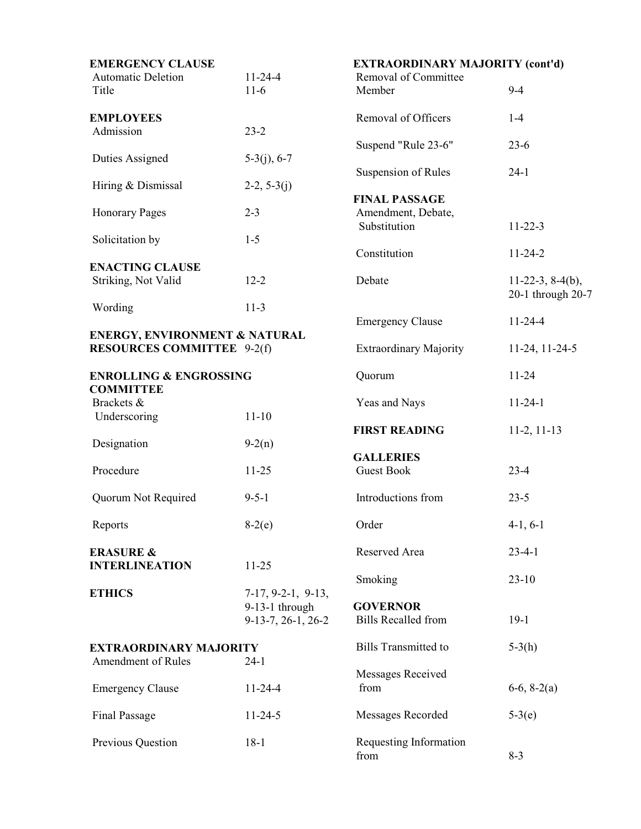| <b>EMERGENCY CLAUSE</b><br>$11 - 24 - 4$<br><b>Automatic Deletion</b>         |                                                              | <b>EXTRAORDINARY MAJORITY (cont'd)</b><br>Removal of Committee |                                             |  |
|-------------------------------------------------------------------------------|--------------------------------------------------------------|----------------------------------------------------------------|---------------------------------------------|--|
| Title                                                                         | $11-6$                                                       | Member                                                         | $9 - 4$                                     |  |
| <b>EMPLOYEES</b><br>Admission                                                 | $23 - 2$                                                     | Removal of Officers                                            | $1-4$                                       |  |
| Duties Assigned                                                               | $5-3(j), 6-7$                                                | Suspend "Rule 23-6"                                            | $23-6$                                      |  |
|                                                                               |                                                              | Suspension of Rules                                            | $24-1$                                      |  |
| Hiring & Dismissal                                                            | $2-2, 5-3(j)$                                                | <b>FINAL PASSAGE</b>                                           |                                             |  |
| <b>Honorary Pages</b>                                                         | $2 - 3$                                                      | Amendment, Debate,<br>Substitution                             | $11 - 22 - 3$                               |  |
| Solicitation by                                                               | $1 - 5$                                                      | Constitution                                                   | $11 - 24 - 2$                               |  |
| <b>ENACTING CLAUSE</b>                                                        |                                                              |                                                                |                                             |  |
| Striking, Not Valid                                                           | $12 - 2$                                                     | Debate                                                         | $11-22-3$ , $8-4(b)$ ,<br>20-1 through 20-7 |  |
| Wording                                                                       | $11-3$                                                       | <b>Emergency Clause</b>                                        | $11 - 24 - 4$                               |  |
| <b>ENERGY, ENVIRONMENT &amp; NATURAL</b><br><b>RESOURCES COMMITTEE</b> 9-2(f) |                                                              | <b>Extraordinary Majority</b>                                  | 11-24, 11-24-5                              |  |
| <b>ENROLLING &amp; ENGROSSING</b><br><b>COMMITTEE</b>                         |                                                              | Quorum                                                         | $11 - 24$                                   |  |
| Brackets &                                                                    |                                                              | Yeas and Nays                                                  | $11 - 24 - 1$                               |  |
| Underscoring                                                                  | $11 - 10$                                                    | <b>FIRST READING</b>                                           | $11-2, 11-13$                               |  |
| Designation                                                                   | $9-2(n)$                                                     |                                                                |                                             |  |
| Procedure                                                                     | $11 - 25$                                                    | <b>GALLERIES</b><br><b>Guest Book</b>                          | $23 - 4$                                    |  |
| Quorum Not Required                                                           | $9 - 5 - 1$                                                  | Introductions from                                             | $23 - 5$                                    |  |
| Reports                                                                       | $8-2(e)$                                                     | Order                                                          | $4-1, 6-1$                                  |  |
| <b>ERASURE &amp;</b>                                                          |                                                              | Reserved Area                                                  | $23 - 4 - 1$                                |  |
| <b>INTERLINEATION</b>                                                         | $11 - 25$                                                    | Smoking                                                        | $23 - 10$                                   |  |
| <b>ETHICS</b>                                                                 | $7-17, 9-2-1, 9-13,$<br>9-13-1 through<br>9-13-7, 26-1, 26-2 | <b>GOVERNOR</b><br><b>Bills Recalled from</b>                  | $19-1$                                      |  |
| <b>EXTRAORDINARY MAJORITY</b><br>Amendment of Rules                           |                                                              | <b>Bills Transmitted to</b>                                    | $5-3(h)$                                    |  |
|                                                                               | $24-1$                                                       | Messages Received                                              |                                             |  |
| <b>Emergency Clause</b>                                                       | $11 - 24 - 4$                                                | from                                                           | $6-6, 8-2(a)$                               |  |
| <b>Final Passage</b>                                                          | $11 - 24 - 5$                                                | Messages Recorded                                              | $5-3(e)$                                    |  |
| Previous Question                                                             | $18-1$                                                       | Requesting Information<br>from                                 | $8 - 3$                                     |  |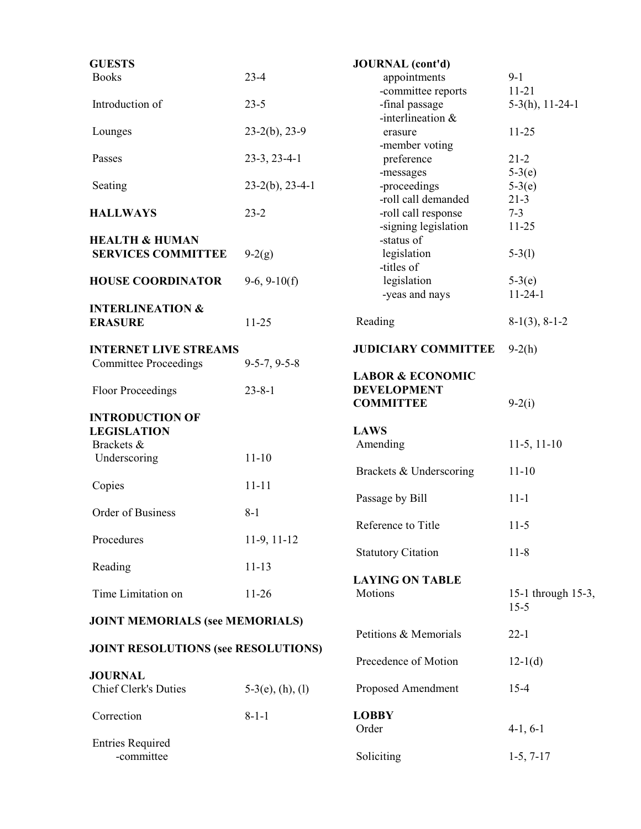| <b>GUESTS</b>                              |                     | <b>JOURNAL</b> (cont'd)                           |                      |
|--------------------------------------------|---------------------|---------------------------------------------------|----------------------|
| <b>Books</b>                               | $23 - 4$            | appointments                                      | $9 - 1$              |
|                                            |                     | -committee reports                                | $11 - 21$            |
| Introduction of                            | $23 - 5$            | -final passage                                    | $5-3(h), 11-24-1$    |
|                                            |                     | -interlineation $&$                               |                      |
| Lounges                                    | $23-2(b)$ , 23-9    | erasure                                           | $11 - 25$            |
|                                            |                     | -member voting                                    |                      |
| Passes                                     | $23-3, 23-4-1$      | preference                                        | $21 - 2$             |
|                                            | $23-2(b)$ , 23-4-1  | -messages                                         | $5-3(e)$             |
| Seating                                    |                     | -proceedings<br>-roll call demanded               | $5-3(e)$<br>$21 - 3$ |
| <b>HALLWAYS</b>                            | $23 - 2$            | -roll call response                               | $7 - 3$              |
|                                            |                     | -signing legislation                              | $11 - 25$            |
| <b>HEALTH &amp; HUMAN</b>                  |                     | -status of                                        |                      |
| <b>SERVICES COMMITTEE</b>                  | $9-2(g)$            | legislation                                       | $5-3(1)$             |
|                                            |                     | -titles of                                        |                      |
| <b>HOUSE COORDINATOR</b>                   | $9-6, 9-10(f)$      | legislation                                       | $5-3(e)$             |
|                                            |                     | -yeas and nays                                    | $11 - 24 - 1$        |
| <b>INTERLINEATION &amp;</b>                |                     |                                                   |                      |
| <b>ERASURE</b>                             | $11 - 25$           | Reading                                           | $8-1(3), 8-1-2$      |
|                                            |                     |                                                   |                      |
| <b>INTERNET LIVE STREAMS</b>               |                     | <b>JUDICIARY COMMITTEE</b>                        | $9-2(h)$             |
| <b>Committee Proceedings</b>               | $9-5-7, 9-5-8$      |                                                   |                      |
|                                            | $23 - 8 - 1$        | <b>LABOR &amp; ECONOMIC</b><br><b>DEVELOPMENT</b> |                      |
| <b>Floor Proceedings</b>                   |                     | <b>COMMITTEE</b>                                  | $9-2(i)$             |
| <b>INTRODUCTION OF</b>                     |                     |                                                   |                      |
| <b>LEGISLATION</b>                         |                     | <b>LAWS</b>                                       |                      |
| Brackets &                                 |                     | Amending                                          | $11-5, 11-10$        |
| Underscoring                               | $11 - 10$           |                                                   |                      |
|                                            |                     | Brackets & Underscoring                           | $11 - 10$            |
| Copies                                     | $11 - 11$           |                                                   |                      |
|                                            |                     | Passage by Bill                                   | $11 - 1$             |
| Order of Business                          | $8 - 1$             |                                                   |                      |
|                                            |                     | Reference to Title                                | $11-5$               |
| Procedures                                 | $11-9, 11-12$       |                                                   |                      |
|                                            |                     | <b>Statutory Citation</b>                         | $11 - 8$             |
| Reading                                    | $11 - 13$           | <b>LAYING ON TABLE</b>                            |                      |
| Time Limitation on                         | $11-26$             | Motions                                           | 15-1 through 15-3,   |
|                                            |                     |                                                   | $15 - 5$             |
| <b>JOINT MEMORIALS (see MEMORIALS)</b>     |                     |                                                   |                      |
|                                            |                     | Petitions & Memorials                             | $22 - 1$             |
| <b>JOINT RESOLUTIONS (see RESOLUTIONS)</b> |                     |                                                   |                      |
|                                            |                     | Precedence of Motion                              | $12-1(d)$            |
| <b>JOURNAL</b>                             |                     |                                                   |                      |
| <b>Chief Clerk's Duties</b>                | $5-3(e)$ , (h), (l) | Proposed Amendment                                | $15 - 4$             |
|                                            |                     |                                                   |                      |
| Correction                                 | $8 - 1 - 1$         | <b>LOBBY</b>                                      |                      |
|                                            |                     | Order                                             | $4-1, 6-1$           |
| <b>Entries Required</b><br>-committee      |                     | Soliciting                                        | $1-5, 7-17$          |
|                                            |                     |                                                   |                      |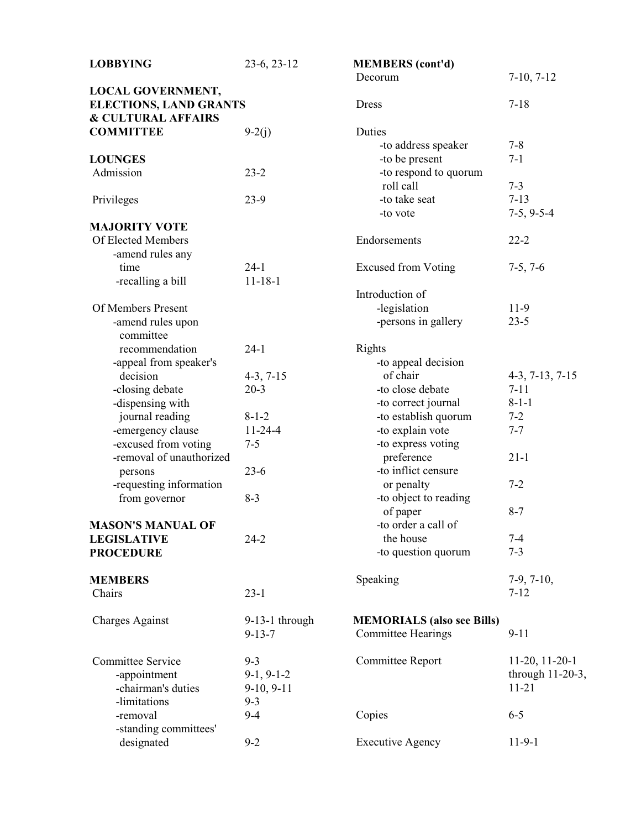| <b>LOBBYING</b>                                           | 23-6, 23-12      | <b>MEMBERS</b> (cont'd)<br>Decorum | $7-10, 7-12$        |
|-----------------------------------------------------------|------------------|------------------------------------|---------------------|
| <b>LOCAL GOVERNMENT,</b><br><b>ELECTIONS, LAND GRANTS</b> |                  | <b>Dress</b>                       | $7 - 18$            |
| <b>&amp; CULTURAL AFFAIRS</b>                             |                  |                                    |                     |
| <b>COMMITTEE</b>                                          | $9-2(j)$         | Duties                             |                     |
|                                                           |                  | -to address speaker                | $7 - 8$             |
| <b>LOUNGES</b>                                            |                  | -to be present                     | $7 - 1$             |
| Admission                                                 | $23 - 2$         | -to respond to quorum              |                     |
|                                                           |                  | roll call                          | $7 - 3$             |
| Privileges                                                | $23-9$           | -to take seat                      | $7 - 13$            |
|                                                           |                  | -to vote                           | $7-5, 9-5-4$        |
| <b>MAJORITY VOTE</b>                                      |                  |                                    |                     |
| Of Elected Members                                        |                  | Endorsements                       | $22 - 2$            |
|                                                           |                  |                                    |                     |
| -amend rules any<br>time                                  | $24-1$           |                                    |                     |
|                                                           |                  | <b>Excused from Voting</b>         | $7-5, 7-6$          |
| -recalling a bill                                         | $11 - 18 - 1$    |                                    |                     |
|                                                           |                  | Introduction of                    |                     |
| Of Members Present                                        |                  | -legislation                       | $11-9$              |
| -amend rules upon                                         |                  | -persons in gallery                | $23 - 5$            |
| committee                                                 |                  |                                    |                     |
| recommendation                                            | $24-1$           | Rights                             |                     |
| -appeal from speaker's                                    |                  | -to appeal decision                |                     |
| decision                                                  | $4-3, 7-15$      | of chair                           | $4-3, 7-13, 7-15$   |
| -closing debate                                           | $20-3$           | -to close debate                   | $7 - 11$            |
| -dispensing with                                          |                  | -to correct journal                | $8 - 1 - 1$         |
| journal reading                                           | $8 - 1 - 2$      | -to establish quorum               | $7 - 2$             |
| -emergency clause                                         | $11 - 24 - 4$    | -to explain vote                   | $7 - 7$             |
| -excused from voting                                      | $7 - 5$          | -to express voting                 |                     |
| -removal of unauthorized                                  |                  | preference                         | $21 - 1$            |
| persons                                                   | $23-6$           | -to inflict censure                |                     |
| -requesting information                                   |                  | or penalty                         | $7 - 2$             |
| from governor                                             | $8 - 3$          | -to object to reading              |                     |
|                                                           |                  | of paper                           | $8 - 7$             |
| <b>MASON'S MANUAL OF</b>                                  |                  | -to order a call of                |                     |
| <b>LEGISLATIVE</b>                                        | $24 - 2$         | the house                          | $7 - 4$             |
| <b>PROCEDURE</b>                                          |                  | -to question quorum                | $7 - 3$             |
|                                                           |                  |                                    |                     |
| <b>MEMBERS</b>                                            |                  | Speaking                           | $7-9, 7-10,$        |
| Chairs                                                    | $23 - 1$         |                                    | $7 - 12$            |
|                                                           |                  |                                    |                     |
| <b>Charges Against</b>                                    | $9-13-1$ through | <b>MEMORIALS</b> (also see Bills)  |                     |
|                                                           | $9 - 13 - 7$     | <b>Committee Hearings</b>          | $9 - 11$            |
|                                                           |                  |                                    |                     |
| <b>Committee Service</b>                                  | $9 - 3$          | Committee Report                   | $11-20, 11-20-1$    |
| -appointment                                              | $9-1, 9-1-2$     |                                    | through $11-20-3$ , |
| -chairman's duties                                        |                  |                                    | $11 - 21$           |
|                                                           | $9-10, 9-11$     |                                    |                     |
| -limitations                                              | $9 - 3$          |                                    |                     |
| -removal                                                  | $9 - 4$          | Copies                             | $6 - 5$             |
| -standing committees'                                     |                  |                                    |                     |
| designated                                                | $9 - 2$          | <b>Executive Agency</b>            | $11-9-1$            |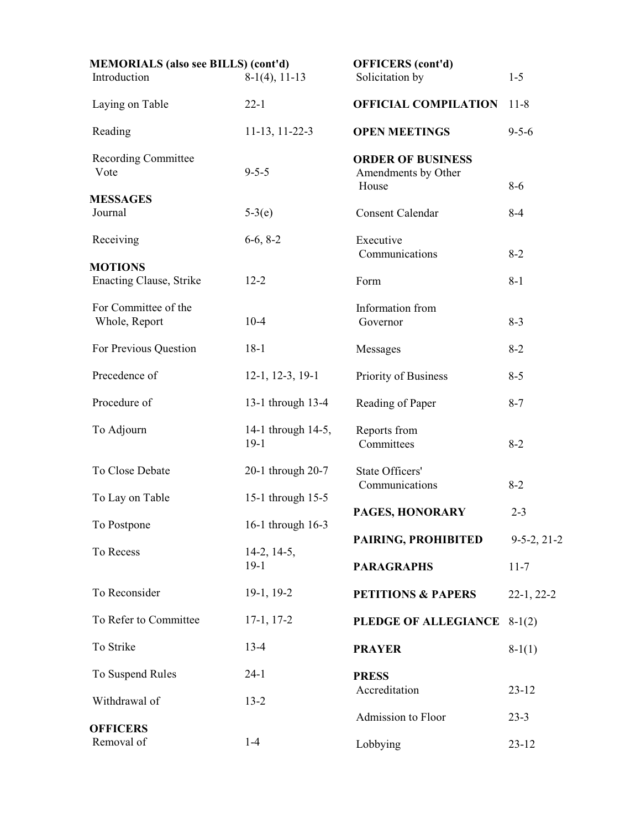| <b>MEMORIALS</b> (also see BILLS) (cont'd)<br>Introduction | $8-1(4)$ , 11-13             | <b>OFFICERS</b> (cont'd)<br>Solicitation by              | $1 - 5$               |
|------------------------------------------------------------|------------------------------|----------------------------------------------------------|-----------------------|
| Laying on Table                                            | $22 - 1$                     | <b>OFFICIAL COMPILATION</b>                              | $11 - 8$              |
| Reading                                                    | $11-13$ , $11-22-3$          | <b>OPEN MEETINGS</b>                                     | $9 - 5 - 6$           |
| <b>Recording Committee</b><br>Vote                         | $9 - 5 - 5$                  | <b>ORDER OF BUSINESS</b><br>Amendments by Other<br>House | $8 - 6$               |
| <b>MESSAGES</b><br>Journal                                 | $5-3(e)$                     | <b>Consent Calendar</b>                                  | $8 - 4$               |
| Receiving                                                  | $6-6, 8-2$                   | Executive<br>Communications                              | $8 - 2$               |
| <b>MOTIONS</b><br><b>Enacting Clause, Strike</b>           | $12 - 2$                     | Form                                                     | $8 - 1$               |
| For Committee of the<br>Whole, Report                      | $10-4$                       | Information from<br>Governor                             | $8 - 3$               |
| For Previous Question                                      | $18-1$                       | Messages                                                 | $8 - 2$               |
| Precedence of                                              | $12-1, 12-3, 19-1$           | Priority of Business                                     | $8 - 5$               |
| Procedure of                                               | 13-1 through 13-4            | Reading of Paper                                         | $8 - 7$               |
| To Adjourn                                                 | 14-1 through 14-5,<br>$19-1$ | Reports from<br>Committees                               | $8 - 2$               |
| To Close Debate                                            | 20-1 through 20-7            | State Officers'<br>Communications                        | $8 - 2$               |
| To Lay on Table                                            | 15-1 through 15-5            | PAGES, HONORARY                                          | $2 - 3$               |
| To Postpone                                                | 16-1 through 16-3            | PAIRING, PROHIBITED                                      | $9 - 5 - 2, 21 - 2$   |
| To Recess                                                  | $14-2, 14-5,$<br>$19-1$      | <b>PARAGRAPHS</b>                                        | $11 - 7$              |
| To Reconsider                                              | $19-1, 19-2$                 | <b>PETITIONS &amp; PAPERS</b>                            | $22-1, 22-2$          |
| To Refer to Committee                                      | $17-1, 17-2$                 | PLEDGE OF ALLEGIANCE                                     | $8-1(2)$              |
| To Strike                                                  | $13 - 4$                     | <b>PRAYER</b>                                            | $8-1(1)$              |
| To Suspend Rules                                           | $24-1$                       | <b>PRESS</b>                                             |                       |
| Withdrawal of                                              | $13 - 2$                     | Accreditation                                            | $23 - 12$             |
| <b>OFFICERS</b><br>Removal of                              | $1 - 4$                      | Admission to Floor<br>Lobbying                           | $23 - 3$<br>$23 - 12$ |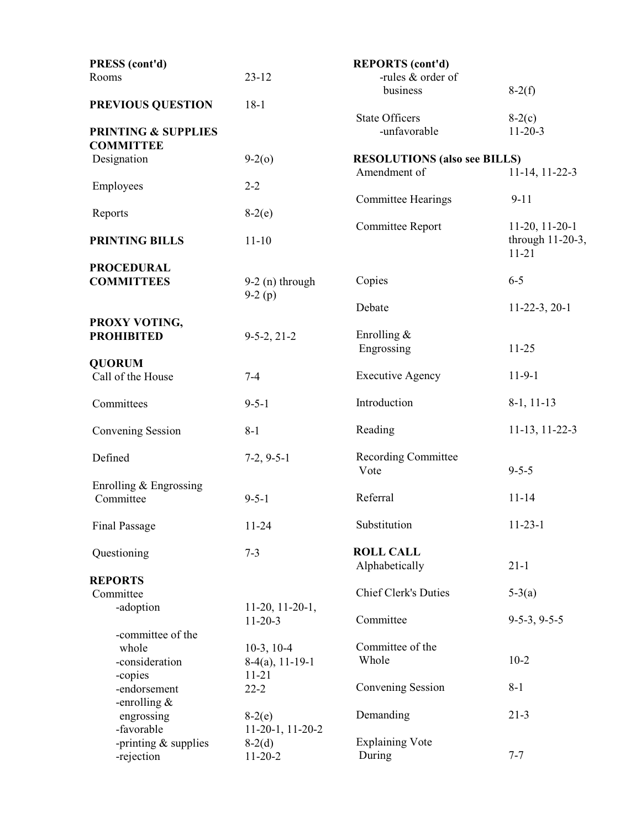| PRESS (cont'd)                     |                              | <b>REPORTS</b> (cont'd)                             |                               |
|------------------------------------|------------------------------|-----------------------------------------------------|-------------------------------|
| Rooms                              | $23 - 12$                    | -rules & order of                                   |                               |
| PREVIOUS QUESTION                  | $18-1$                       | business                                            | $8-2(f)$                      |
|                                    |                              | <b>State Officers</b>                               | $8-2(c)$                      |
| <b>PRINTING &amp; SUPPLIES</b>     |                              | -unfavorable                                        | $11 - 20 - 3$                 |
| <b>COMMITTEE</b>                   |                              |                                                     |                               |
| Designation                        | $9-2(0)$                     | <b>RESOLUTIONS (also see BILLS)</b><br>Amendment of | 11-14, 11-22-3                |
| Employees                          | $2 - 2$                      |                                                     |                               |
|                                    |                              | <b>Committee Hearings</b>                           | $9 - 11$                      |
| Reports                            | $8-2(e)$                     | Committee Report                                    | $11-20, 11-20-1$              |
| PRINTING BILLS                     | $11 - 10$                    |                                                     | through 11-20-3,<br>$11 - 21$ |
| <b>PROCEDURAL</b>                  |                              |                                                     |                               |
| <b>COMMITTEES</b>                  | $9-2$ (n) through            | Copies                                              | $6 - 5$                       |
|                                    | $9-2(p)$                     | Debate                                              | $11-22-3, 20-1$               |
| PROXY VOTING,                      |                              |                                                     |                               |
| <b>PROHIBITED</b>                  | $9-5-2, 21-2$                | Enrolling $&$                                       |                               |
|                                    |                              | Engrossing                                          | $11 - 25$                     |
| <b>QUORUM</b><br>Call of the House | $7 - 4$                      | <b>Executive Agency</b>                             | $11-9-1$                      |
|                                    |                              |                                                     |                               |
| Committees                         | $9 - 5 - 1$                  | Introduction                                        | $8-1, 11-13$                  |
| Convening Session                  | $8 - 1$                      | Reading                                             | 11-13, 11-22-3                |
| Defined                            | $7-2, 9-5-1$                 | <b>Recording Committee</b>                          |                               |
|                                    |                              | Vote                                                | $9 - 5 - 5$                   |
| Enrolling & Engrossing             |                              |                                                     |                               |
| Committee                          | $9 - 5 - 1$                  | Referral                                            | $11 - 14$                     |
| <b>Final Passage</b>               | $11 - 24$                    | Substitution                                        | $11 - 23 - 1$                 |
|                                    |                              |                                                     |                               |
| Questioning                        | $7 - 3$                      | <b>ROLL CALL</b><br>Alphabetically                  | $21 - 1$                      |
| <b>REPORTS</b>                     |                              |                                                     |                               |
| Committee                          |                              | <b>Chief Clerk's Duties</b>                         | $5-3(a)$                      |
| -adoption                          | $11-20, 11-20-1,$            | Committee                                           | $9-5-3, 9-5-5$                |
| -committee of the                  | $11 - 20 - 3$                |                                                     |                               |
| whole                              | $10-3$ , $10-4$              | Committee of the                                    |                               |
| -consideration                     | $8-4(a), 11-19-1$            | Whole                                               | $10-2$                        |
| -copies                            | $11 - 21$                    |                                                     |                               |
| -endorsement                       | $22 - 2$                     | Convening Session                                   | $8 - 1$                       |
| -enrolling $&$                     |                              | Demanding                                           | $21 - 3$                      |
| engrossing<br>-favorable           | $8-2(e)$<br>11-20-1, 11-20-2 |                                                     |                               |
| -printing $&$ supplies             | $8-2(d)$                     | <b>Explaining Vote</b>                              |                               |
| -rejection                         | $11-20-2$                    | During                                              | $7 - 7$                       |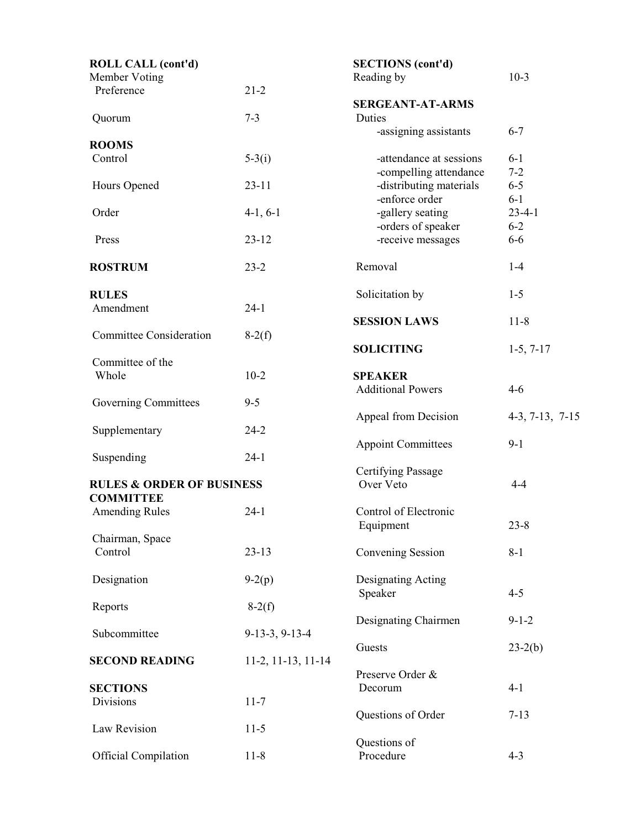| <b>ROLL CALL (cont'd)</b>            |                    | <b>SECTIONS</b> (cont'd)  |                   |
|--------------------------------------|--------------------|---------------------------|-------------------|
| Member Voting                        |                    | Reading by                | $10-3$            |
| Preference                           | $21 - 2$           |                           |                   |
|                                      |                    | <b>SERGEANT-AT-ARMS</b>   |                   |
| Quorum                               | $7 - 3$            | Duties                    |                   |
|                                      |                    | -assigning assistants     | $6 - 7$           |
| <b>ROOMS</b>                         |                    |                           |                   |
| Control                              | $5-3(i)$           | -attendance at sessions   | $6 - 1$           |
|                                      |                    | -compelling attendance    | $7 - 2$           |
| Hours Opened                         | $23 - 11$          | -distributing materials   | $6 - 5$           |
|                                      |                    | -enforce order            | $6-1$             |
| Order                                | $4-1, 6-1$         | -gallery seating          | $23 - 4 - 1$      |
|                                      |                    | -orders of speaker        | $6 - 2$           |
| Press                                | $23 - 12$          | -receive messages         | $6-6$             |
|                                      |                    |                           |                   |
| <b>ROSTRUM</b>                       | $23 - 2$           | Removal                   | $1-4$             |
|                                      |                    |                           |                   |
| <b>RULES</b>                         |                    | Solicitation by           | $1 - 5$           |
| Amendment                            | $24-1$             |                           |                   |
|                                      |                    | <b>SESSION LAWS</b>       | $11 - 8$          |
| <b>Committee Consideration</b>       | $8-2(f)$           |                           |                   |
|                                      |                    | <b>SOLICITING</b>         | $1-5, 7-17$       |
| Committee of the                     |                    |                           |                   |
| Whole                                | $10-2$             | <b>SPEAKER</b>            |                   |
|                                      |                    | <b>Additional Powers</b>  | $4 - 6$           |
| Governing Committees                 | $9 - 5$            |                           |                   |
|                                      |                    | Appeal from Decision      | $4-3, 7-13, 7-15$ |
| Supplementary                        | $24 - 2$           |                           |                   |
|                                      |                    | <b>Appoint Committees</b> | $9 - 1$           |
| Suspending                           | $24 - 1$           |                           |                   |
|                                      |                    | <b>Certifying Passage</b> |                   |
| <b>RULES &amp; ORDER OF BUSINESS</b> |                    | Over Veto                 | $4 - 4$           |
| <b>COMMITTEE</b>                     |                    |                           |                   |
| <b>Amending Rules</b>                | $24-1$             | Control of Electronic     |                   |
|                                      |                    | Equipment                 | $23 - 8$          |
| Chairman, Space                      |                    |                           |                   |
| Control                              | $23 - 13$          | Convening Session         | $8 - 1$           |
|                                      |                    |                           |                   |
| Designation                          | $9-2(p)$           | Designating Acting        |                   |
|                                      |                    | Speaker                   | $4 - 5$           |
| Reports                              | $8-2(f)$           |                           |                   |
|                                      |                    | Designating Chairmen      | $9 - 1 - 2$       |
| Subcommittee                         | $9-13-3, 9-13-4$   |                           |                   |
|                                      |                    | Guests                    | $23-2(b)$         |
| <b>SECOND READING</b>                | 11-2, 11-13, 11-14 | Preserve Order &          |                   |
| <b>SECTIONS</b>                      |                    | Decorum                   | $4 - 1$           |
| Divisions                            | $11 - 7$           |                           |                   |
|                                      |                    | Questions of Order        | $7 - 13$          |
| Law Revision                         | $11-5$             |                           |                   |
|                                      |                    | Questions of              |                   |
| <b>Official Compilation</b>          | $11 - 8$           | Procedure                 | $4 - 3$           |
|                                      |                    |                           |                   |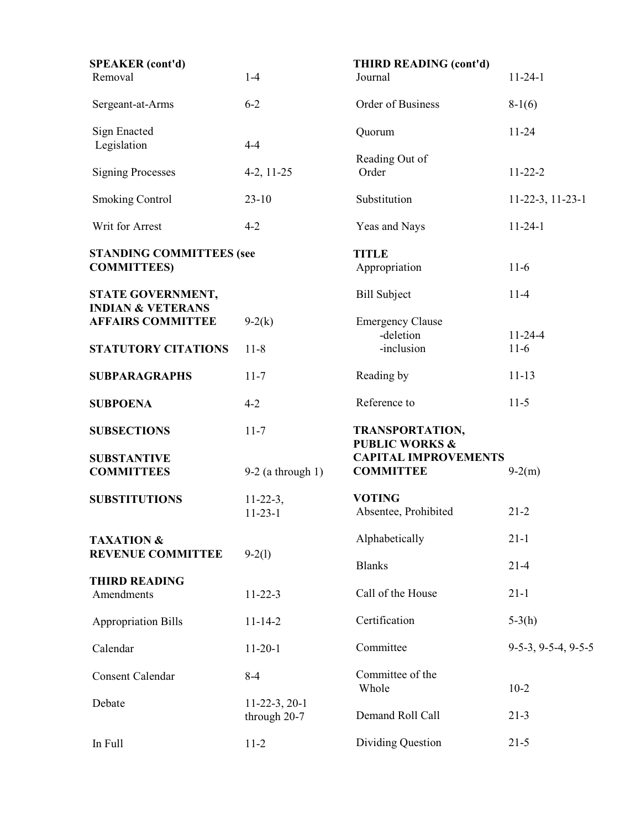| <b>SPEAKER</b> (cont'd)                               |                                 | THIRD READING (cont'd)                          |                       |
|-------------------------------------------------------|---------------------------------|-------------------------------------------------|-----------------------|
| Removal                                               | $1-4$                           | Journal                                         | $11 - 24 - 1$         |
| Sergeant-at-Arms                                      | $6 - 2$                         | Order of Business                               | $8-1(6)$              |
| Sign Enacted<br>Legislation                           | $4 - 4$                         | Quorum                                          | $11 - 24$             |
| <b>Signing Processes</b>                              | $4-2, 11-25$                    | Reading Out of<br>Order                         | $11 - 22 - 2$         |
| <b>Smoking Control</b>                                | $23-10$                         | Substitution                                    | $11-22-3$ , $11-23-1$ |
| Writ for Arrest                                       | $4 - 2$                         | Yeas and Nays                                   | $11 - 24 - 1$         |
| <b>STANDING COMMITTEES (see</b><br><b>COMMITTEES)</b> |                                 | <b>TITLE</b><br>Appropriation                   | $11-6$                |
| STATE GOVERNMENT,<br><b>INDIAN &amp; VETERANS</b>     |                                 | <b>Bill Subject</b>                             | $11 - 4$              |
| <b>AFFAIRS COMMITTEE</b>                              | $9-2(k)$                        | <b>Emergency Clause</b><br>-deletion            | $11 - 24 - 4$         |
| <b>STATUTORY CITATIONS</b>                            | $11 - 8$                        | -inclusion                                      | $11-6$                |
| <b>SUBPARAGRAPHS</b>                                  | $11 - 7$                        | Reading by                                      | $11 - 13$             |
| <b>SUBPOENA</b>                                       | $4 - 2$                         | Reference to                                    | $11-5$                |
| <b>SUBSECTIONS</b>                                    | $11 - 7$                        | TRANSPORTATION,<br><b>PUBLIC WORKS &amp;</b>    |                       |
| <b>SUBSTANTIVE</b><br><b>COMMITTEES</b>               | $9-2$ (a through 1)             | <b>CAPITAL IMPROVEMENTS</b><br><b>COMMITTEE</b> | $9-2(m)$              |
| <b>SUBSTITUTIONS</b>                                  | $11-22-3,$<br>$11 - 23 - 1$     | <b>VOTING</b><br>Absentee, Prohibited           | $21 - 2$              |
| <b>TAXATION &amp;</b>                                 |                                 | Alphabetically                                  | $21 - 1$              |
| <b>REVENUE COMMITTEE</b>                              | $9-2(1)$                        | <b>Blanks</b>                                   | $21 - 4$              |
| <b>THIRD READING</b><br>Amendments                    | $11 - 22 - 3$                   | Call of the House                               | $21-1$                |
| <b>Appropriation Bills</b>                            | $11 - 14 - 2$                   | Certification                                   | $5-3(h)$              |
| Calendar                                              | $11 - 20 - 1$                   | Committee                                       | $9-5-3, 9-5-4, 9-5-5$ |
| <b>Consent Calendar</b>                               | $8 - 4$                         | Committee of the<br>Whole                       | $10-2$                |
| Debate                                                | $11-22-3, 20-1$<br>through 20-7 | Demand Roll Call                                | $21 - 3$              |
| In Full                                               | $11-2$                          | Dividing Question                               | $21 - 5$              |